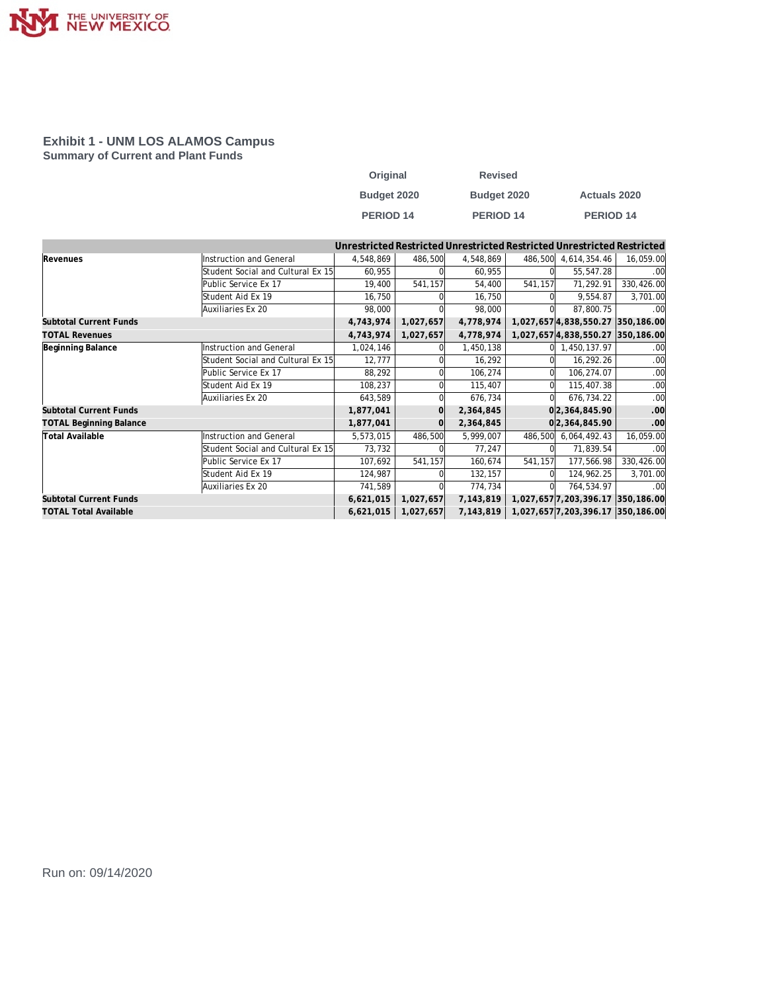

#### **Exhibit 1 - UNM LOS ALAMOS Campus Summary of Current and Plant Funds**

| Original    | <b>Revised</b> |                      |
|-------------|----------------|----------------------|
| Budget 2020 | Budget 2020    | <b>Actuals 2020</b>  |
| PERIOD 14   | PERIOD 14      | PERIOD <sub>14</sub> |

|                                |                                   |           |           |           |         | Unrestricted Restricted Unrestricted Restricted Unrestricted Restricted |                  |
|--------------------------------|-----------------------------------|-----------|-----------|-----------|---------|-------------------------------------------------------------------------|------------------|
| Revenues                       | Instruction and General           | 4,548,869 | 486,500   | 4,548,869 | 486,500 | 4,614,354.46                                                            | 16,059.00        |
|                                | Student Social and Cultural Ex 15 | 60,955    |           | 60,955    |         | 55,547.28                                                               | .00              |
|                                | Public Service Ex 17              | 19,400    | 541,157   | 54,400    | 541,157 | 71,292.91                                                               | 330,426.00       |
|                                | Student Aid Ex 19                 | 16,750    |           | 16,750    |         | 9,554.87                                                                | 3,701.00         |
|                                | Auxiliaries Ex 20                 | 98,000    |           | 98,000    |         | 87,800.75                                                               | .00 <sub>1</sub> |
| Subtotal Current Funds         |                                   | 4,743,974 | 1,027,657 | 4,778,974 |         | 1,027,657 4,838,550.27 350,186.00                                       |                  |
| <b>TOTAL Revenues</b>          |                                   | 4,743,974 | 1,027,657 | 4,778,974 |         | 1,027,657 4,838,550.27 350,186.00                                       |                  |
| Beginning Balance              | Instruction and General           | 1,024,146 |           | 1,450,138 | ΩL      | 1,450,137.97                                                            | .00              |
|                                | Student Social and Cultural Ex 15 | 12,777    |           | 16,292    |         | 16,292.26                                                               | .00              |
|                                | Public Service Ex 17              | 88,292    |           | 106,274   |         | 106,274.07                                                              | .00              |
|                                | Student Aid Ex 19                 | 108,237   |           | 115,407   |         | 115,407.38                                                              | .00              |
|                                | Auxiliaries Ex 20                 | 643,589   |           | 676,734   |         | 676,734.22                                                              | .00              |
| <b>Subtotal Current Funds</b>  |                                   | 1,877,041 |           | 2,364,845 |         | 0 2,364,845.90                                                          | .00 <sub>l</sub> |
| <b>TOTAL Beginning Balance</b> |                                   | 1,877,041 |           | 2,364,845 |         | 0 2,364,845.90                                                          | .00 <sub>l</sub> |
| <b>Total Available</b>         | Instruction and General           | 5,573,015 | 486,500   | 5,999,007 | 486,500 | 6,064,492.43                                                            | 16,059.00        |
|                                | Student Social and Cultural Ex 15 | 73,732    |           | 77,247    |         | 71,839.54                                                               | .00              |
|                                | Public Service Ex 17              | 107,692   | 541,157   | 160,674   | 541,157 | 177,566.98                                                              | 330,426.00       |
|                                | Student Aid Ex 19                 | 124,987   |           | 132,157   |         | 124,962.25                                                              | 3,701.00         |
|                                | Auxiliaries Ex 20                 | 741,589   |           | 774,734   | ΩI      | 764,534.97                                                              | .00 <sub>1</sub> |
| Subtotal Current Funds         |                                   | 6,621,015 | 1,027,657 | 7,143,819 |         | 1,027,657 7,203,396.17 350,186.00                                       |                  |
| <b>TOTAL Total Available</b>   |                                   | 6,621,015 | 1,027,657 | 7,143,819 |         | 1,027,657 7,203,396.17 350,186.00                                       |                  |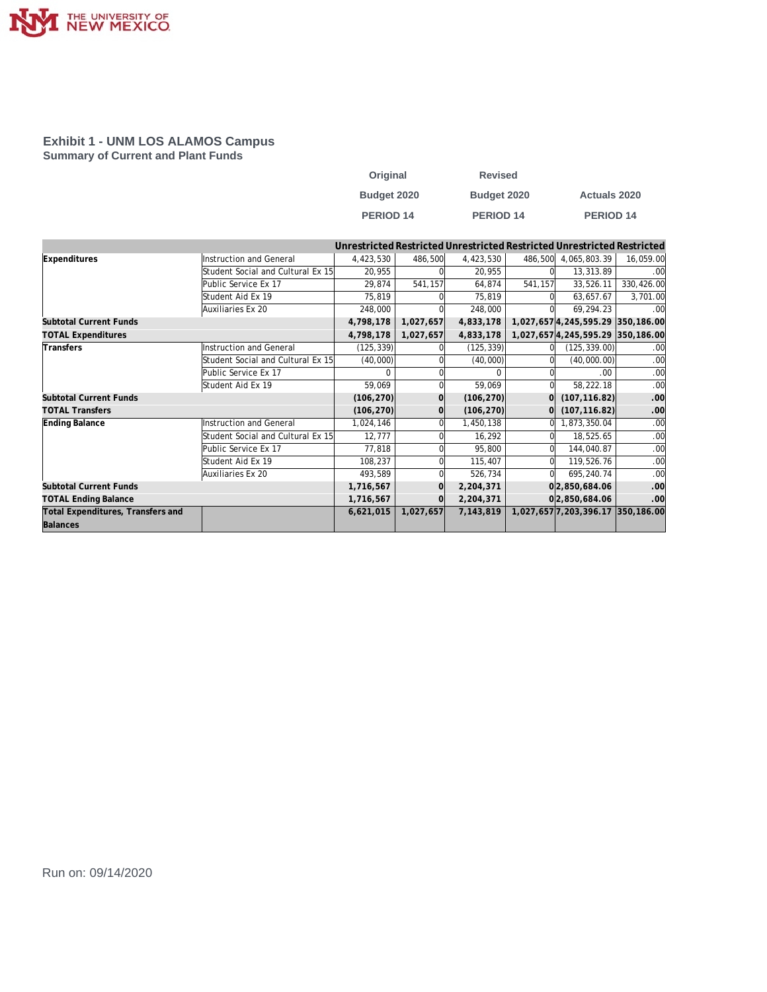

#### **Exhibit 1 - UNM LOS ALAMOS Campus Summary of Current and Plant Funds**

| Original             | <b>Revised</b>       |                     |
|----------------------|----------------------|---------------------|
| Budget 2020          | Budget 2020          | <b>Actuals 2020</b> |
| PERIOD <sub>14</sub> | PERIOD <sub>14</sub> | PERIOD 14           |

|                                   |                                   |            |           |            |          | Unrestricted Restricted Unrestricted Restricted Unrestricted Restricted |                  |
|-----------------------------------|-----------------------------------|------------|-----------|------------|----------|-------------------------------------------------------------------------|------------------|
| Expenditures                      | Instruction and General           | 4,423,530  | 486,500   | 4,423,530  | 486,500  | 4,065,803.39                                                            | 16,059.00        |
|                                   | Student Social and Cultural Ex 15 | 20,955     |           | 20,955     |          | 13,313.89                                                               | .00              |
|                                   | Public Service Ex 17              | 29,874     | 541,157   | 64,874     | 541,157  | 33,526.11                                                               | 330,426.00       |
|                                   | Student Aid Ex 19                 | 75,819     |           | 75,819     |          | 63,657.67                                                               | 3,701.00         |
|                                   | Auxiliaries Ex 20                 | 248,000    |           | 248,000    |          | 69,294.23                                                               | .00              |
| Subtotal Current Funds            |                                   | 4,798,178  | 1,027,657 | 4,833,178  |          | 1,027,657 4,245,595.29 350,186.00                                       |                  |
| <b>TOTAL Expenditures</b>         |                                   | 4,798,178  | 1,027,657 | 4,833,178  |          | 1,027,657 4,245,595.29 350,186.00                                       |                  |
| Transfers                         | Instruction and General           | (125, 339) |           | (125, 339) |          | (125, 339.00)                                                           | .00              |
|                                   | Student Social and Cultural Ex 15 | (40,000)   |           | (40,000)   |          | (40,000.00)                                                             | .00              |
|                                   | Public Service Ex 17              | n          |           |            |          | .00                                                                     | .00              |
|                                   | Student Aid Ex 19                 | 59,069     |           | 59,069     | ΩI       | 58,222.18                                                               | .00              |
| <b>Subtotal Current Funds</b>     |                                   | (106, 270) |           | (106, 270) | $\Omega$ | (107, 116.82)                                                           | .00              |
| <b>TOTAL Transfers</b>            |                                   | (106, 270) | $\Omega$  | (106, 270) | $\Omega$ | (107, 116.82)                                                           | .00              |
| Ending Balance                    | Instruction and General           | 1,024,146  |           | 1,450,138  | 0l       | 1,873,350.04                                                            | .00              |
|                                   | Student Social and Cultural Ex 15 | 12,777     |           | 16,292     |          | 18,525.65                                                               | .00              |
|                                   | Public Service Ex 17              | 77,818     |           | 95,800     |          | 144,040.87                                                              | .00              |
|                                   | Student Aid Ex 19                 | 108,237    |           | 115,407    | ΩI       | 119,526.76                                                              | .00              |
|                                   | Auxiliaries Ex 20                 | 493,589    |           | 526,734    |          | 695,240.74                                                              | .00              |
| Subtotal Current Funds            |                                   | 1,716,567  | $\Omega$  | 2,204,371  |          | 0 2,850,684.06                                                          | .00              |
| <b>TOTAL Ending Balance</b>       |                                   | 1,716,567  |           | 2,204,371  |          | 0 2,850,684.06                                                          | .00 <sub>l</sub> |
| Total Expenditures, Transfers and |                                   | 6,621,015  | 1,027,657 | 7,143,819  |          | 1,027,657 7,203,396.17 350,186.00                                       |                  |
| Balances                          |                                   |            |           |            |          |                                                                         |                  |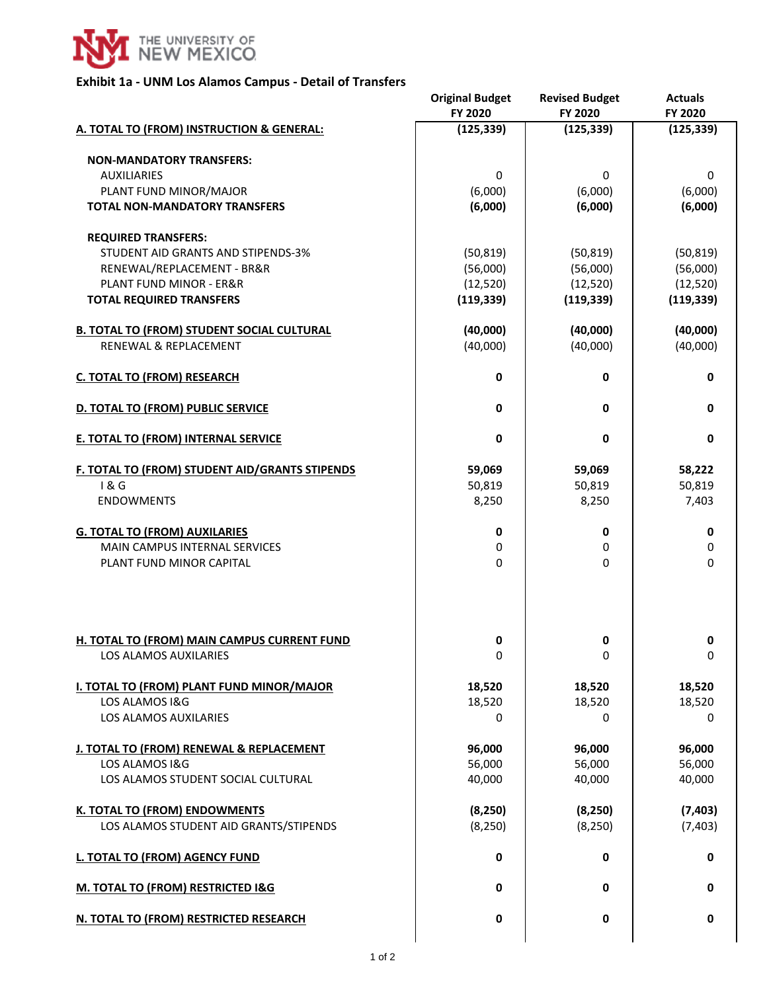

# **Exhibit 1a - UNM Los Alamos Campus - Detail of Transfers**

|                                                             | <b>Original Budget</b><br>FY 2020 | <b>Revised Budget</b><br>FY 2020 | <b>Actuals</b><br>FY 2020 |
|-------------------------------------------------------------|-----------------------------------|----------------------------------|---------------------------|
| A. TOTAL TO (FROM) INSTRUCTION & GENERAL:                   | (125, 339)                        | (125, 339)                       | (125, 339)                |
| <b>NON-MANDATORY TRANSFERS:</b>                             |                                   |                                  |                           |
| <b>AUXILIARIES</b>                                          | 0                                 | 0                                | $\mathbf 0$               |
| PLANT FUND MINOR/MAJOR                                      | (6,000)                           | (6,000)                          | (6,000)                   |
| <b>TOTAL NON-MANDATORY TRANSFERS</b>                        | (6,000)                           | (6,000)                          | (6,000)                   |
| <b>REQUIRED TRANSFERS:</b>                                  |                                   |                                  |                           |
| STUDENT AID GRANTS AND STIPENDS-3%                          | (50, 819)                         | (50, 819)                        | (50, 819)                 |
| RENEWAL/REPLACEMENT - BR&R                                  | (56,000)                          | (56,000)                         | (56,000)                  |
| <b>PLANT FUND MINOR - ER&amp;R</b>                          | (12, 520)                         | (12, 520)                        | (12, 520)                 |
| <b>TOTAL REQUIRED TRANSFERS</b>                             | (119, 339)                        | (119, 339)                       | (119, 339)                |
| <b>B. TOTAL TO (FROM) STUDENT SOCIAL CULTURAL</b>           | (40,000)                          | (40,000)                         | (40,000)                  |
| <b>RENEWAL &amp; REPLACEMENT</b>                            | (40,000)                          | (40,000)                         | (40,000)                  |
| <b>C. TOTAL TO (FROM) RESEARCH</b>                          | 0                                 | 0                                | 0                         |
| D. TOTAL TO (FROM) PUBLIC SERVICE                           | 0                                 | 0                                | $\mathbf 0$               |
| <b>E. TOTAL TO (FROM) INTERNAL SERVICE</b>                  | 0                                 | 0                                | $\mathbf 0$               |
| F. TOTAL TO (FROM) STUDENT AID/GRANTS STIPENDS              | 59,069                            | 59,069                           | 58,222                    |
| 1&6                                                         | 50,819                            | 50,819                           | 50,819                    |
| <b>ENDOWMENTS</b>                                           | 8,250                             | 8,250                            | 7,403                     |
| <b>G. TOTAL TO (FROM) AUXILARIES</b>                        | 0                                 | 0                                | 0                         |
| <b>MAIN CAMPUS INTERNAL SERVICES</b>                        | 0                                 | 0                                | $\pmb{0}$                 |
| PLANT FUND MINOR CAPITAL                                    | $\Omega$                          | 0                                | 0                         |
| H. TOTAL TO (FROM) MAIN CAMPUS CURRENT FUND                 | 0                                 | 0                                | 0                         |
| <b>LOS ALAMOS AUXILARIES</b>                                | 0                                 | 0                                | 0                         |
|                                                             |                                   |                                  |                           |
| I. TOTAL TO (FROM) PLANT FUND MINOR/MAJOR<br>LOS ALAMOS I&G | 18,520<br>18,520                  | 18,520<br>18,520                 | 18,520<br>18,520          |
| LOS ALAMOS AUXILARIES                                       | 0                                 | 0                                | 0                         |
|                                                             |                                   |                                  |                           |
| J. TOTAL TO (FROM) RENEWAL & REPLACEMENT<br>LOS ALAMOS I&G  | 96,000<br>56,000                  | 96,000<br>56,000                 | 96,000<br>56,000          |
| LOS ALAMOS STUDENT SOCIAL CULTURAL                          | 40,000                            | 40,000                           | 40,000                    |
|                                                             |                                   |                                  |                           |
| <b>K. TOTAL TO (FROM) ENDOWMENTS</b>                        | (8, 250)                          | (8, 250)                         | (7, 403)                  |
| LOS ALAMOS STUDENT AID GRANTS/STIPENDS                      | (8, 250)                          | (8, 250)                         | (7, 403)                  |
| <b>L. TOTAL TO (FROM) AGENCY FUND</b>                       | $\mathbf 0$                       | 0                                | 0                         |
| M. TOTAL TO (FROM) RESTRICTED I&G                           | 0                                 | 0                                | 0                         |
| N. TOTAL TO (FROM) RESTRICTED RESEARCH                      | 0                                 | 0                                | $\mathbf 0$               |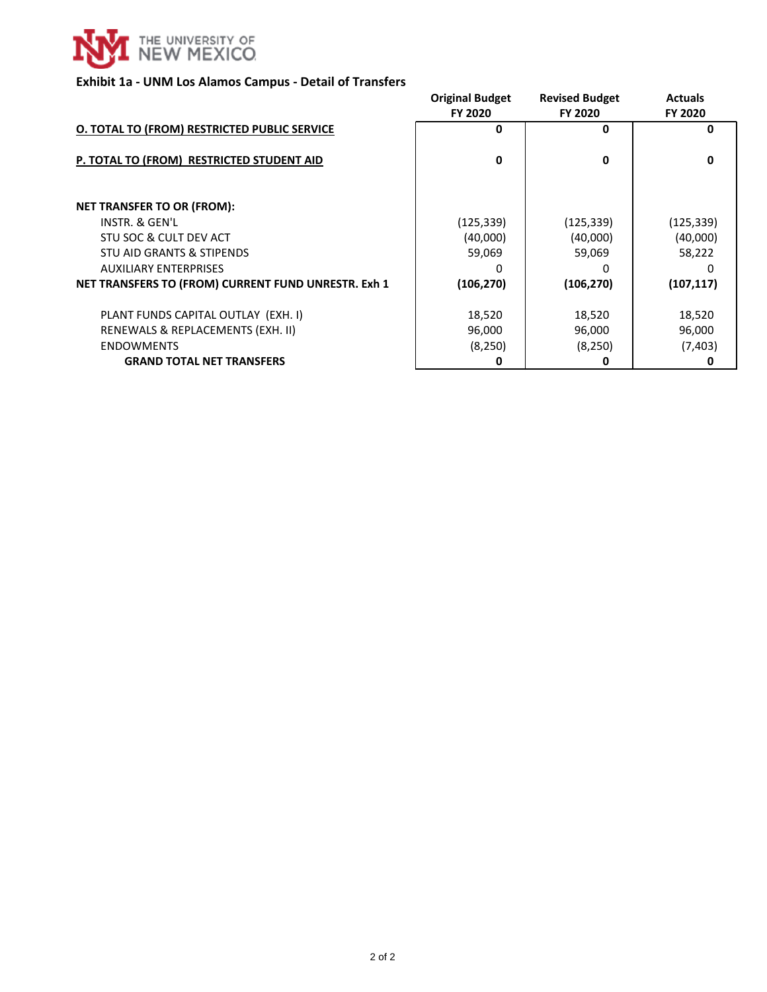

#### **Exhibit 1a - UNM Los Alamos Campus - Detail of Transfers**

|                                                     | <b>Original Budget</b><br>FY 2020 | <b>Revised Budget</b><br>FY 2020 | <b>Actuals</b><br>FY 2020 |
|-----------------------------------------------------|-----------------------------------|----------------------------------|---------------------------|
| O. TOTAL TO (FROM) RESTRICTED PUBLIC SERVICE        | 0                                 | 0                                | 0                         |
|                                                     |                                   |                                  |                           |
| P. TOTAL TO (FROM) RESTRICTED STUDENT AID           | 0                                 | 0                                | <sup>0</sup>              |
|                                                     |                                   |                                  |                           |
| <b>NET TRANSFER TO OR (FROM):</b>                   |                                   |                                  |                           |
| INSTR. & GEN'L                                      | (125, 339)                        | (125, 339)                       | (125, 339)                |
| STU SOC & CULT DEV ACT                              | (40,000)                          | (40,000)                         | (40,000)                  |
| STU AID GRANTS & STIPENDS                           | 59,069                            | 59,069                           | 58,222                    |
| <b>AUXILIARY ENTERPRISES</b>                        | O                                 | O                                | O                         |
| NET TRANSFERS TO (FROM) CURRENT FUND UNRESTR. Exh 1 | (106, 270)                        | (106, 270)                       | (107, 117)                |
| PLANT FUNDS CAPITAL OUTLAY (EXH. I)                 | 18,520                            | 18,520                           | 18,520                    |
| RENEWALS & REPLACEMENTS (EXH. II)                   | 96,000                            | 96,000                           | 96,000                    |
| <b>ENDOWMENTS</b>                                   | (8,250)                           | (8,250)                          | (7, 403)                  |
| <b>GRAND TOTAL NET TRANSFERS</b>                    | O                                 | 0                                | 0                         |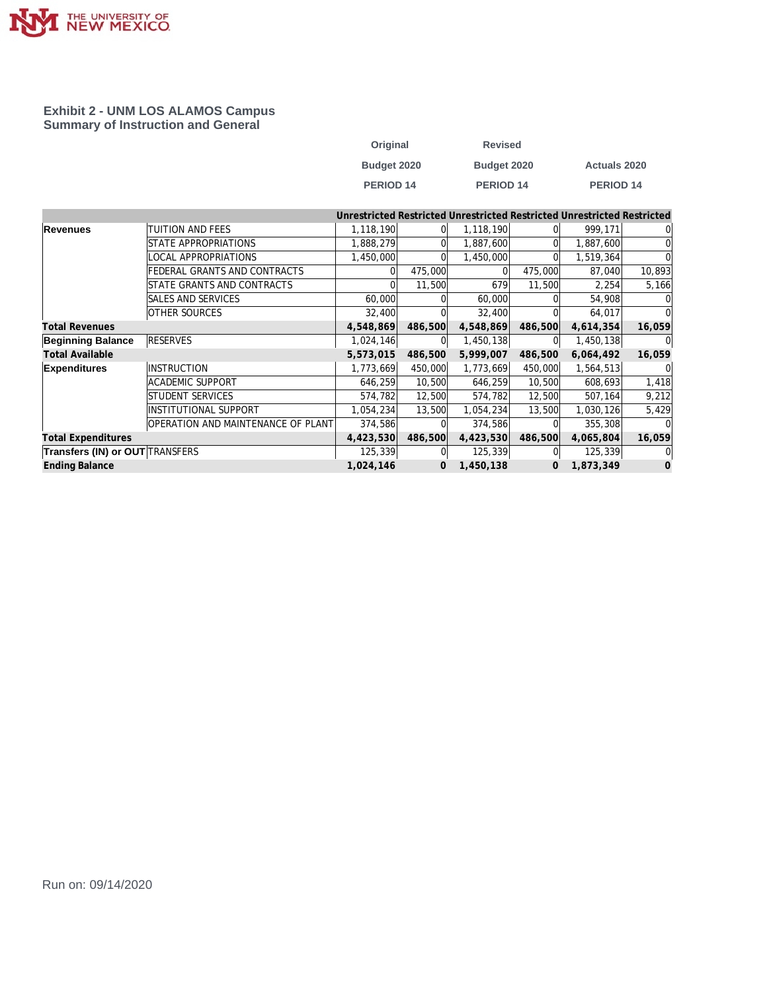

#### **Exhibit 2 - UNM LOS ALAMOS Campus Summary of Instruction and General**

| Original         | <b>Revised</b>       |                      |
|------------------|----------------------|----------------------|
| Budget 2020      | Budget 2020          | <b>Actuals 2020</b>  |
| <b>PERIOD 14</b> | PERIOD <sub>14</sub> | PERIOD <sub>14</sub> |

|                                        |                                    | Unrestricted Restricted Unrestricted Restricted Unrestricted Restricted |                |           |         |           |          |
|----------------------------------------|------------------------------------|-------------------------------------------------------------------------|----------------|-----------|---------|-----------|----------|
| Revenues                               | <b>TUITION AND FEES</b>            | 1,118,190                                                               |                | 1,118,190 |         | 999,171   | 01       |
|                                        | <b>ISTATE APPROPRIATIONS</b>       | 1,888,279                                                               |                | 1,887,600 |         | 1,887,600 | $\Omega$ |
|                                        | LOCAL APPROPRIATIONS               | 1,450,000                                                               |                | 1,450,000 |         | 1,519,364 | $\Omega$ |
|                                        | FEDERAL GRANTS AND CONTRACTS       |                                                                         | 475,000        |           | 475,000 | 87,040    | 10,893   |
|                                        | <b>ISTATE GRANTS AND CONTRACTS</b> |                                                                         | 11,500         | 679       | 11,500  | 2,254     | 5,166    |
|                                        | <b>SALES AND SERVICES</b>          | 60,000                                                                  |                | 60,000    |         | 54,908    |          |
|                                        | <b>OTHER SOURCES</b>               | 32,400                                                                  |                | 32,400    |         | 64,017    | $\Omega$ |
| <b>Total Revenues</b>                  |                                    | 4,548,869                                                               | 486,500        | 4,548,869 | 486,500 | 4,614,354 | 16,059   |
| <b>Beginning Balance</b>               | <b>RESERVES</b>                    | 1,024,146                                                               | $\Omega$       | 1,450,138 |         | 1,450,138 | 0        |
| <b>Total Available</b>                 |                                    | 5,573,015                                                               | 486,500        | 5,999,007 | 486,500 | 6,064,492 | 16,059   |
| <b>Expenditures</b>                    | INSTRUCTION                        | 1,773,669                                                               | 450,000        | 1,773,669 | 450,000 | 1,564,513 | $\Omega$ |
|                                        | ACADEMIC SUPPORT                   | 646,259                                                                 | 10,500         | 646,259   | 10,500  | 608,693   | 1,418    |
|                                        | <b>STUDENT SERVICES</b>            | 574,782                                                                 | 12,500         | 574,782   | 12,500  | 507,164   | 9,212    |
|                                        | <b>INSTITUTIONAL SUPPORT</b>       | 1,054,234                                                               | 13,500         | 1,054,234 | 13,500  | 1,030,126 | 5,429    |
|                                        | OPERATION AND MAINTENANCE OF PLANT | 374,586                                                                 |                | 374,586   |         | 355,308   |          |
| <b>Total Expenditures</b>              |                                    | 4,423,530                                                               | 486,500        | 4,423,530 | 486,500 | 4,065,804 | 16,059   |
| <b>Transfers (IN) or OUT TRANSFERS</b> |                                    | 125,339                                                                 |                | 125,339   |         | 125,339   | $\Omega$ |
| <b>Ending Balance</b>                  |                                    | 1,024,146                                                               | $\overline{0}$ | 1,450,138 | 0       | 1,873,349 | $\Omega$ |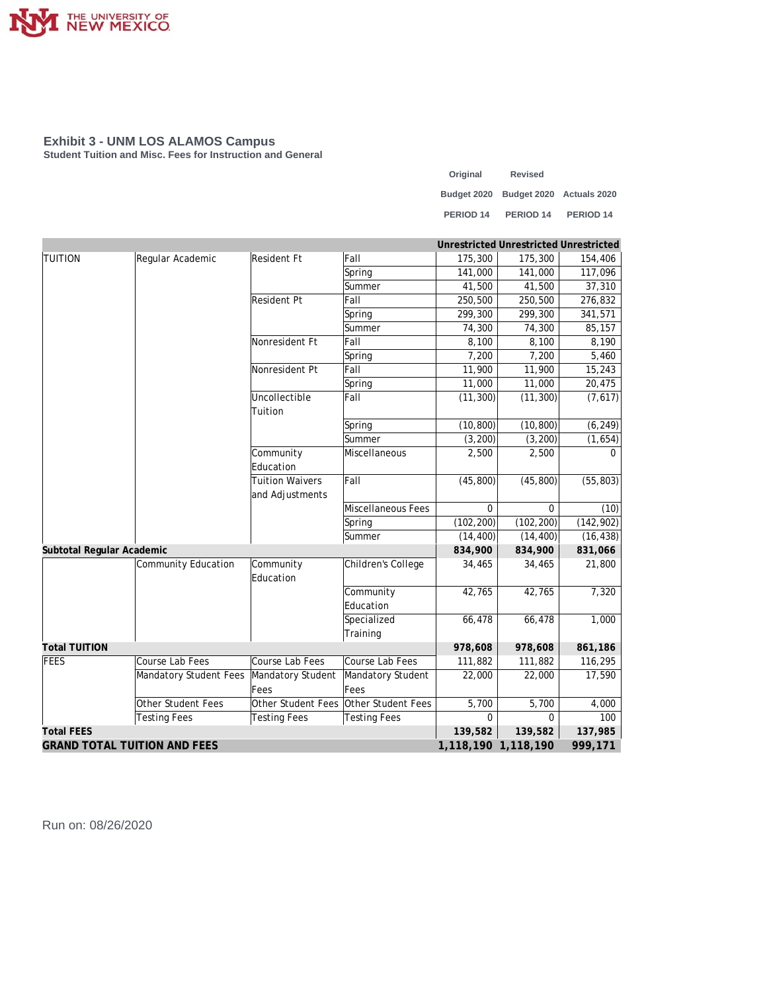

**Student Tuition and Misc. Fees for Instruction and General**

| Original             | <b>Revised</b>                       |                      |
|----------------------|--------------------------------------|----------------------|
|                      | Budget 2020 Budget 2020 Actuals 2020 |                      |
| PERIOD <sub>14</sub> | PERIOD <sub>14</sub>                 | PERIOD <sub>14</sub> |

|                                     |                        |                        |                     |                     | Unrestricted Unrestricted Unrestricted |            |
|-------------------------------------|------------------------|------------------------|---------------------|---------------------|----------------------------------------|------------|
| <b>TUITION</b>                      | Regular Academic       | Resident Ft            | Fall                | 175,300             | 175,300                                | 154,406    |
|                                     |                        |                        | Spring              | 141,000             | 141,000                                | 117,096    |
|                                     |                        |                        | Summer              | 41,500              | 41,500                                 | 37,310     |
|                                     |                        | <b>Resident Pt</b>     | Fall                | 250,500             | 250,500                                | 276,832    |
|                                     |                        |                        | Spring              | 299,300             | 299,300                                | 341,571    |
|                                     |                        |                        | Summer              | 74,300              | 74,300                                 | 85,157     |
|                                     |                        | Nonresident Ft         | Fall                | 8,100               | 8,100                                  | 8,190      |
|                                     |                        |                        | Spring              | 7,200               | 7,200                                  | 5,460      |
|                                     |                        | Nonresident Pt         | Fall                | 11,900              | 11,900                                 | 15,243     |
|                                     |                        |                        | Spring              | 11,000              | 11,000                                 | 20,475     |
|                                     |                        | Uncollectible          | Fall                | (11, 300)           | (11, 300)                              | (7,617)    |
|                                     |                        | Tuition                |                     |                     |                                        |            |
|                                     |                        |                        | Spring              | (10, 800)           | (10, 800)                              | (6, 249)   |
|                                     |                        |                        | Summer              | (3, 200)            | (3, 200)                               | (1,654)    |
|                                     |                        | Community              | Miscellaneous       | 2,500               | 2,500                                  | $\Omega$   |
|                                     |                        | Education              |                     |                     |                                        |            |
|                                     |                        | <b>Tuition Waivers</b> | Fall                | (45, 800)           | (45, 800)                              | (55, 803)  |
|                                     |                        | and Adjustments        |                     |                     |                                        |            |
|                                     |                        |                        | Miscellaneous Fees  | $\Omega$            | $\Omega$                               | (10)       |
|                                     |                        |                        | Spring              | (102, 200)          | (102, 200)                             | (142, 902) |
|                                     |                        |                        | Summer              | (14, 400)           | (14, 400)                              | (16, 438)  |
| Subtotal Regular Academic           |                        |                        |                     | 834,900             | 834,900                                | 831,066    |
|                                     | Community Education    | Community              | Children's College  | 34,465              | 34,465                                 | 21,800     |
|                                     |                        | Education              |                     |                     |                                        |            |
|                                     |                        |                        | Community           | 42,765              | 42,765                                 | 7,320      |
|                                     |                        |                        | Education           |                     |                                        |            |
|                                     |                        |                        | Specialized         | 66,478              | 66,478                                 | 1,000      |
|                                     |                        |                        | Training            |                     |                                        |            |
| <b>Total TUITION</b>                |                        |                        |                     | 978,608             | 978,608                                | 861,186    |
| FEES                                | Course Lab Fees        | Course Lab Fees        | Course Lab Fees     | 111,882             | 111,882                                | 116,295    |
|                                     | Mandatory Student Fees | Mandatory Student      | Mandatory Student   | 22,000              | 22,000                                 | 17,590     |
|                                     |                        | Fees                   | Fees                |                     |                                        |            |
|                                     | Other Student Fees     | Other Student Fees     | Other Student Fees  | 5,700               | 5,700                                  | 4,000      |
|                                     | <b>Testing Fees</b>    | <b>Testing Fees</b>    | <b>Testing Fees</b> | $\mathbf 0$         | 0                                      | 100        |
| <b>Total FEES</b>                   |                        |                        |                     | 139,582             | 139,582                                | 137,985    |
| <b>GRAND TOTAL TUITION AND FEES</b> |                        |                        |                     | 1,118,190 1,118,190 |                                        | 999,171    |

Run on: 08/26/2020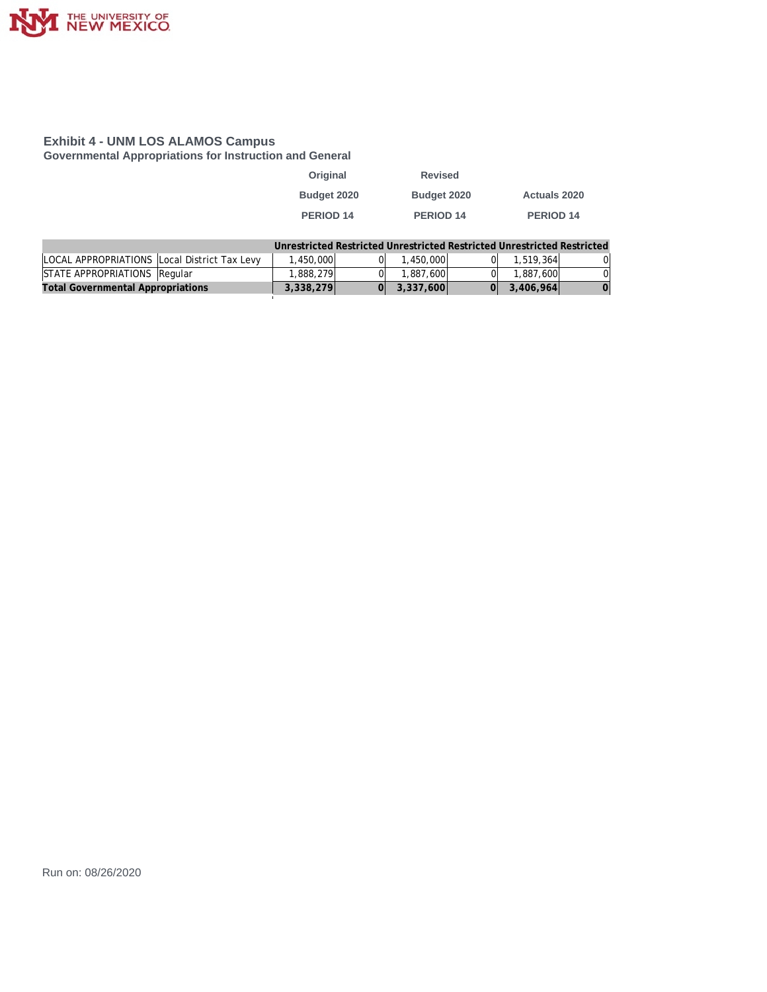

**Governmental Appropriations for Instruction and General**

| Original         | <b>Revised</b>   |                     |
|------------------|------------------|---------------------|
| Budget 2020      | Budget 2020      | <b>Actuals 2020</b> |
| <b>PERIOD 14</b> | <b>PERIOD 14</b> | <b>PERIOD 14</b>    |

|                                              | Unrestricted Restricted Unrestricted Restricted Unrestricted Restricted |           |           |    |
|----------------------------------------------|-------------------------------------------------------------------------|-----------|-----------|----|
| LOCAL APPROPRIATIONS Local District Tax Levy | 1,450,000                                                               | .450.000  | 1,519,364 | ЭL |
| STATE APPROPRIATIONS Regular                 | ا388.279. ا                                                             | 1,887,600 | 1,887,600 | 0I |
| <b>Total Governmental Appropriations</b>     | 3,338,279                                                               | 3,337,600 | 3,406,964 |    |
|                                              |                                                                         |           |           |    |

Run on: 08/26/2020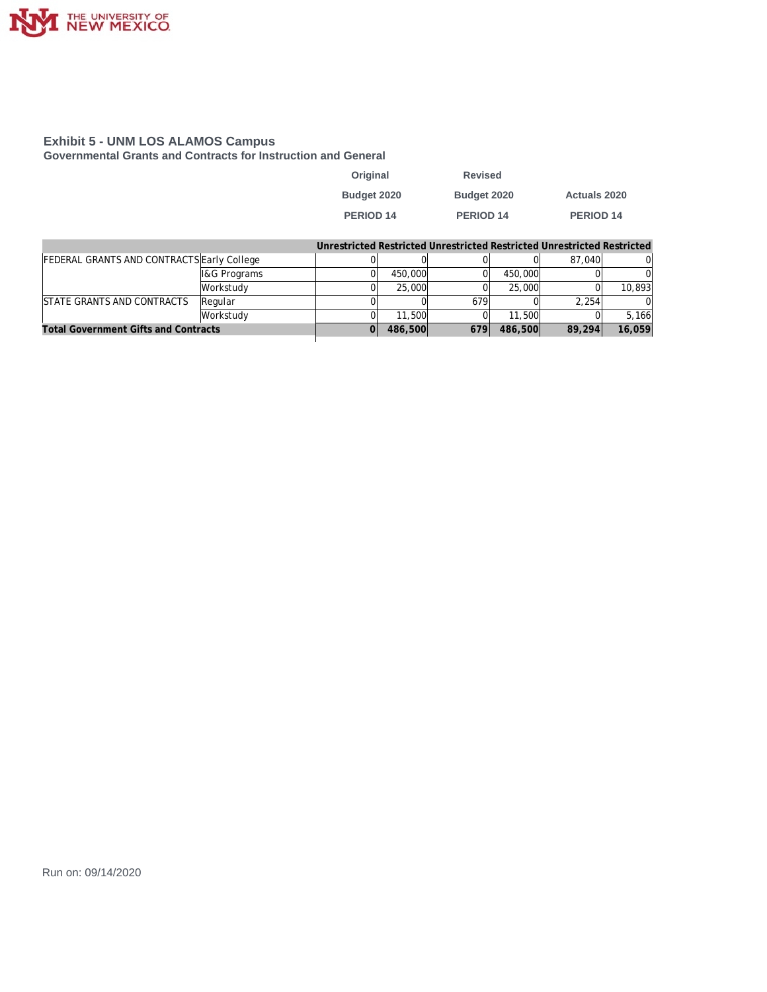

**Governmental Grants and Contracts for Instruction and General**

| Original    | <b>Revised</b> |                     |
|-------------|----------------|---------------------|
| Budget 2020 | Budget 2020    | <b>Actuals 2020</b> |
| PERIOD 14   | PERIOD 14      | PERIOD 14           |

| Unrestricted Restricted Unrestricted Restricted Unrestricted Restricted |
|-------------------------------------------------------------------------|
|-------------------------------------------------------------------------|

| FEDERAL GRANTS AND CONTRACTS Early College  |                          |         |         |         | 87.040 |        |
|---------------------------------------------|--------------------------|---------|---------|---------|--------|--------|
|                                             | <b>II&amp;G Programs</b> | 450,000 |         | 450,000 |        |        |
|                                             | lWorkstudv               | 25,000  |         | 25,000  |        | 10,893 |
| STATE GRANTS AND CONTRACTS                  | Regular                  |         | 679     |         | 2.254  |        |
|                                             | Workstudy                | 11,500  |         | 11,500  |        | 5.166  |
| <b>Total Government Gifts and Contracts</b> | 486,500                  | 679     | 486,500 | 89,294  | 16,059 |        |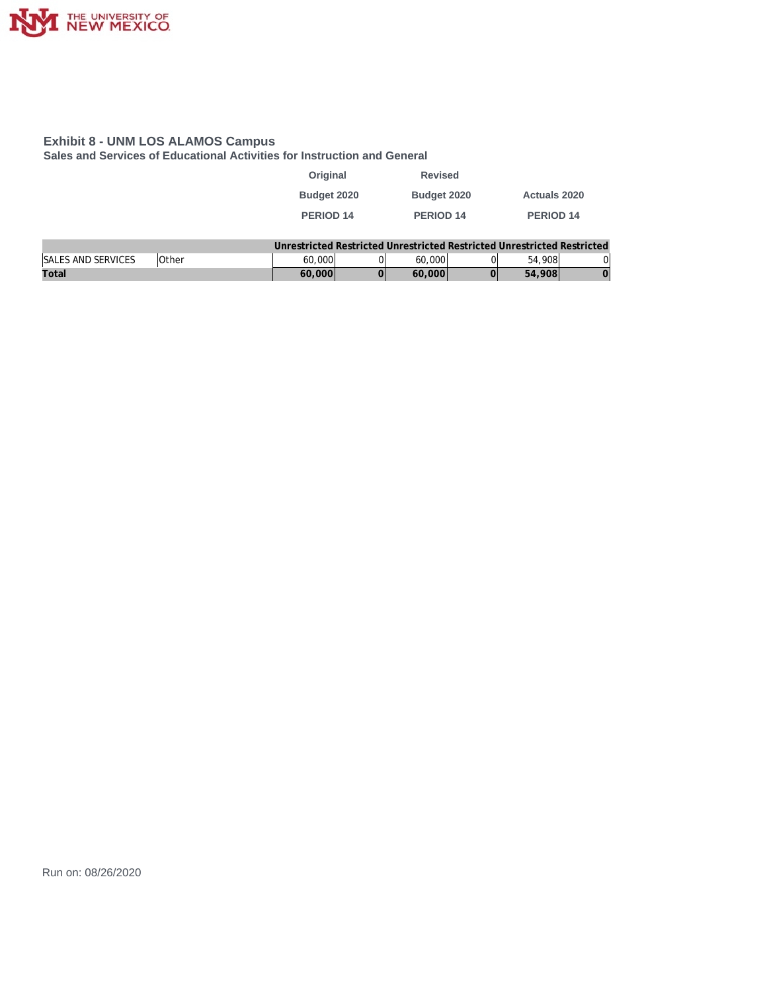

**Sales and Services of Educational Activities for Instruction and General**

| Original    | <b>Revised</b>       |                     |
|-------------|----------------------|---------------------|
| Budget 2020 | Budget 2020          | <b>Actuals 2020</b> |
| PERIOD 14   | PERIOD <sub>14</sub> | <b>PERIOD 14</b>    |
|             |                      |                     |

|                           |              |        |        | Unrestricted Restricted Unrestricted Restricted Unrestricted Restricted |    |
|---------------------------|--------------|--------|--------|-------------------------------------------------------------------------|----|
| <b>SALES AND SERVICES</b> | <b>Other</b> | 60,000 | 60,000 | 54,908                                                                  | 0l |
| Total                     |              | 60,000 | 60,000 | 54,908                                                                  |    |

Run on: 08/26/2020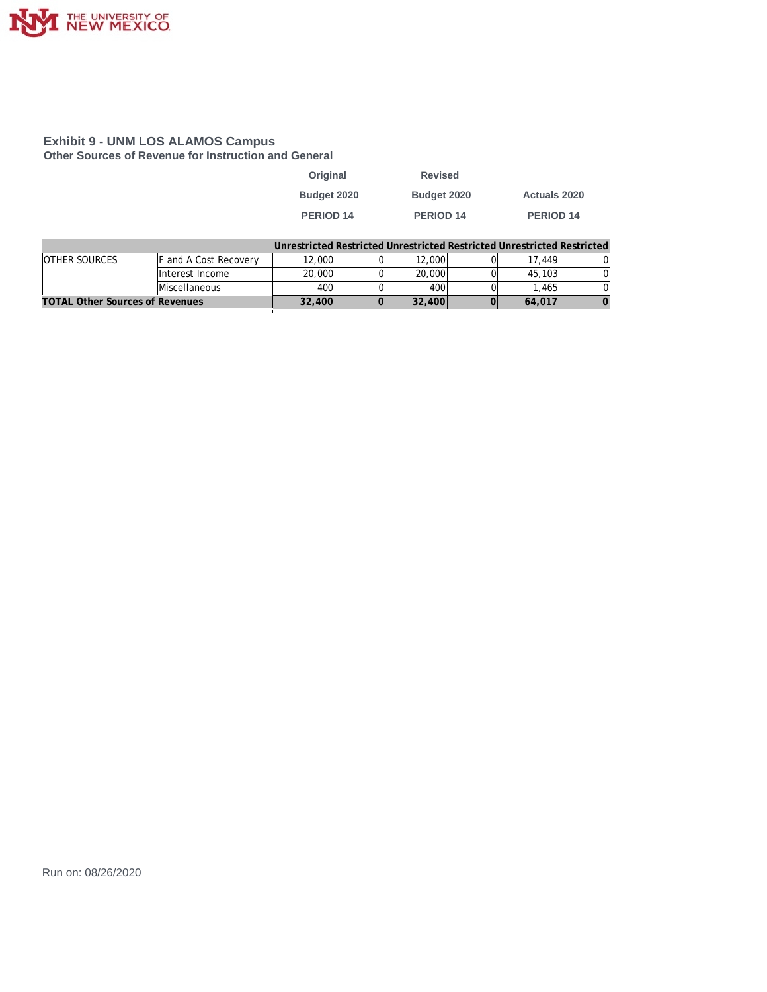

#### **Exhibit 9 - UNM LOS ALAMOS Campus Other Sources of Revenue for Instruction and General**

| Original         | <b>Revised</b>   |                     |
|------------------|------------------|---------------------|
| Budget 2020      | Budget 2020      | <b>Actuals 2020</b> |
| <b>PERIOD 14</b> | <b>PERIOD 14</b> | <b>PERIOD 14</b>    |
|                  |                  |                     |

|                                        |                       |        |        | Unrestricted Restricted Unrestricted Restricted Unrestricted Restricted |  |
|----------------------------------------|-----------------------|--------|--------|-------------------------------------------------------------------------|--|
| <b>OTHER SOURCES</b>                   | F and A Cost Recovery | 12,000 | 12,000 | 17.449                                                                  |  |
|                                        | Interest Income       | 20,000 | 20,000 | 45,103                                                                  |  |
|                                        | Miscellaneous         | 400    | 400    | .465                                                                    |  |
| <b>TOTAL Other Sources of Revenues</b> |                       | 32,400 | 32,400 | 64,017                                                                  |  |

Run on: 08/26/2020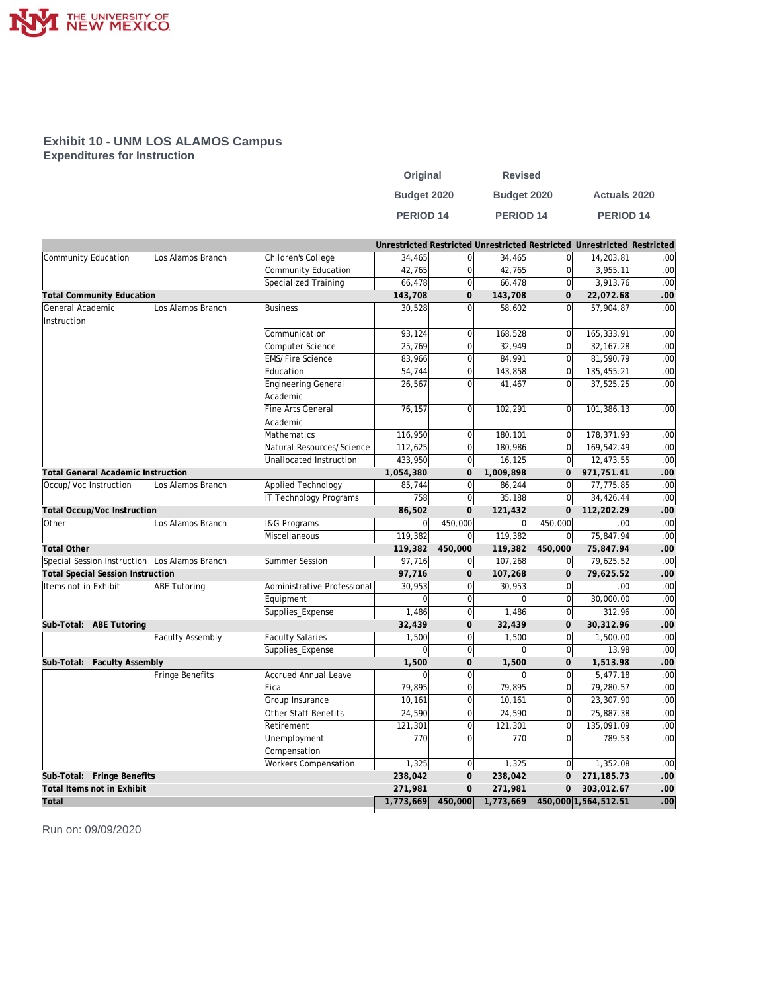

#### **Exhibit 10 - UNM LOS ALAMOS Campus Expenditures for Instruction**

| Original         | <b>Revised</b> |                      |
|------------------|----------------|----------------------|
| Budget 2020      | Budget 2020    | <b>Actuals 2020</b>  |
| <b>PERIOD 14</b> | PERIOD 14      | PERIOD <sub>14</sub> |

|                                               |                         |                               |                |                |             |                     | Unrestricted Restricted Unrestricted Restricted Unrestricted Restricted |                  |
|-----------------------------------------------|-------------------------|-------------------------------|----------------|----------------|-------------|---------------------|-------------------------------------------------------------------------|------------------|
| Community Education                           | Los Alamos Branch       | Children's College            | 34,465         | $\overline{0}$ | 34,465      | 0                   | 14,203.81                                                               | .00              |
|                                               |                         | Community Education           | 42,765         | $\overline{0}$ | 42,765      | 0                   | 3,955.11                                                                | .00              |
|                                               |                         | Specialized Training          | 66,478         | $\overline{0}$ | 66,478      | 0                   | 3,913.76                                                                | .00              |
| <b>Total Community Education</b>              |                         | 143,708                       | 0              | 143,708        | $\mathbf 0$ | 22,072.68           | .00                                                                     |                  |
| General Academic                              | Los Alamos Branch       | <b>Business</b>               | 30,528         | $\overline{0}$ | 58,602      | <sub>0</sub>        | 57,904.87                                                               | .00              |
| Instruction                                   |                         |                               |                |                |             |                     |                                                                         |                  |
|                                               |                         | Communication                 | 93,124         | $\overline{0}$ | 168,528     | $\overline{0}$      | 165,333.91                                                              | .00              |
|                                               |                         | Computer Science              | 25,769         | $\overline{0}$ | 32,949      | $\overline{0}$      | 32, 167.28                                                              | .00              |
|                                               |                         | <b>EMS/Fire Science</b>       | 83,966         | $\overline{0}$ | 84,991      | $\overline{0}$      | 81,590.79                                                               | .00              |
|                                               |                         | Education                     | 54,744         | $\overline{0}$ | 143,858     | $\overline{0}$      | 135,455.21                                                              | .00              |
|                                               |                         | <b>Engineering General</b>    | 26,567         | $\overline{0}$ | 41,467      | 0l                  | 37,525.25                                                               | .00              |
|                                               |                         | Academic                      |                |                |             |                     |                                                                         |                  |
|                                               |                         | Fine Arts General             | 76,157         | $\overline{0}$ | 102,291     | $\overline{0}$      | 101,386.13                                                              | .00              |
|                                               |                         | Academic                      |                |                |             |                     |                                                                         |                  |
|                                               |                         | Mathematics                   | 116,950        | $\overline{0}$ | 180,101     | 0                   | 178,371.93                                                              | .00              |
|                                               |                         | Natural Resources/Science     | 112,625        | $\Omega$       | 180,986     | $\overline{0}$      | 169,542.49                                                              | .00              |
|                                               |                         | Unallocated Instruction       | 433,950        | $\overline{0}$ | 16,125      | 0                   | 12,473.55                                                               | .00              |
| <b>Total General Academic Instruction</b>     |                         |                               | 1,054,380      | $\mathbf{O}$   | 1,009,898   | $\mathbf{O}$        | 971,751.41                                                              | .00              |
| Occup/Voc Instruction                         | Los Alamos Branch       | Applied Technology            | 85,744         | $\overline{0}$ | 86,244      | 0                   | 77,775.85                                                               | $\overline{.00}$ |
|                                               |                         | <b>IT Technology Programs</b> | 758            | $\overline{0}$ | 35,188      | $\mathsf{O}$        | 34,426.44                                                               | .00              |
| Total Occup/Voc Instruction                   |                         |                               | 86,502         | $\mathbf 0$    | 121,432     | $\mathsf{O}\xspace$ | 112,202.29                                                              | .00              |
| Other                                         | Los Alamos Branch       | I&G Programs                  | $\overline{0}$ | 450,000        | $\mathbf 0$ | 450,000             | .00                                                                     | .00              |
|                                               |                         | Miscellaneous                 | 119,382        | $\overline{0}$ | 119,382     | 0                   | 75,847.94                                                               | $\overline{.00}$ |
| <b>Total Other</b>                            |                         |                               | 119,382        | 450,000        | 119,382     | 450,000             | 75,847.94                                                               | .00              |
| Special Session Instruction Los Alamos Branch |                         | Summer Session                | 97,716         | $\overline{0}$ | 107,268     | 0                   | 79,625.52                                                               | .00              |
| <b>Total Special Session Instruction</b>      |                         |                               | 97,716         | 0              | 107,268     | $\mathbf{O}$        | 79,625.52                                                               | .00              |
| Items not in Exhibit                          | <b>ABE Tutoring</b>     | Administrative Professional   | 30,953         | $\overline{0}$ | 30,953      | 0                   | .00.                                                                    | .00              |
|                                               |                         | Equipment                     | $\overline{0}$ | $\overline{0}$ | $\Omega$    | 0                   | 30,000.00                                                               | .00              |
|                                               |                         | Supplies_Expense              | 1,486          | $\overline{0}$ | 1,486       | $\overline{0}$      | 312.96                                                                  | .00              |
| Sub-Total: ABE Tutoring                       |                         |                               | 32,439         | 0              | 32,439      | $\mathbf 0$         | 30,312.96                                                               | .00              |
|                                               | <b>Faculty Assembly</b> | <b>Faculty Salaries</b>       | 1,500          | $\overline{0}$ | 1,500       | 0                   | 1,500.00                                                                | .00              |
|                                               |                         | Supplies_Expense              | $\mathbf 0$    | $\overline{0}$ | $\mathbf 0$ | 0                   | 13.98                                                                   | .00              |
| Sub-Total: Faculty Assembly                   |                         |                               | 1,500          | $\mathbf{0}$   | 1,500       | $\mathbf 0$         | 1,513.98                                                                | .00              |
|                                               | Fringe Benefits         | <b>Accrued Annual Leave</b>   | $\overline{0}$ | $\overline{0}$ | $\Omega$    | $\circ$             | 5,477.18                                                                | .00              |
|                                               |                         | Fica                          | 79,895         | $\overline{0}$ | 79,895      | $\overline{0}$      | 79,280.57                                                               | .00              |
|                                               |                         | Group Insurance               | 10,161         | $\overline{0}$ | 10,161      | 0                   | 23,307.90                                                               | .00              |
|                                               |                         | Other Staff Benefits          | 24,590         | $\overline{0}$ | 24,590      | 0                   | 25,887.38                                                               | .00              |
|                                               |                         | Retirement                    | 121,301        | $\overline{0}$ | 121,301     | $\overline{0}$      | 135,091.09                                                              | .00              |
|                                               |                         | Unemployment                  | 770            | $\overline{0}$ | 770         | $\overline{0}$      | 789.53                                                                  | .00              |
|                                               |                         | Compensation                  |                |                |             |                     |                                                                         |                  |
|                                               |                         | Workers Compensation          | 1,325          | $\overline{0}$ | 1,325       | 0                   | 1,352.08                                                                | .00              |
| Sub-Total: Fringe Benefits                    |                         |                               | 238,042        | $\mathbf{O}$   | 238,042     | $\mathbf{O}$        | 271,185.73                                                              | .00              |
| Total Items not in Exhibit                    |                         |                               | 271,981        | $\mathbf 0$    | 271,981     | $\mathbf{O}$        | 303,012.67                                                              | .00              |
| Total                                         |                         |                               | 1,773,669      | 450,000        | 1,773,669   |                     | 450,000 1,564,512.51                                                    | .00.             |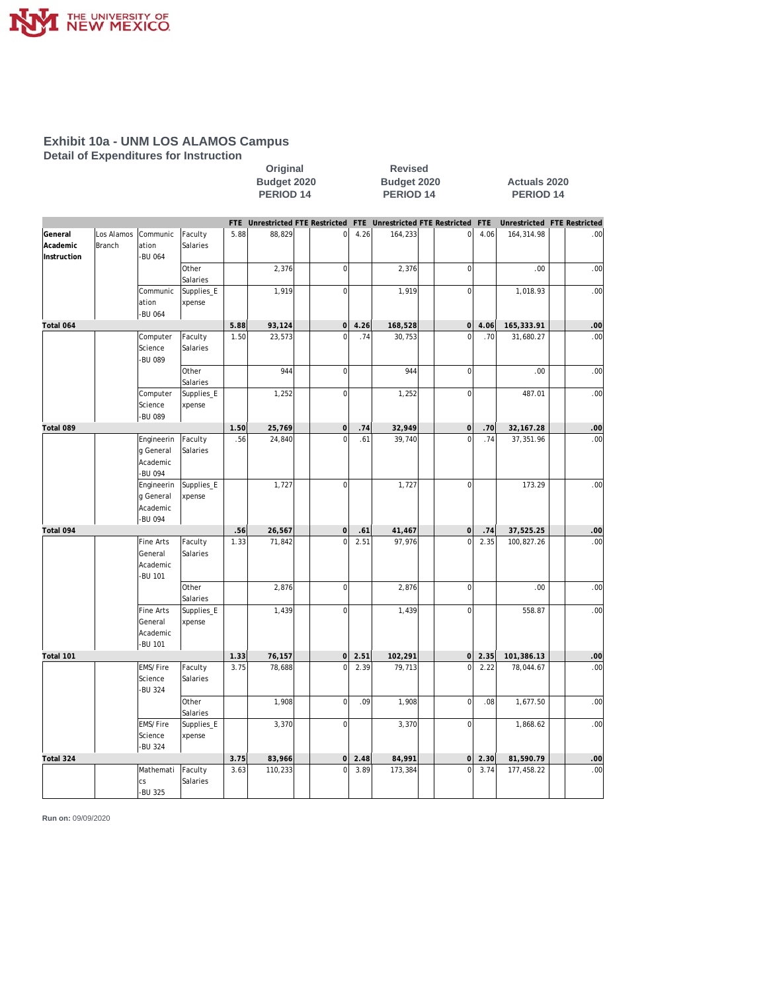

**Detail of Expenditures for Instruction**

|                                    |                      |                                                          |                      |      | Budget 2020<br><b>PERIOD 14</b> |                     |      | Budget 2020<br><b>PERIOD 14</b> |                             | <b>Actuals 2020</b><br>PERIOD <sub>14</sub> |                             |  |                  |  |  |
|------------------------------------|----------------------|----------------------------------------------------------|----------------------|------|---------------------------------|---------------------|------|---------------------------------|-----------------------------|---------------------------------------------|-----------------------------|--|------------------|--|--|
|                                    |                      |                                                          |                      | FTE  | Unrestricted FTE Restricted FTE |                     |      |                                 | Unrestricted FTE Restricted | <b>FTE</b>                                  | Unrestricted FTE Restricted |  |                  |  |  |
| General<br>Academic<br>Instruction | Los Alamos<br>Branch | Communic<br>ation<br><b>BU 064</b>                       | Faculty<br>Salaries  | 5.88 | 88,829                          | 0                   | 4.26 | 164,233                         | $\mathbf 0$                 | 4.06                                        | 164,314.98                  |  | .00 <sub>1</sub> |  |  |
|                                    |                      |                                                          | Other<br>Salaries    |      | 2,376                           | 0                   |      | 2,376                           | $\overline{0}$              |                                             | .00                         |  | .00              |  |  |
|                                    |                      | Communic<br>ation<br>-BU 064                             | Supplies_E<br>xpense |      | 1,919                           | $\overline{0}$      |      | 1,919                           | $\mathbf 0$                 |                                             | 1,018.93                    |  | .00              |  |  |
| Total 064                          |                      |                                                          |                      | 5.88 | 93,124                          | $\mathsf{O}\xspace$ | 4.26 | 168,528                         | $\mathsf{O}\xspace$         | 4.06                                        | 165,333.91                  |  | .00              |  |  |
|                                    |                      | Computer<br>Science<br><b>BU 089</b>                     | Faculty<br>Salaries  | 1.50 | 23,573                          | $\mathbf 0$         | .74  | 30,753                          | $\overline{0}$              | .70                                         | 31,680.27                   |  | .00              |  |  |
|                                    |                      |                                                          | Other<br>Salaries    |      | 944                             | $\overline{0}$      |      | 944                             | $\mathbf 0$                 |                                             | .00                         |  | .00              |  |  |
|                                    |                      | Computer<br>Science<br>-BU 089                           | Supplies_E<br>xpense |      | 1,252                           | $\mathbf{0}$        |      | 1,252                           | $\overline{0}$              |                                             | 487.01                      |  | .00              |  |  |
| Total 089                          |                      |                                                          |                      | 1.50 | 25,769                          | $\circ$             | .74  | 32,949                          | $\mathbf 0$                 | .70                                         | 32, 167.28                  |  | .00              |  |  |
|                                    |                      | Engineerin<br>g General<br>Academic<br><b>BU 094</b>     | Faculty<br>Salaries  | .56  | 24,840                          | $\mathbf 0$         | .61  | 39,740                          | $\overline{0}$              | .74                                         | 37,351.96                   |  | .00              |  |  |
|                                    |                      | Engineerin<br>g General<br>Academic<br>-BU 094           | Supplies_E<br>xpense |      | 1,727                           | $\overline{0}$      |      | 1,727                           | $\mathbf 0$                 |                                             | 173.29                      |  | .00              |  |  |
| Total 094                          |                      |                                                          |                      | .56  | 26,567                          | $\Omega$            | .61  | 41,467                          | $\mathbf 0$                 | .74                                         | 37,525.25                   |  | .00              |  |  |
|                                    |                      | <b>Fine Arts</b><br>General<br>Academic<br><b>BU 101</b> | Faculty<br>Salaries  | 1.33 | 71,842                          | $\mathbf 0$         | 2.51 | 97,976                          | $\overline{0}$              | 2.35                                        | 100,827.26                  |  | .00              |  |  |
|                                    |                      |                                                          | Other<br>Salaries    |      | 2,876                           | $\circ$             |      | 2,876                           | $\mathbf 0$                 |                                             | .00                         |  | .00              |  |  |
|                                    |                      | <b>Fine Arts</b><br>General<br>Academic<br>-BU 101       | Supplies_E<br>xpense |      | 1,439                           | $\overline{0}$      |      | 1,439                           | $\mathbf 0$                 |                                             | 558.87                      |  | .00              |  |  |
| Total 101                          |                      |                                                          |                      | 1.33 | 76,157                          | 0                   | 2.51 | 102,291                         | $\mathsf{O}\xspace$         | 2.35                                        | 101,386.13                  |  | .00              |  |  |
|                                    |                      | EMS/Fire<br>Science<br><b>BU 324</b>                     | Faculty<br>Salaries  | 3.75 | 78,688                          | $\mathbf 0$         | 2.39 | 79,713                          | $\overline{0}$              | 2.22                                        | 78,044.67                   |  | .00              |  |  |
|                                    |                      |                                                          | Other<br>Salaries    |      | 1,908                           | $\vert 0 \vert$     | .09  | 1,908                           | $\mathbf 0$                 | .08                                         | 1,677.50                    |  | .00              |  |  |
|                                    |                      | EMS/Fire<br>Science<br>-BU 324                           | Supplies_E<br>xpense |      | 3,370                           | $\overline{0}$      |      | 3,370                           | $\mathbf 0$                 |                                             | 1,868.62                    |  | .00              |  |  |
| Total 324                          |                      |                                                          |                      | 3.75 | 83,966                          | $\Omega$            | 2.48 | 84,991                          | $\mathsf{O}\xspace$         | 2.30                                        | 81,590.79                   |  | .00              |  |  |
|                                    |                      | Mathemati<br>CS<br><b>BU 325</b>                         | Faculty<br>Salaries  | 3.63 | 110,233                         | $\Omega$            | 3.89 | 173,384                         | $\overline{0}$              | 3.74                                        | 177,458.22                  |  | .00              |  |  |

**Original Revised**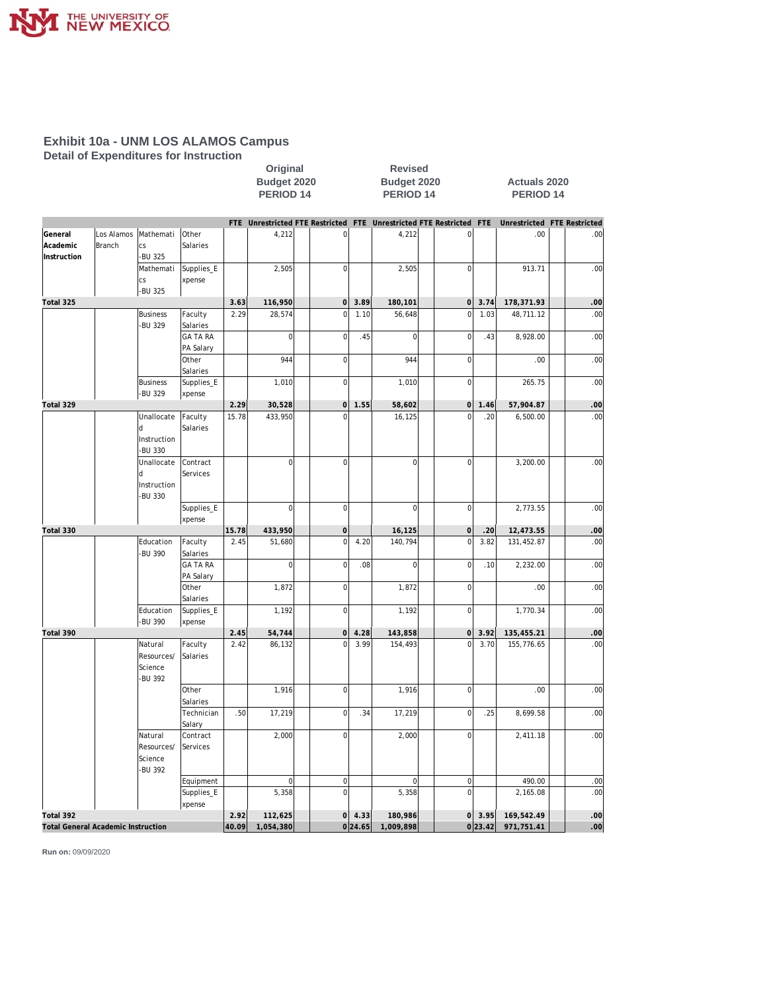

**Detail of Expenditures for Instruction**

|             |                                           |                            |                     |                      | Budget 2020    |  |                      |          | Budget 2020<br>PERIOD 14                                            |  |                               |               | <b>Actuals 2020</b><br>PERIOD <sub>14</sub> |  |                  |  |  |  |
|-------------|-------------------------------------------|----------------------------|---------------------|----------------------|----------------|--|----------------------|----------|---------------------------------------------------------------------|--|-------------------------------|---------------|---------------------------------------------|--|------------------|--|--|--|
|             |                                           |                            |                     | PERIOD <sub>14</sub> |                |  |                      |          |                                                                     |  |                               |               |                                             |  |                  |  |  |  |
|             |                                           |                            |                     |                      |                |  |                      |          | FTE Unrestricted FTE Restricted FTE Unrestricted FTE Restricted FTE |  |                               |               | Unrestricted FTE Restricted                 |  |                  |  |  |  |
| General     | Los Alamos                                | Mathemati                  | Other               |                      | 4,212          |  | $\bf 0$              |          | 4,212                                                               |  | 0                             |               | .00                                         |  | .00 <sub>1</sub> |  |  |  |
| Academic    | Branch                                    | CS                         | Salaries            |                      |                |  |                      |          |                                                                     |  |                               |               |                                             |  |                  |  |  |  |
| Instruction |                                           | -BU 325                    |                     |                      |                |  |                      |          |                                                                     |  |                               |               |                                             |  |                  |  |  |  |
|             |                                           | Mathemati                  | Supplies_E          |                      | 2,505          |  | $\overline{0}$       |          | 2,505                                                               |  | $\bf 0$                       |               | 913.71                                      |  | .00              |  |  |  |
|             |                                           | CS                         | xpense              |                      |                |  |                      |          |                                                                     |  |                               |               |                                             |  |                  |  |  |  |
|             |                                           | -BU 325                    |                     |                      |                |  |                      |          |                                                                     |  |                               |               |                                             |  |                  |  |  |  |
| Total 325   |                                           |                            |                     | 3.63                 | 116,950        |  | 0 <br>$\overline{0}$ | 3.89     | 180,101                                                             |  | $\overline{0}$<br>$\mathbf 0$ | 3.74          | 178,371.93                                  |  | .00              |  |  |  |
|             |                                           | <b>Business</b><br>-BU 329 | Faculty<br>Salaries | 2.29                 | 28,574         |  |                      | 1.10     | 56,648                                                              |  |                               | 1.03          | 48,711.12                                   |  | .00              |  |  |  |
|             |                                           |                            | <b>GA TA RA</b>     |                      | $\mathbf 0$    |  | $\overline{0}$       | .45      | $\mathbf 0$                                                         |  | $\mathbf 0$                   | .43           | 8,928.00                                    |  | .00              |  |  |  |
|             |                                           |                            | PA Salary           |                      |                |  |                      |          |                                                                     |  |                               |               |                                             |  |                  |  |  |  |
|             |                                           |                            | Other               |                      | 944            |  | $\overline{0}$       |          | 944                                                                 |  | $\bf 0$                       |               | .00                                         |  | .00              |  |  |  |
|             |                                           |                            | Salaries            |                      |                |  |                      |          |                                                                     |  |                               |               |                                             |  |                  |  |  |  |
|             |                                           | <b>Business</b>            | Supplies_E          |                      | 1,010          |  | $\overline{0}$       |          | 1,010                                                               |  | $\overline{0}$                |               | 265.75                                      |  | .00              |  |  |  |
|             |                                           | -BU 329                    | xpense              |                      |                |  |                      |          |                                                                     |  |                               |               |                                             |  |                  |  |  |  |
| Total 329   |                                           |                            |                     | 2.29                 | 30,528         |  | 0                    | 1.55     | 58,602                                                              |  | $\mathsf{O}\xspace$           | 1.46          | 57,904.87                                   |  | .00              |  |  |  |
|             |                                           | Unallocate                 | Faculty             | 15.78                | 433,950        |  | $\Omega$             |          | 16,125                                                              |  | $\overline{0}$                | .20           | 6,500.00                                    |  | .00              |  |  |  |
|             |                                           | d                          | Salaries            |                      |                |  |                      |          |                                                                     |  |                               |               |                                             |  |                  |  |  |  |
|             |                                           | Instruction                |                     |                      |                |  |                      |          |                                                                     |  |                               |               |                                             |  |                  |  |  |  |
|             |                                           | -BU 330                    |                     |                      |                |  |                      |          |                                                                     |  |                               |               |                                             |  |                  |  |  |  |
|             |                                           | Unallocate                 | Contract            |                      | $\mathbf 0$    |  | $\overline{0}$       |          | $\mathsf 0$                                                         |  | $\bf 0$                       |               | 3,200.00                                    |  | .00              |  |  |  |
|             |                                           | q                          | Services            |                      |                |  |                      |          |                                                                     |  |                               |               |                                             |  |                  |  |  |  |
|             |                                           | Instruction                |                     |                      |                |  |                      |          |                                                                     |  |                               |               |                                             |  |                  |  |  |  |
|             |                                           | -BU 330                    | Supplies_E          |                      | $\mathbf 0$    |  | $\overline{0}$       |          | $\mathbf 0$                                                         |  | $\bf 0$                       |               | 2,773.55                                    |  | .00              |  |  |  |
|             |                                           |                            | xpense              |                      |                |  |                      |          |                                                                     |  |                               |               |                                             |  |                  |  |  |  |
| Total 330   |                                           |                            |                     | 15.78                | 433,950        |  | 0                    |          | 16,125                                                              |  | $\mathbf 0$                   | .20           | 12,473.55                                   |  | .00              |  |  |  |
|             |                                           | Education                  | Faculty             | 2.45                 | 51,680         |  | $\overline{0}$       | 4.20     | 140,794                                                             |  | $\overline{0}$                | 3.82          | 131,452.87                                  |  | .00              |  |  |  |
|             |                                           | <b>BU 390</b>              | Salaries            |                      |                |  |                      |          |                                                                     |  |                               |               |                                             |  |                  |  |  |  |
|             |                                           |                            | <b>GA TA RA</b>     |                      | $\overline{0}$ |  | $\overline{0}$       | .08      | $\mathsf 0$                                                         |  | $\mathbf 0$                   | .10           | 2,232.00                                    |  | .00              |  |  |  |
|             |                                           |                            | PA Salary           |                      |                |  |                      |          |                                                                     |  |                               |               |                                             |  |                  |  |  |  |
|             |                                           |                            | Other               |                      | 1,872          |  | $\overline{0}$       |          | 1,872                                                               |  | $\mathbf 0$                   |               | .00                                         |  | .00              |  |  |  |
|             |                                           |                            | Salaries            |                      |                |  |                      |          |                                                                     |  |                               |               |                                             |  |                  |  |  |  |
|             |                                           | Education                  | Supplies_E          |                      | 1,192          |  | $\overline{0}$       |          | 1,192                                                               |  | $\mathbf 0$                   |               | 1,770.34                                    |  | .00              |  |  |  |
|             |                                           | -BU 390                    | xpense              |                      |                |  |                      |          |                                                                     |  |                               |               |                                             |  |                  |  |  |  |
| Total 390   |                                           |                            |                     | 2.45                 | 54,744         |  | 0 <br>$\overline{0}$ | 4.28     | 143,858                                                             |  | $\mathsf{O}\xspace$           | 3.92          | 135,455.21                                  |  | .00              |  |  |  |
|             |                                           | Natural                    | Faculty             | 2.42                 | 86,132         |  |                      | 3.99     | 154,493                                                             |  | $\mathbf 0$                   | 3.70          | 155,776.65                                  |  | .00              |  |  |  |
|             |                                           | Resources/<br>Science      | Salaries            |                      |                |  |                      |          |                                                                     |  |                               |               |                                             |  |                  |  |  |  |
|             |                                           | -BU 392                    |                     |                      |                |  |                      |          |                                                                     |  |                               |               |                                             |  |                  |  |  |  |
|             |                                           |                            | Other               |                      | 1,916          |  | $\overline{0}$       |          | 1,916                                                               |  | $\pmb{0}$                     |               | .00                                         |  | .00              |  |  |  |
|             |                                           |                            | Salaries            |                      |                |  |                      |          |                                                                     |  |                               |               |                                             |  |                  |  |  |  |
|             |                                           |                            | Technician          | .50                  | 17,219         |  | $\overline{0}$       | .34      | 17,219                                                              |  | $\mathbf 0$                   | .25           | 8,699.58                                    |  | .00 <sub>1</sub> |  |  |  |
|             |                                           |                            | Salary              |                      |                |  |                      |          |                                                                     |  |                               |               |                                             |  |                  |  |  |  |
|             |                                           | Natural                    | Contract            |                      | 2,000          |  | 0                    |          | 2,000                                                               |  | $\overline{0}$                |               | 2,411.18                                    |  | .00 <sub>1</sub> |  |  |  |
|             |                                           | Resources/                 | Services            |                      |                |  |                      |          |                                                                     |  |                               |               |                                             |  |                  |  |  |  |
|             |                                           | Science                    |                     |                      |                |  |                      |          |                                                                     |  |                               |               |                                             |  |                  |  |  |  |
|             |                                           | -BU 392                    |                     |                      |                |  |                      |          |                                                                     |  |                               |               |                                             |  |                  |  |  |  |
|             |                                           |                            | Equipment           |                      | $\bf 0$        |  | 0                    |          | $\overline{0}$                                                      |  | $\boldsymbol{0}$              |               | 490.00                                      |  | .00 <sub>1</sub> |  |  |  |
|             |                                           |                            | Supplies_E          |                      | 5,358          |  | $\overline{0}$       |          | 5,358                                                               |  | $\overline{0}$                |               | 2,165.08                                    |  | .00              |  |  |  |
|             |                                           |                            | xpense              |                      |                |  |                      |          |                                                                     |  |                               |               |                                             |  |                  |  |  |  |
| Total 392   |                                           |                            |                     | 2.92                 | 112,625        |  |                      | $0$ 4.33 | 180,986                                                             |  |                               | $0 \mid 3.95$ | 169,542.49                                  |  | .00 <sub>1</sub> |  |  |  |
|             | <b>Total General Academic Instruction</b> |                            |                     | 40.09                | 1,054,380      |  |                      | 0 24.65  | 1,009,898                                                           |  |                               | 0 23.42       | 971,751.41                                  |  | .00 <sub>1</sub> |  |  |  |

**Original Revised**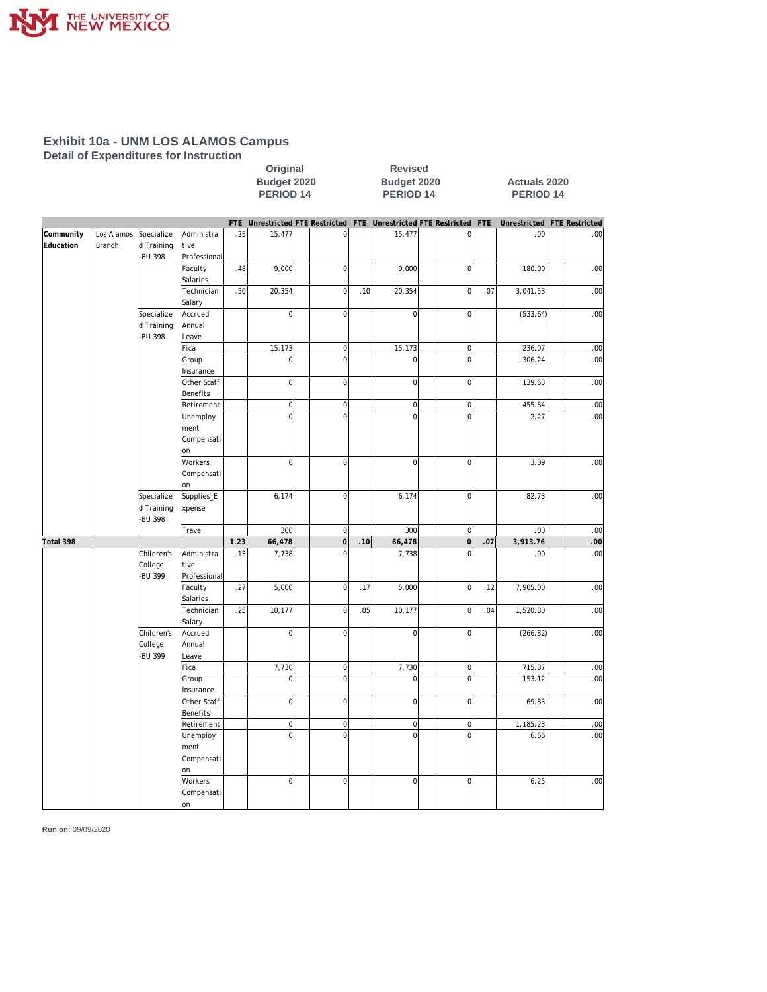

**Detail of Expenditures for Instruction**

|           |            |                       |                   |      | Budget 2020<br>PERIOD <sub>14</sub> |  |                                 | Budget 2020<br>PERIOD <sub>14</sub> |                                                                 |  |                |     | <b>Actuals 2020</b><br><b>PERIOD 14</b> |  |                  |  |  |  |
|-----------|------------|-----------------------|-------------------|------|-------------------------------------|--|---------------------------------|-------------------------------------|-----------------------------------------------------------------|--|----------------|-----|-----------------------------------------|--|------------------|--|--|--|
|           |            |                       |                   | FTE  |                                     |  |                                 |                                     | Unrestricted FTE Restricted FTE Unrestricted FTE Restricted FTE |  |                |     | Unrestricted FTE Restricted             |  |                  |  |  |  |
| Community | Los Alamos | Specialize            | Administra        | .25  | 15,477                              |  | $\overline{0}$                  |                                     | 15,477                                                          |  | $\overline{0}$ |     | .00                                     |  | .00 <sub>1</sub> |  |  |  |
| Education | Branch     | d Training            | tive              |      |                                     |  |                                 |                                     |                                                                 |  |                |     |                                         |  |                  |  |  |  |
|           |            | -BU 398               | Professional      |      |                                     |  |                                 |                                     |                                                                 |  |                |     |                                         |  |                  |  |  |  |
|           |            |                       | Faculty           | .48  | 9,000                               |  | $\mathbf 0$                     |                                     | 9,000                                                           |  | $\mathbf{0}$   |     | 180.00                                  |  | .00              |  |  |  |
|           |            |                       | Salaries          |      |                                     |  |                                 |                                     |                                                                 |  |                |     |                                         |  |                  |  |  |  |
|           |            |                       | Technician        | .50  | 20,354                              |  | $\overline{0}$                  | .10                                 | 20,354                                                          |  | $\mathbf{0}$   | .07 | 3,041.53                                |  | .00              |  |  |  |
|           |            |                       | Salary            |      |                                     |  |                                 |                                     |                                                                 |  |                |     |                                         |  |                  |  |  |  |
|           |            | Specialize            | Accrued           |      | 0                                   |  | $\bf 0$                         |                                     | $\mathsf 0$                                                     |  | $\mathbf 0$    |     | (533.64)                                |  | .00              |  |  |  |
|           |            | d Training<br>-BU 398 | Annual<br>Leave   |      |                                     |  |                                 |                                     |                                                                 |  |                |     |                                         |  |                  |  |  |  |
|           |            |                       | Fica              |      | 15,173                              |  |                                 |                                     | 15,173                                                          |  | $\mathbf{0}$   |     |                                         |  |                  |  |  |  |
|           |            |                       | Group             |      | $\overline{0}$                      |  | $\boldsymbol{0}$<br>$\mathbf 0$ |                                     | $\mathbf 0$                                                     |  | $\overline{0}$ |     | 236.07<br>306.24                        |  | .00<br>.00       |  |  |  |
|           |            |                       | Insurance         |      |                                     |  |                                 |                                     |                                                                 |  |                |     |                                         |  |                  |  |  |  |
|           |            |                       | Other Staff       |      | $\overline{0}$                      |  | $\mathbf 0$                     |                                     | $\mathbf 0$                                                     |  | $\mathbf 0$    |     | 139.63                                  |  | .00              |  |  |  |
|           |            |                       | Benefits          |      |                                     |  |                                 |                                     |                                                                 |  |                |     |                                         |  |                  |  |  |  |
|           |            |                       | Retirement        |      | $\overline{0}$                      |  | $\overline{0}$                  |                                     | $\mathbf 0$                                                     |  | $\pmb{0}$      |     | 455.84                                  |  | .00              |  |  |  |
|           |            |                       | Unemploy          |      | $\overline{0}$                      |  | $\mathbf 0$                     |                                     | $\overline{0}$                                                  |  | $\Omega$       |     | 2.27                                    |  | .00              |  |  |  |
|           |            |                       | ment              |      |                                     |  |                                 |                                     |                                                                 |  |                |     |                                         |  |                  |  |  |  |
|           |            |                       | Compensati        |      |                                     |  |                                 |                                     |                                                                 |  |                |     |                                         |  |                  |  |  |  |
|           |            |                       | lon               |      |                                     |  |                                 |                                     |                                                                 |  |                |     |                                         |  |                  |  |  |  |
|           |            |                       | Workers           |      | $\overline{0}$                      |  | $\mathbf 0$                     |                                     | $\mathbf 0$                                                     |  | $\mathbf 0$    |     | 3.09                                    |  | .00              |  |  |  |
|           |            |                       | Compensati        |      |                                     |  |                                 |                                     |                                                                 |  |                |     |                                         |  |                  |  |  |  |
|           |            |                       | lon               |      |                                     |  |                                 |                                     |                                                                 |  |                |     |                                         |  |                  |  |  |  |
|           |            | Specialize            | Supplies_E        |      | 6,174                               |  | $\mathbf 0$                     |                                     | 6,174                                                           |  | $\mathbf 0$    |     | 82.73                                   |  | .00              |  |  |  |
|           |            | d Training            | xpense            |      |                                     |  |                                 |                                     |                                                                 |  |                |     |                                         |  |                  |  |  |  |
|           |            | -BU 398               |                   |      |                                     |  |                                 |                                     |                                                                 |  |                |     |                                         |  |                  |  |  |  |
|           |            |                       | Travel            |      | 300                                 |  | $\mathbf 0$                     |                                     | 300                                                             |  | $\mathbf{0}$   |     | .00                                     |  | .00              |  |  |  |
| Total 398 |            |                       |                   | 1.23 | 66,478                              |  | $\circ$                         | .10                                 | 66,478                                                          |  | $\mathsf{O}$   | .07 | 3,913.76                                |  | .00              |  |  |  |
|           |            | Children's            | Administra        | .13  | 7,738                               |  | $\mathbf 0$                     |                                     | 7,738                                                           |  | $\mathbf 0$    |     | .00                                     |  | .00              |  |  |  |
|           |            | College               | tive              |      |                                     |  |                                 |                                     |                                                                 |  |                |     |                                         |  |                  |  |  |  |
|           |            | -BU 399               | Professional      |      |                                     |  |                                 |                                     |                                                                 |  |                |     |                                         |  |                  |  |  |  |
|           |            |                       | Faculty           | .27  | 5,000                               |  | $\overline{0}$                  | .17                                 | 5,000                                                           |  | $\mathbf 0$    | .12 | 7,905.00                                |  | .00              |  |  |  |
|           |            |                       | Salaries          |      |                                     |  | $\mathbf 0$                     |                                     |                                                                 |  |                |     |                                         |  |                  |  |  |  |
|           |            |                       | Technician        | .25  | 10,177                              |  |                                 | .05                                 | 10,177                                                          |  | $\mathbf 0$    | .04 | 1,520.80                                |  | .00              |  |  |  |
|           |            | Children's            | Salary<br>Accrued |      | 0                                   |  | $\mathbf 0$                     |                                     | $\mathbf 0$                                                     |  | $\mathbf 0$    |     | (266.82)                                |  | .00              |  |  |  |
|           |            | College               | Annual            |      |                                     |  |                                 |                                     |                                                                 |  |                |     |                                         |  |                  |  |  |  |
|           |            | -BU 399               | Leave             |      |                                     |  |                                 |                                     |                                                                 |  |                |     |                                         |  |                  |  |  |  |
|           |            |                       | Fica              |      | 7,730                               |  | $\overline{0}$                  |                                     | 7,730                                                           |  | $\mathbf 0$    |     | 715.87                                  |  | .00              |  |  |  |
|           |            |                       | Group             |      | $\overline{0}$                      |  | $\mathbf 0$                     |                                     | $\mathbf 0$                                                     |  | $\mathbf 0$    |     | 153.12                                  |  | .00              |  |  |  |
|           |            |                       | Insurance         |      |                                     |  |                                 |                                     |                                                                 |  |                |     |                                         |  |                  |  |  |  |
|           |            |                       | Other Staff       |      | 0                                   |  | $\mathbf 0$                     |                                     | $\mathsf 0$                                                     |  | $\mathbf 0$    |     | 69.83                                   |  | .00              |  |  |  |
|           |            |                       | Benefits          |      |                                     |  |                                 |                                     |                                                                 |  |                |     |                                         |  |                  |  |  |  |
|           |            |                       | Retirement        |      | $\overline{0}$                      |  | $\pmb{0}$                       |                                     | $\mathbf 0$                                                     |  | $\mathbf 0$    |     | 1,185.23                                |  | .00              |  |  |  |
|           |            |                       | Unemploy          |      | $\Omega$                            |  | $\mathbf 0$                     |                                     | $\Omega$                                                        |  | $\Omega$       |     | 6.66                                    |  | .00 <sub>1</sub> |  |  |  |
|           |            |                       | ment              |      |                                     |  |                                 |                                     |                                                                 |  |                |     |                                         |  |                  |  |  |  |
|           |            |                       | Compensati        |      |                                     |  |                                 |                                     |                                                                 |  |                |     |                                         |  |                  |  |  |  |
|           |            |                       | lon               |      |                                     |  |                                 |                                     |                                                                 |  |                |     |                                         |  |                  |  |  |  |
|           |            |                       | Workers           |      | $\overline{0}$                      |  | $\mathbf 0$                     |                                     | $\mathbf 0$                                                     |  | $\mathbf 0$    |     | 6.25                                    |  | .00              |  |  |  |
|           |            |                       | Compensati        |      |                                     |  |                                 |                                     |                                                                 |  |                |     |                                         |  |                  |  |  |  |
|           |            |                       | lon               |      |                                     |  |                                 |                                     |                                                                 |  |                |     |                                         |  |                  |  |  |  |

**Original Revised**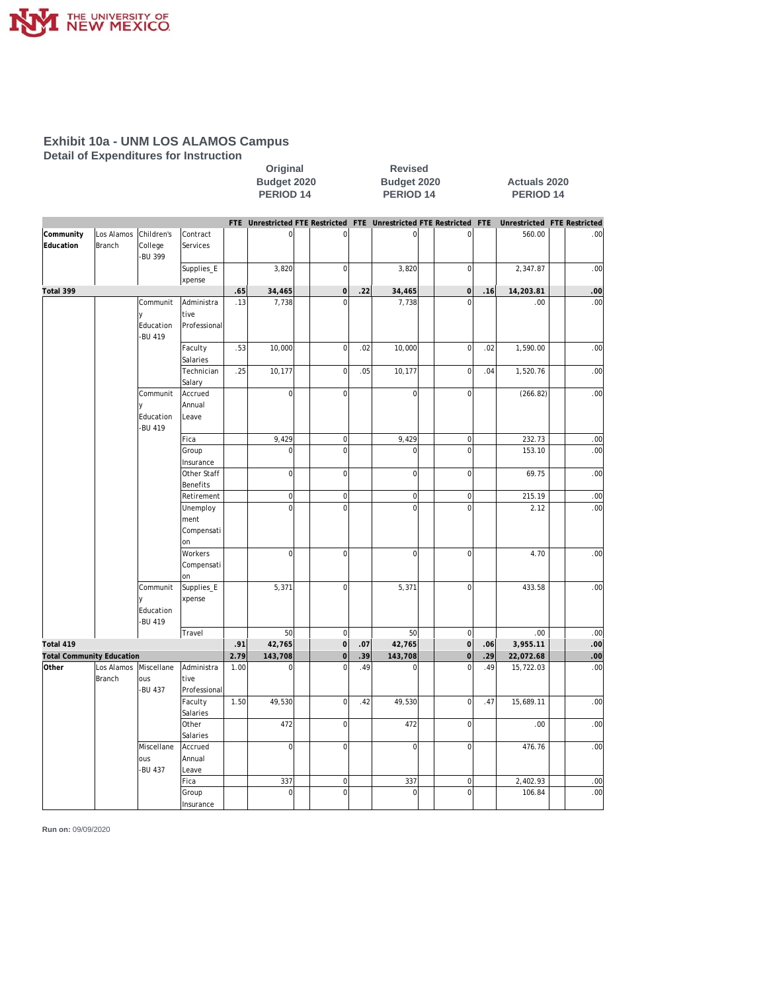

**Detail of Expenditures for Instruction**

|                                  |                             | Budget 2020<br>PERIOD <sub>14</sub>        |                                     |            | Budget 2020<br>PERIOD <sub>14</sub> |                        |     |                                                                     |  |                                    | <b>Actuals 2020</b><br>PERIOD <sub>14</sub> |                             |  |                  |  |
|----------------------------------|-----------------------------|--------------------------------------------|-------------------------------------|------------|-------------------------------------|------------------------|-----|---------------------------------------------------------------------|--|------------------------------------|---------------------------------------------|-----------------------------|--|------------------|--|
|                                  |                             |                                            |                                     |            |                                     |                        |     | FTE Unrestricted FTE Restricted FTE Unrestricted FTE Restricted FTE |  |                                    |                                             | Unrestricted FTE Restricted |  |                  |  |
| Community                        | Los Alamos                  | Children's                                 | lContract                           |            | $\overline{0}$                      | $\overline{0}$         |     | $\overline{0}$                                                      |  | $\mathbf 0$                        |                                             | 560.00                      |  | .00              |  |
| Education                        | <b>Branch</b>               | College<br>-BU 399                         | Services                            |            |                                     |                        |     |                                                                     |  |                                    |                                             |                             |  |                  |  |
|                                  |                             |                                            | Supplies_E                          |            | 3,820                               | $\mathbf 0$            |     | 3,820                                                               |  | $\mathbf 0$                        |                                             | 2,347.87                    |  | .00              |  |
| Total 399                        |                             |                                            | xpense                              |            | 34,465                              | $\circ$                |     |                                                                     |  | $\mathsf{O}\xspace$                | .16                                         | 14,203.81                   |  |                  |  |
|                                  |                             | Communit                                   | Administra                          | .65<br>.13 | 7,738                               | $\Omega$               | .22 | 34,465<br>7,738                                                     |  | $\Omega$                           |                                             | .00.                        |  | .00<br>.00       |  |
|                                  |                             | V                                          | tive                                |            |                                     |                        |     |                                                                     |  |                                    |                                             |                             |  |                  |  |
|                                  |                             | Education<br>-BU 419                       | Professional                        |            |                                     |                        |     |                                                                     |  |                                    |                                             |                             |  |                  |  |
|                                  |                             |                                            | Faculty<br>Salaries                 | .53        | 10,000                              | $\mathbf 0$            | .02 | 10,000                                                              |  | $\mathbf 0$                        | .02                                         | 1,590.00                    |  | .00              |  |
|                                  |                             |                                            | Technician<br>Salary                | .25        | 10,177                              | $\mathbf 0$            | .05 | 10,177                                                              |  | $\overline{0}$                     | .04                                         | 1,520.76                    |  | .00              |  |
|                                  |                             | Communit<br>$\vee$<br>Education<br>-BU 419 | Accrued<br>Annual<br>Leave          |            | $\mathbf{0}$                        | $\mathbf 0$            |     | $\overline{0}$                                                      |  | $\mathbf 0$                        |                                             | (266.82)                    |  | .00              |  |
|                                  |                             |                                            | Fica                                |            | 9,429                               | $\boldsymbol{0}$       |     | 9,429                                                               |  | $\bf{0}$                           |                                             | 232.73                      |  | .00              |  |
|                                  |                             |                                            | Group<br>Insurance                  |            | $\mathbf 0$                         | $\mathbf 0$            |     | $\mathsf{O}\xspace$                                                 |  | $\overline{0}$                     |                                             | 153.10                      |  | .00              |  |
|                                  |                             |                                            | Other Staff<br>Benefits             |            | $\overline{0}$                      | $\mathbf 0$            |     | $\overline{0}$                                                      |  | $\mathbf 0$                        |                                             | 69.75                       |  | .00              |  |
|                                  |                             |                                            | Retirement                          |            | $\overline{0}$                      | $\mathbf 0$            |     | $\overline{0}$                                                      |  | $\mathbf 0$                        |                                             | 215.19                      |  | .00              |  |
|                                  |                             |                                            | Unemploy<br>ment<br>Compensati      |            | $\mathbf 0$                         | $\mathbf 0$            |     | $\overline{0}$                                                      |  | $\mathbf 0$                        |                                             | 2.12                        |  | .00              |  |
|                                  |                             |                                            | on<br>Workers<br>Compensati<br>on   |            | $\mathbf 0$                         | $\mathbf 0$            |     | $\overline{0}$                                                      |  | $\mathbf 0$                        |                                             | 4.70                        |  | .00              |  |
|                                  |                             | Communit<br>V<br>Education<br>-BU 419      | Supplies_E<br>xpense                |            | 5,371                               | $\mathbf 0$            |     | 5,371                                                               |  | $\mathbf 0$                        |                                             | 433.58                      |  | .00              |  |
| Total 419                        |                             |                                            | Travel                              | .91        | 50<br>42,765                        | $\mathbf 0$<br>$\circ$ | .07 | 50<br>42,765                                                        |  | $\mathbf 0$<br>$\mathsf{O}\xspace$ | .06                                         | .00<br>3,955.11             |  | .00<br>.00       |  |
| <b>Total Community Education</b> |                             |                                            |                                     | 2.79       | 143,708                             | $\mathbf 0$            | 39  | 143,708                                                             |  | $\overline{0}$                     | 29                                          | 22,072.68                   |  | .00              |  |
| Other                            | Los Alamos<br><b>Branch</b> | Miscellane<br>ous<br>-BU 437               | Administra<br>tive                  | 1.00       | 0                                   | $\mathbf 0$            | .49 | $\mathbf 0$                                                         |  | $\overline{0}$                     | .49                                         | 15,722.03                   |  | .00              |  |
|                                  |                             |                                            | Professional<br>Faculty<br>Salaries | 1.50       | 49,530                              | $\mathbf 0$            | .42 | 49,530                                                              |  | $\overline{0}$                     | .47                                         | 15,689.11                   |  | .00              |  |
|                                  |                             |                                            | Other<br>Salaries                   |            | 472                                 | $\mathbf 0$            |     | 472                                                                 |  | $\overline{0}$                     |                                             | .00.                        |  | .00              |  |
|                                  |                             | Miscellane<br>ous<br>-BU 437               | Accrued<br>Annual<br>Leave          |            | $\mathbf 0$                         | $\mathbf 0$            |     | $\overline{0}$                                                      |  | $\overline{0}$                     |                                             | 476.76                      |  | .00              |  |
|                                  |                             |                                            | Fica                                |            | 337                                 | $\pmb{0}$              |     | 337                                                                 |  | $\overline{0}$                     |                                             | 2,402.93                    |  | .00              |  |
|                                  |                             |                                            | Group<br>Insurance                  |            | $\mathbf 0$                         | $\mathbf 0$            |     | $\overline{0}$                                                      |  | $\mathbf 0$                        |                                             | 106.84                      |  | .00 <sub>1</sub> |  |

**Original Revised**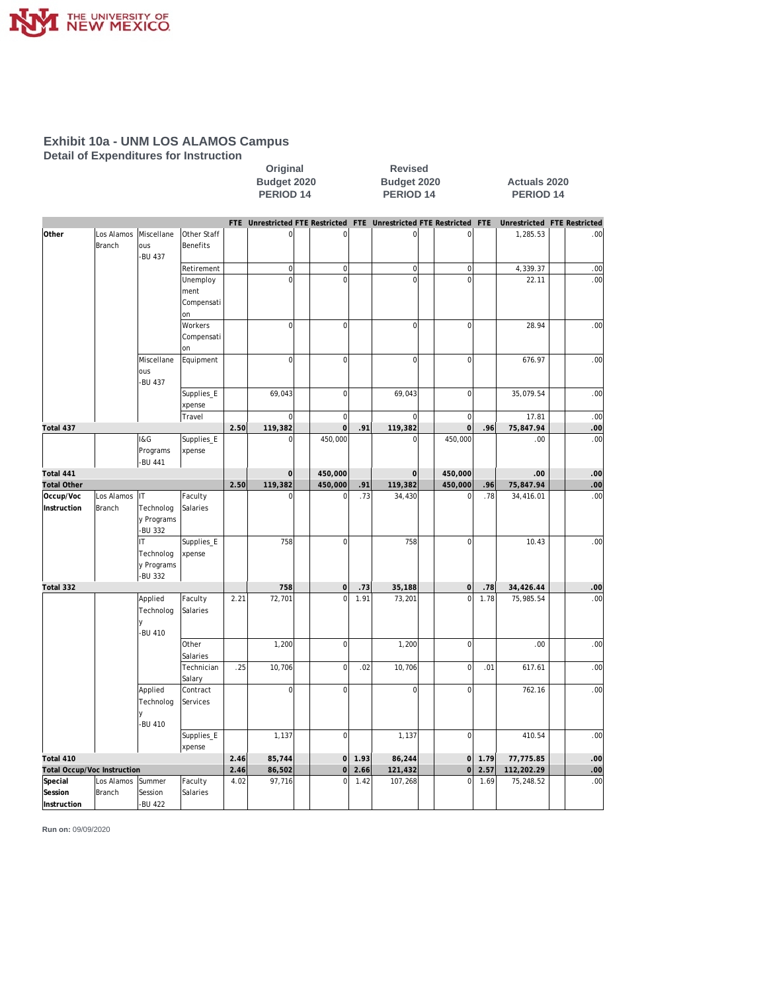

**Detail of Expenditures for Instruction**

|                                   |                                                                             |                                           |                                      |      | Original<br>Budget 2020<br>PERIOD <sub>14</sub> |                     |      | <b>Revised</b><br>Budget 2020<br>PERIOD <sub>14</sub> |                     |            | <b>Actuals 2020</b><br><b>PERIOD 14</b> |            |
|-----------------------------------|-----------------------------------------------------------------------------|-------------------------------------------|--------------------------------------|------|-------------------------------------------------|---------------------|------|-------------------------------------------------------|---------------------|------------|-----------------------------------------|------------|
|                                   |                                                                             |                                           |                                      |      | FTE Unrestricted FTE Restricted                 |                     |      | FTE Unrestricted FTE Restricted                       |                     | <b>FTE</b> | Unrestricted FTE Restricted             |            |
| Other                             | Los Alamos<br>Branch                                                        | Miscellane<br>ous<br>-BU 437              | Other Staff<br><b>Benefits</b>       |      | $\overline{0}$                                  | $\bf 0$             |      | $\mathsf 0$                                           | $\mathbf 0$         |            | 1,285.53                                | .00        |
|                                   |                                                                             |                                           | Retirement                           |      | $\circ$                                         | $\overline{0}$      |      | $\overline{0}$                                        | $\mathbf 0$         |            | 4,339.37                                | .00        |
|                                   |                                                                             |                                           | Unemploy<br>ment<br>Compensati<br>on |      | $\mathbf 0$                                     | $\Omega$            |      | $\mathbf 0$                                           | $\overline{0}$      |            | 22.11                                   | .00        |
|                                   |                                                                             |                                           | Workers<br>Compensati<br>on          |      | $\boldsymbol{0}$                                | $\mathbf 0$         |      | $\mathbf 0$                                           | $\overline{0}$      |            | 28.94                                   | .00        |
|                                   |                                                                             | Miscellane<br>ous<br>-BU 437              | Equipment                            |      | $\overline{0}$                                  | $\mathbf 0$         |      | $\mathbf 0$                                           | $\mathsf{O}\xspace$ |            | 676.97                                  | .00        |
|                                   |                                                                             |                                           | Supplies_E<br>xpense                 |      | 69,043                                          | $\overline{0}$      |      | 69,043                                                | $\mathbf 0$         |            | 35,079.54                               | .00        |
|                                   |                                                                             |                                           | Travel                               |      | $\mathbf 0$                                     | $\overline{0}$      |      | $\mathbf 0$                                           | $\mathbf 0$         |            | 17.81                                   | .00        |
| Total 437                         |                                                                             |                                           |                                      | 2.50 | 119,382                                         | $\overline{0}$      | .91  | 119,382<br>$\Omega$                                   | $\mathbf 0$         | .96        | 75,847.94                               | .00<br>.00 |
|                                   |                                                                             | 1&G<br>Programs<br>-BU 441                | Supplies_E<br>xpense                 |      | 0                                               | 450,000             |      |                                                       | 450,000             |            | .00                                     |            |
| Total 441                         |                                                                             |                                           |                                      |      | $\mathbf 0$                                     | 450,000             |      | $\mathbf 0$                                           | 450,000             |            | .00                                     | .00        |
| <b>Total Other</b>                |                                                                             |                                           |                                      | 2.50 | 119,382                                         | 450,000<br>$\Omega$ | 91   | 119,382                                               | 450,000             | .96        | 75,847.94                               | 00         |
| Occup/Voc<br>Instruction          | Los Alamos IT<br><b>Branch</b>                                              | Technolog<br>y Programs<br>-BU 332        | Faculty<br>Salaries                  |      | $\overline{0}$                                  |                     | .73  | 34,430                                                | $\Omega$            | .78        | 34,416.01                               | .00        |
|                                   |                                                                             | IТ<br>Technolog<br>y Programs<br>-BU 332  | Supplies_E<br>xpense                 |      | 758                                             | $\mathbf 0$         |      | 758                                                   | $\mathbf 0$         |            | 10.43                                   | .00        |
| Total 332                         |                                                                             |                                           |                                      |      | 758                                             | $\mathbf 0$         | .73  | 35,188                                                | $\mathbf 0$         | .78        | 34,426.44                               | .00        |
|                                   |                                                                             | Applied<br>Technolog<br>$\vee$<br>-BU 410 | Faculty<br>Salaries                  | 2.21 | 72,701                                          | $\mathbf 0$         | 1.91 | 73,201                                                | $\overline{0}$      | 1.78       | 75,985.54                               | .00        |
|                                   |                                                                             |                                           | Other<br>Salaries                    |      | 1,200                                           | $\mathbf 0$         |      | 1,200                                                 | $\overline{0}$      |            | .00                                     | .00        |
|                                   |                                                                             |                                           | Technician<br>Salary                 | .25  | 10,706                                          | $\overline{0}$      | .02  | 10,706                                                | $\mathbf 0$         | .01        | 617.61                                  | .00        |
|                                   |                                                                             | Applied<br>Technolog<br>-BU 410           | Contract<br>Services                 |      | $\overline{0}$                                  | $\mathbf 0$         |      | $\mathbf 0$                                           | $\mathbf 0$         |            | 762.16                                  | .00        |
|                                   |                                                                             |                                           | Supplies_E<br>xpense                 |      | 1,137                                           | $\mathbf 0$         |      | 1,137                                                 | $\mathbf 0$         |            | 410.54                                  | .00        |
| Total 410                         |                                                                             |                                           |                                      |      | 85,744                                          | $\circ$             | 1.93 | 86,244                                                | $\mathbf 0$         | 1.79       | 77,775.85                               | .00        |
| Total Occup/Voc Instruction       | 2.46<br>4.02                                                                | 86,502                                    | $\mathbf 0$                          | 2.66 | 121,432                                         | $\mathbf{O}$        | 2.57 | 112,202.29                                            | .00                 |            |                                         |            |
| Special<br>Session<br>Instruction | Los Alamos<br>Summer<br>Faculty<br>Branch<br>Session<br>Salaries<br>-BU 422 |                                           |                                      |      | 97,716                                          | $\Omega$            | 1.42 | 107,268                                               | $\mathbf 0$         | 1.69       | 75,248.52                               | .00        |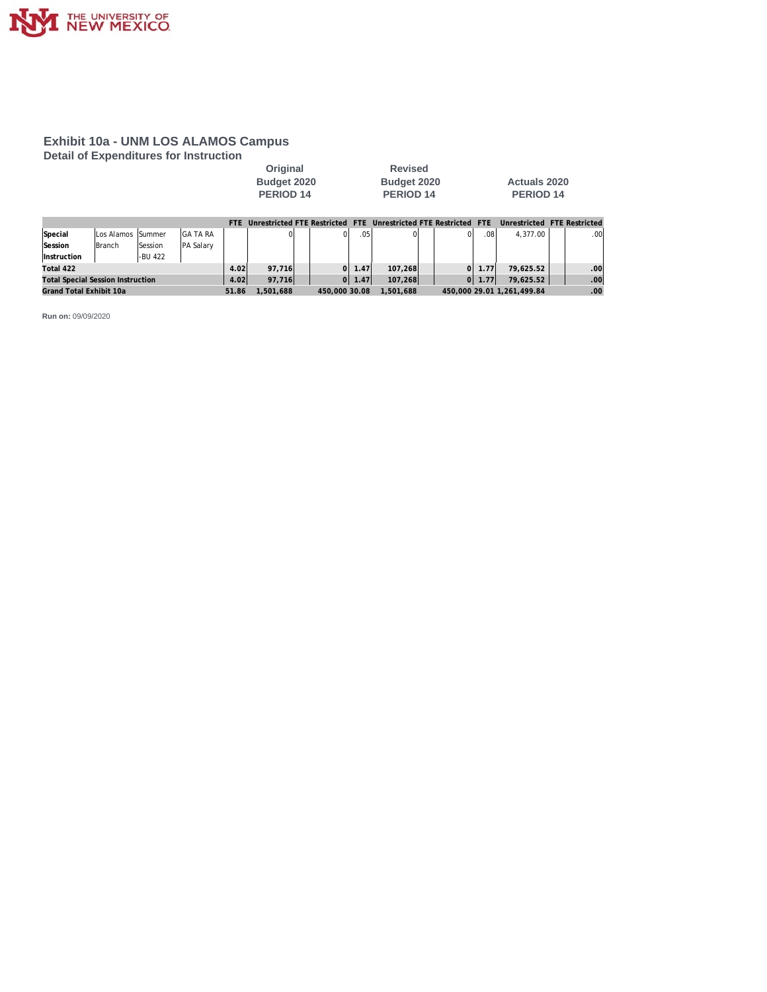

**Detail of Expenditures for Instruction**

| Original    | <b>Revised</b> |                     |
|-------------|----------------|---------------------|
| Budget 2020 | Budget 2020    | <b>Actuals 2020</b> |
| PERIOD 14   | PERIOD 14      | PERIOD 14           |

|                                          |                    |                |                  | FTF   | Unrestricted FTF Restricted FTF |               |                  |           | Unrestricted FTF Restricted FTF |            | Unrestricted FTF Restricted |                  |
|------------------------------------------|--------------------|----------------|------------------|-------|---------------------------------|---------------|------------------|-----------|---------------------------------|------------|-----------------------------|------------------|
| Special                                  | Los Alamos SSummer |                | IGA TA RA        |       |                                 |               | .05 <sup>1</sup> |           | ΩI                              | .08        | 4.377.00                    | .00 <sub>1</sub> |
| Session                                  | Branch             | <b>Session</b> | <b>PA Salary</b> |       |                                 |               |                  |           |                                 |            |                             |                  |
| <i><u><b>Instruction</b></u></i>         |                    | -BU 422        |                  |       |                                 |               |                  |           |                                 |            |                             |                  |
| Total 422                                |                    |                |                  | 4.02  | 97.716                          | ΩI            | .47'             | 107.268   | ΟI                              | 1.77       | 79,625.52                   | .00              |
| <b>Total Special Session Instruction</b> |                    |                |                  | 4.02  | 97,716                          | $\Omega$      | 1.47'            | 107,268   |                                 | $0$   1.77 | 79,625.52                   | .00 <sub>1</sub> |
| Grand Total Exhibit 10a                  |                    |                |                  | 51.86 | .501.688                        | 450,000 30.08 |                  | 1.501.688 |                                 |            | 450.000 29.01 1.261.499.84  | .00 <sub>1</sub> |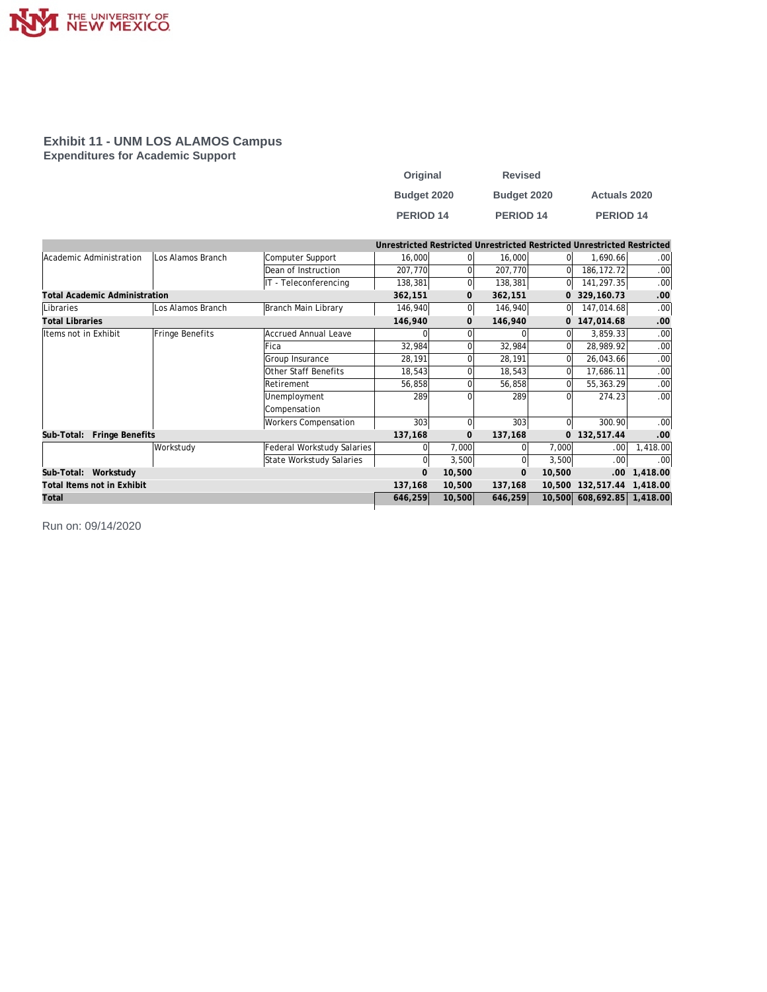

#### **Exhibit 11 - UNM LOS ALAMOS Campus Expenditures for Academic Support**

| Original         | <b>Revised</b>   |                     |
|------------------|------------------|---------------------|
| Budget 2020      | Budget 2020      | <b>Actuals 2020</b> |
| <b>PERIOD 14</b> | <b>PERIOD 14</b> | <b>PERIOD 14</b>    |

|                                      |                   |                             |             |              |              |                | Unrestricted Restricted Unrestricted Restricted Unrestricted Restricted |                  |
|--------------------------------------|-------------------|-----------------------------|-------------|--------------|--------------|----------------|-------------------------------------------------------------------------|------------------|
| Academic Administration              | Los Alamos Branch | Computer Support            | 16,000      |              | 16,000       | $\Omega$       | 1,690.66                                                                | .00              |
|                                      |                   | Dean of Instruction         | 207,770     |              | 207,770      | $\Omega$       | 186, 172. 72                                                            | .00              |
|                                      |                   | IT - Teleconferencing       | 138,381     |              | 138,381      | 0l             | 141,297.35                                                              | .00              |
| <b>Total Academic Administration</b> |                   |                             | 362,151     | $\mathbf{0}$ | 362,151      | $\overline{O}$ | 329, 160. 73                                                            | .00              |
| Libraries                            | Los Alamos Branch | Branch Main Library         | 146,940     |              | 146,940      | 0l             | 147,014.68                                                              | .00              |
| <b>Total Libraries</b>               |                   |                             | 146,940     | $\Omega$     | 146,940      |                | 0 147,014.68                                                            | .00              |
| lltems not in Exhibit                | Fringe Benefits   | Accrued Annual Leave        |             |              | 0            | $\Omega$       | 3,859.33                                                                | .00 <sub>1</sub> |
|                                      |                   | lFica                       | 32,984      |              | 32,984       | Οl             | 28,989.92                                                               | .00              |
|                                      |                   | Group Insurance             | 28,191      |              | 28,191       | 0l             | 26,043.66                                                               | .00              |
|                                      |                   | Other Staff Benefits        | 18,543      |              | 18,543       | ΩI             | 17,686.11                                                               | .00              |
|                                      |                   | Retirement                  | 56,858      |              | 56,858       | $\Omega$       | 55,363.29                                                               | .00              |
|                                      |                   | Unemployment                | 289         |              | 289          | ΩI             | 274.23                                                                  | .00 <sub>1</sub> |
|                                      |                   | Compensation                |             |              |              |                |                                                                         |                  |
|                                      |                   | <b>Workers Compensation</b> | 303         |              | 303          | $\Omega$       | 300.90                                                                  | .00 <sub>1</sub> |
| Sub-Total:<br>Fringe Benefits        |                   |                             | 137,168     | $\mathbf{O}$ | 137,168      | $\overline{0}$ | 132,517.44                                                              | .00              |
|                                      | Workstudy         | Federal Workstudy Salaries  | $\Omega$    | 7,000        | 01           | 7,000          | .00 <sub>1</sub>                                                        | 1,418.00         |
|                                      |                   | State Workstudy Salaries    | 0           | 3,500        | $\Omega$     | 3,500          | .00                                                                     | .00              |
| Workstudy<br>Sub-Total:              |                   |                             | $\mathbf 0$ | 10,500       | $\mathbf{0}$ | 10,500         | .00.                                                                    | 1,418.00         |
| Total Items not in Exhibit           |                   |                             | 137,168     | 10,500       | 137,168      | 10,500         | 132,517.44                                                              | 1,418.00         |
| Total                                |                   |                             | 646,259     | 10,500       | 646,259      |                | 10,500 608,692.85                                                       | 1,418.00         |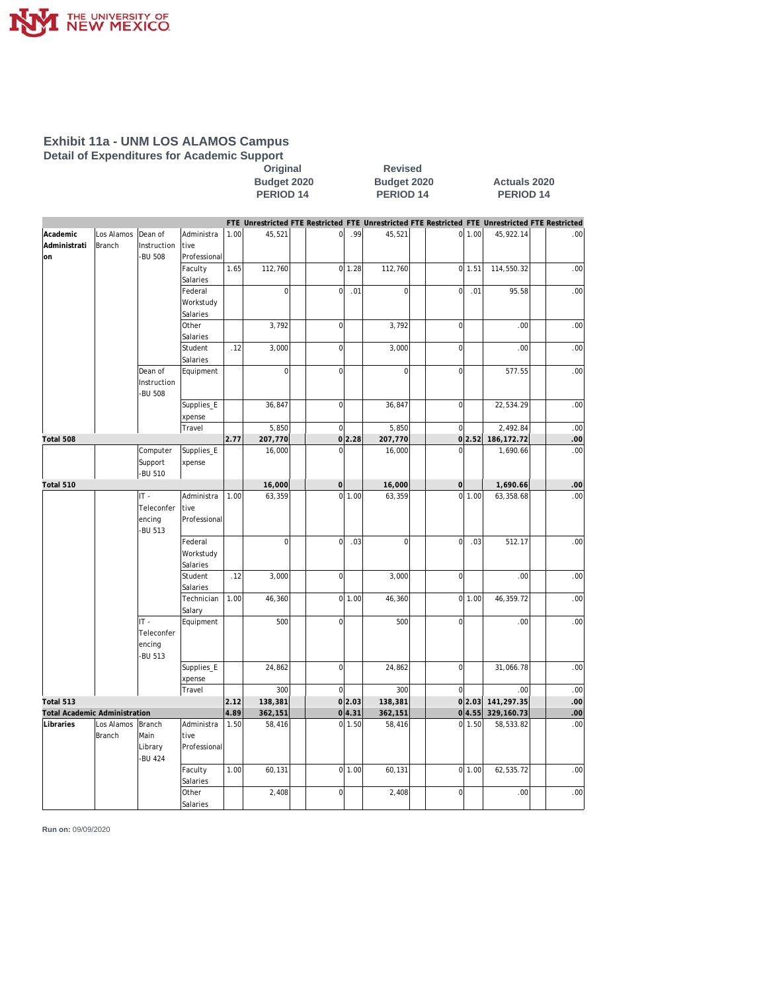

#### **Exhibit 11a - UNM LOS ALAMOS Campus Detail of Expenditures for Academic Support**

**Calcular Coriginal**<br>Budget 2020 **Budget 2020** 

**Budget 2020 Budget 2020 Actuals 2020 PERIOD 14** 

|                                      |            |                        |                     |      |                |                |          | FTE Unrestricted FTE Restricted FTE Unrestricted FTE Restricted FTE Unrestricted FTE Restricted |                |        |              |     |
|--------------------------------------|------------|------------------------|---------------------|------|----------------|----------------|----------|-------------------------------------------------------------------------------------------------|----------------|--------|--------------|-----|
| Academic                             | Los Alamos | Dean of                | Administra          | 1.00 | 45,521         | 0              | .99      | 45,521                                                                                          |                | 0 1.00 | 45,922.14    | .00 |
| Administrati                         | Branch     | Instruction            | tive                |      |                |                |          |                                                                                                 |                |        |              |     |
| lon                                  |            | <b>BU 508</b>          | Professional        |      |                |                |          |                                                                                                 |                |        |              |     |
|                                      |            |                        | Faculty             | 1.65 | 112,760        |                | $0$ 1.28 | 112,760                                                                                         |                | 0 1.51 | 114,550.32   | .00 |
|                                      |            |                        | Salaries            |      |                |                |          |                                                                                                 |                |        |              |     |
|                                      |            |                        | Federal             |      | $\mathbf 0$    | $\mathbf 0$    | .01      | $\overline{0}$                                                                                  | $\overline{0}$ | .01    | 95.58        | .00 |
|                                      |            |                        | Workstudy           |      |                |                |          |                                                                                                 |                |        |              |     |
|                                      |            |                        | Salaries            |      |                |                |          |                                                                                                 |                |        |              |     |
|                                      |            |                        | Other<br>Salaries   |      | 3,792          | $\overline{0}$ |          | 3,792                                                                                           | $\overline{0}$ |        | .00          | .00 |
|                                      |            |                        | Student<br>Salaries | .12  | 3,000          | $\mathbf 0$    |          | 3,000                                                                                           | $\mathbf 0$    |        | .00          | .00 |
|                                      |            | Dean of                | Equipment           |      | $\overline{0}$ | $\mathbf 0$    |          | $\overline{0}$                                                                                  | $\overline{0}$ |        | 577.55       | .00 |
|                                      |            | Instruction<br>-BU 508 |                     |      |                |                |          |                                                                                                 |                |        |              |     |
|                                      |            |                        | Supplies_E          |      | 36,847         | $\mathbf 0$    |          | 36,847                                                                                          | $\overline{0}$ |        | 22,534.29    | .00 |
|                                      |            |                        | xpense              |      |                |                |          |                                                                                                 |                |        |              |     |
|                                      |            |                        | Travel              |      | 5,850          | $\mathbf{0}$   |          | 5,850                                                                                           | $\overline{0}$ |        | 2,492.84     | .00 |
| Total 508                            |            |                        |                     | 2.77 | 207,770        |                | 0 2.28   | 207,770                                                                                         |                | 0 2.52 | 186, 172. 72 | .00 |
|                                      |            | Computer               | Supplies_E          |      | 16,000         | $\Omega$       |          | 16,000                                                                                          | $\Omega$       |        | 1,690.66     | .00 |
|                                      |            | Support<br>-BU 510     | xpense              |      |                |                |          |                                                                                                 |                |        |              |     |
| Total 510                            |            |                        |                     |      | 16,000         | $\mathbf 0$    |          | 16,000                                                                                          | $\overline{0}$ |        | 1,690.66     | .00 |
|                                      |            | IT-                    | Administra          | 1.00 | 63,359         | $\mathbf 0$    | 1.00     | 63,359                                                                                          |                | 0 1.00 | 63,358.68    | .00 |
|                                      |            | Teleconfer             | tive                |      |                |                |          |                                                                                                 |                |        |              |     |
|                                      |            | encing                 | Professional        |      |                |                |          |                                                                                                 |                |        |              |     |
|                                      |            | <b>BU 513</b>          |                     |      |                |                |          |                                                                                                 |                |        |              |     |
|                                      |            |                        | Federal             |      | $\overline{0}$ | $\mathbf 0$    | .03      | $\overline{0}$                                                                                  | $\mathbf 0$    | .03    | 512.17       | .00 |
|                                      |            |                        | Workstudy           |      |                |                |          |                                                                                                 |                |        |              |     |
|                                      |            |                        | Salaries            |      |                |                |          |                                                                                                 |                |        |              |     |
|                                      |            |                        | Student<br>Salaries | .12  | 3,000          | $\mathbf 0$    |          | 3,000                                                                                           | $\overline{0}$ |        | .00          | .00 |
|                                      |            |                        | Technician          | 1.00 | 46,360         | $\circ$        | 1.00     | 46,360                                                                                          |                | 0 1.00 | 46,359.72    | .00 |
|                                      |            |                        | Salary              |      |                |                |          |                                                                                                 |                |        |              |     |
|                                      |            | $IT -$                 | Equipment           |      | 500            | $\overline{0}$ |          | 500                                                                                             | $\mathbf 0$    |        | .00          | .00 |
|                                      |            | Teleconfer             |                     |      |                |                |          |                                                                                                 |                |        |              |     |
|                                      |            | encing                 |                     |      |                |                |          |                                                                                                 |                |        |              |     |
|                                      |            | -BU 513                |                     |      |                |                |          |                                                                                                 |                |        |              |     |
|                                      |            |                        | Supplies_E          |      | 24,862         | $\mathbf 0$    |          | 24,862                                                                                          | $\overline{0}$ |        | 31,066.78    | .00 |
|                                      |            |                        | xpense<br>Travel    |      | 300            | $\mathbf 0$    |          | 300                                                                                             | $\overline{0}$ |        | .00          | .00 |
| Total 513                            |            |                        |                     | 2.12 | 138,381        |                | 0 2.03   | 138,381                                                                                         |                | 0 2.03 | 141,297.35   | .00 |
| <b>Total Academic Administration</b> |            |                        |                     | 4.89 | 362,151        |                | 0 4.31   | 362,151                                                                                         |                | 0 4.55 | 329, 160. 73 | .00 |
| Libraries                            | Los Alamos | Branch                 | Administra          | 1.50 | 58,416         | $\mathbf 0$    | 1.50     | 58,416                                                                                          | $\overline{0}$ | 1.50   | 58,533.82    | .00 |
|                                      | Branch     | Main                   | tive                |      |                |                |          |                                                                                                 |                |        |              |     |
|                                      |            | Library                | Professional        |      |                |                |          |                                                                                                 |                |        |              |     |
|                                      |            | -BU 424                |                     |      |                |                |          |                                                                                                 |                |        |              |     |
|                                      |            |                        | Faculty             | 1.00 | 60,131         |                | 0 1.00   | 60,131                                                                                          |                | 0 1.00 | 62,535.72    | .00 |
|                                      |            |                        | Salaries            |      |                |                |          |                                                                                                 |                |        |              |     |
|                                      |            |                        | Other               |      | 2,408          | $\mathbf 0$    |          | 2,408                                                                                           | $\overline{0}$ |        | .00          | .00 |
|                                      |            |                        | Salaries            |      |                |                |          |                                                                                                 |                |        |              |     |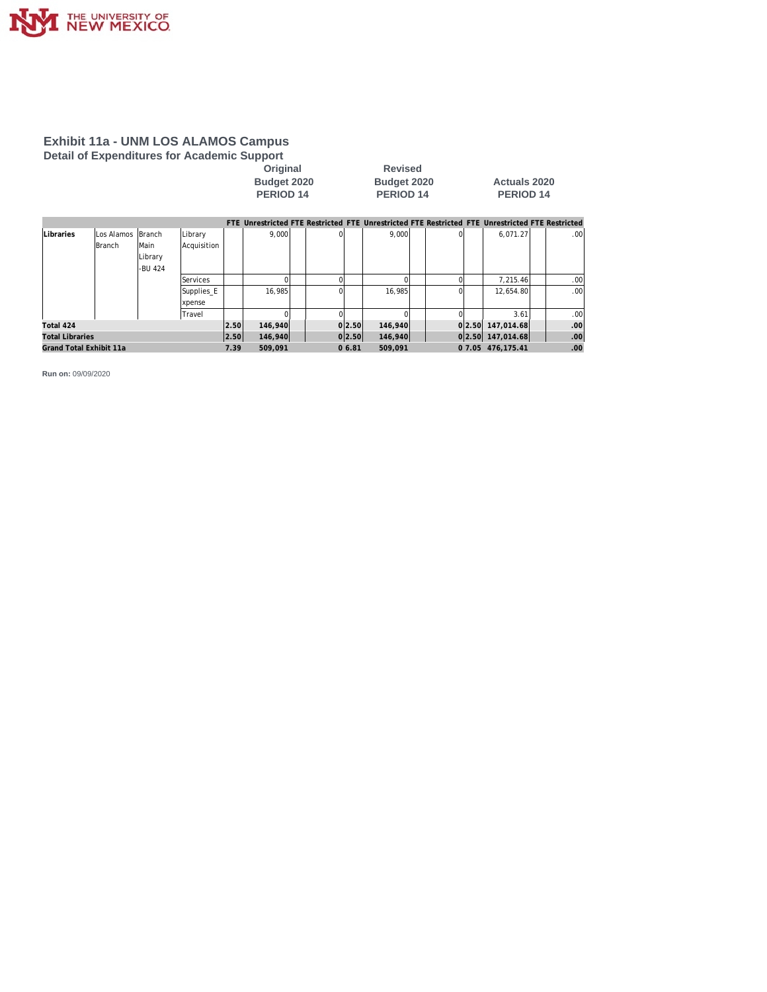

# **Exhibit 11a - UNM LOS ALAMOS Campus Detail of Expenditures for Academic Support**

**Calcular Coriginal**<br>Budget 2020 **Budget 2021 Budget 2020 Budget 2020 Actuals 2020**

**PERIOD 14 PERIOD 14 PERIOD 14**

|                         |             |         |               |      |         |    |        | FTE Unrestricted FTE Restricted FTE Unrestricted FTE Restricted FTE Unrestricted FTE Restricted |  |                   |                  |
|-------------------------|-------------|---------|---------------|------|---------|----|--------|-------------------------------------------------------------------------------------------------|--|-------------------|------------------|
| Libraries               | lLos Alamos | Branch  | Library       |      | 9.000   | ΩI |        | 9.000                                                                                           |  | 6.071.27          | .00 <sub>1</sub> |
|                         | Branch      | lMain   | Acquisition   |      |         |    |        |                                                                                                 |  |                   |                  |
|                         |             | Library |               |      |         |    |        |                                                                                                 |  |                   |                  |
|                         |             | -BU 424 |               |      |         |    |        |                                                                                                 |  |                   |                  |
|                         |             |         | Services      |      |         |    |        |                                                                                                 |  | 7.215.46          | .00 <sub>1</sub> |
|                         |             |         | Supplies_E    |      | 16.985  | ΩI |        | 16.985                                                                                          |  | 12.654.80         | .00 <sub>1</sub> |
|                         |             |         | <b>xpense</b> |      |         |    |        |                                                                                                 |  |                   |                  |
|                         |             |         | Travel        |      |         |    |        |                                                                                                 |  | 3.61              | .00 <sub>1</sub> |
| Total 424               |             |         |               | 2.50 | 146,940 |    | 0 2.50 | 146,940                                                                                         |  | 0 2.50 147,014.68 | .00.             |
| <b>Total Libraries</b>  |             |         |               | 2.50 | 146,940 |    | 0 2.50 | 146,940                                                                                         |  | 0 2.50 147,014.68 | .00 <sub>1</sub> |
| Grand Total Exhibit 11a |             |         |               | 7.39 | 509.091 |    | 06.81  | 509.091                                                                                         |  | 0 7.05 476.175.41 | .00 <sub>1</sub> |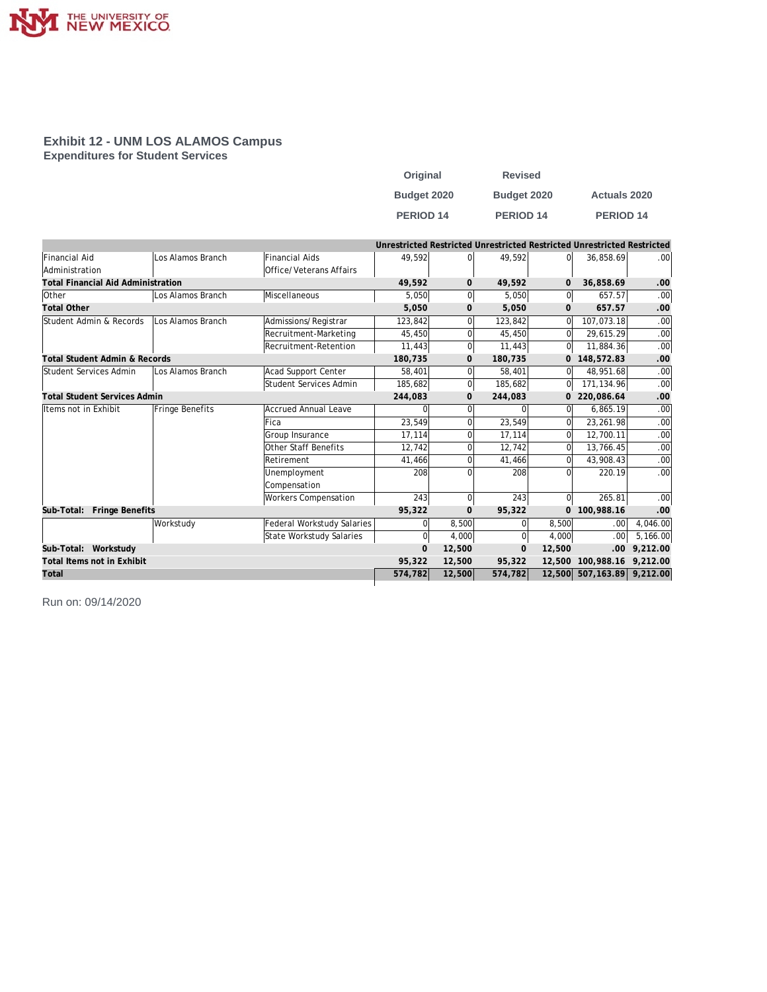

#### **Exhibit 12 - UNM LOS ALAMOS Campus Expenditures for Student Services**

| Original         | <b>Revised</b>       |                      |
|------------------|----------------------|----------------------|
| Budget 2020      | Budget 2020          | <b>Actuals 2020</b>  |
| <b>PERIOD 14</b> | PERIOD <sub>14</sub> | PERIOD <sub>14</sub> |

|                                           |                   |                                   | Unrestricted Restricted Unrestricted Restricted Unrestricted Restricted |                |          |                |                            |          |
|-------------------------------------------|-------------------|-----------------------------------|-------------------------------------------------------------------------|----------------|----------|----------------|----------------------------|----------|
| <b>Financial Aid</b>                      | Los Alamos Branch | <b>Financial Aids</b>             | 49,592                                                                  | $\Omega$       | 49,592   | ΩI             | 36,858.69                  | .00      |
| Administration                            |                   | Office/Veterans Affairs           |                                                                         |                |          |                |                            |          |
| <b>Total Financial Aid Administration</b> |                   |                                   | 49,592                                                                  | $\mathbf{O}$   | 49,592   | 0              | 36,858.69                  | .00      |
| <b>Other</b>                              | Los Alamos Branch | Miscellaneous                     | 5.050                                                                   | $\overline{0}$ | 5,050    | 0l             | 657.57                     | .00      |
| <b>Total Other</b>                        |                   |                                   | 5,050                                                                   | $\mathbf{0}$   | 5,050    | $\mathbf{0}$   | 657.57                     | .00      |
| Student Admin & Records                   | Los Alamos Branch | Admissions/Registrar              | 123.842                                                                 | $\Omega$       | 123,842  | 0              | 107.073.18                 | .00      |
|                                           |                   | Recruitment-Marketing             | 45,450                                                                  | $\Omega$       | 45,450   | 0l             | 29,615.29                  | .00      |
|                                           |                   | Recruitment-Retention             | 11,443                                                                  | $\mathbf{0}$   | 11.443   | 0l             | 11,884.36                  | $.00\,$  |
| <b>Total Student Admin &amp; Records</b>  |                   |                                   | 180,735                                                                 | $\mathbf{0}$   | 180,735  | 0              | 148,572.83                 | .00      |
| Student Services Admin                    | Los Alamos Branch | Acad Support Center               | 58,401                                                                  | $\Omega$       | 58,401   | 0l             | 48,951.68                  | .00      |
|                                           |                   | Student Services Admin            | 185,682                                                                 | $\overline{0}$ | 185,682  | 0l             | 171,134.96                 | .00      |
| <b>Total Student Services Admin</b>       |                   |                                   | 244,083                                                                 | $\mathbf{O}$   | 244,083  | 0              | 220,086.64                 | .00      |
| Items not in Exhibit                      | Fringe Benefits   | <b>Accrued Annual Leave</b>       |                                                                         | $\Omega$       |          | $\Omega$       | 6,865.19                   | .00      |
|                                           |                   | Fica                              | 23,549                                                                  | $\Omega$       | 23,549   | $\Omega$       | 23,261.98                  | .00      |
|                                           |                   | Group Insurance                   | 17,114                                                                  | $\Omega$       | 17,114   | Ωl             | 12,700.11                  | .00      |
|                                           |                   | Other Staff Benefits              | 12,742                                                                  | $\Omega$       | 12,742   | 0              | 13,766.45                  | .00      |
|                                           |                   | Retirement                        | 41,466                                                                  | $\Omega$       | 41.466   | 0              | 43,908.43                  | .00      |
|                                           |                   | Unemployment                      | 208                                                                     | $\Omega$       | 208      | ΩI             | 220.19                     | .00      |
|                                           |                   | Compensation                      |                                                                         |                |          |                |                            |          |
|                                           |                   | <b>Workers Compensation</b>       | 243                                                                     | $\Omega$       | 243      | 0l             | 265.81                     | .00      |
| Sub-Total: Fringe Benefits                |                   |                                   | 95,322                                                                  | $\mathbf{O}$   | 95,322   | $\overline{0}$ | 100,988.16                 | .00      |
|                                           | Workstudy         | <b>Federal Workstudy Salaries</b> | 0                                                                       | 8,500          | $\Omega$ | 8,500          | .00 <sub>1</sub>           | 4,046.00 |
|                                           |                   | State Workstudy Salaries          | 0                                                                       | 4,000          | $\Omega$ | 4,000          | .00 <sub>1</sub>           | 5,166.00 |
| Sub-Total: Workstudy                      |                   |                                   | $\Omega$                                                                | 12,500         | $\Omega$ | 12,500         | .00.                       | 9,212.00 |
| Total Items not in Exhibit                |                   |                                   | 95,322                                                                  | 12,500         | 95,322   | 12,500         | 100.988.16                 | 9.212.00 |
| Total                                     |                   |                                   | 574,782                                                                 | 12,500         | 574,782  |                | 12,500 507,163.89 9,212.00 |          |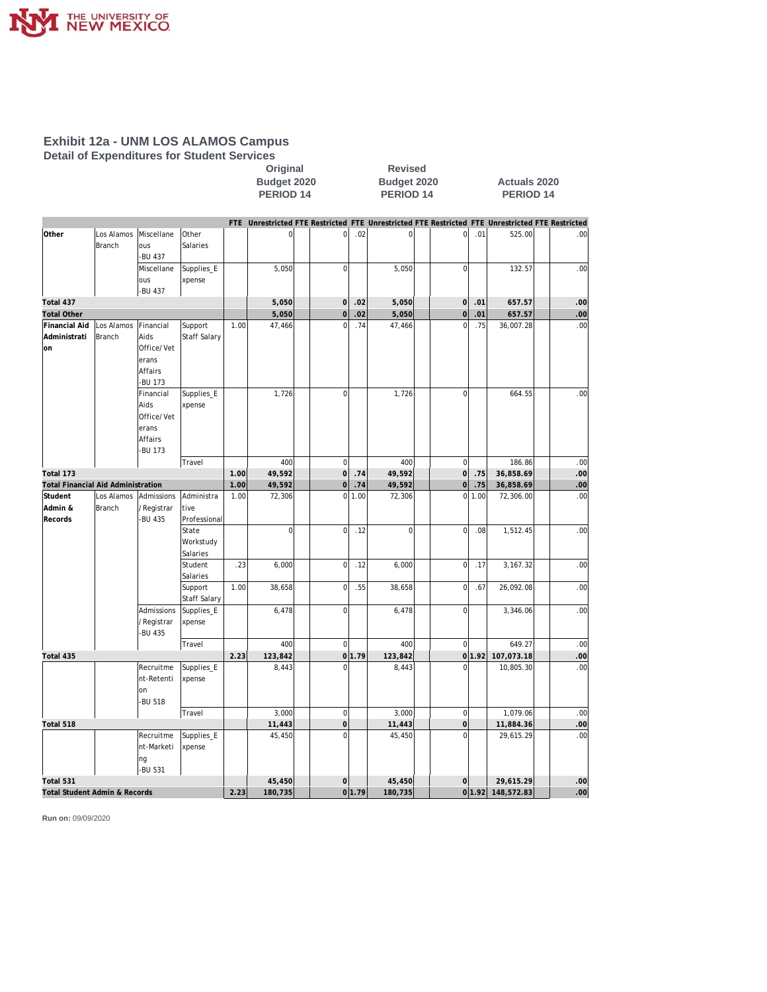

#### **Exhibit 12a - UNM LOS ALAMOS Campus Detail of Expenditures for Student Services**

#### **Original Revised Budget 2020 Budget 2020 Actuals 2020** PERIOD 14 PERIOD 14 PERIOD 14

|                                    |                             |                      |                   |      |                |                |        | FTE Unrestricted FTE Restricted FTE Unrestricted FTE Restricted FTE Unrestricted FTE Restricted |                |        |                                |     |
|------------------------------------|-----------------------------|----------------------|-------------------|------|----------------|----------------|--------|-------------------------------------------------------------------------------------------------|----------------|--------|--------------------------------|-----|
| Other                              | Los Alamos<br><b>Branch</b> | Miscellane<br>ous    | Other<br>Salaries |      | $\overline{0}$ | $\circ$        | .02    | $\bf 0$                                                                                         | $\mathbf 0$    | .01    | 525.00                         | .00 |
|                                    |                             | -BU 437              |                   |      |                |                |        |                                                                                                 |                |        |                                |     |
|                                    |                             | Miscellane           | Supplies_E        |      | 5,050          | $\mathbf 0$    |        | 5,050                                                                                           | $\overline{0}$ |        | 132.57                         | .00 |
|                                    |                             | ous                  | xpense            |      |                |                |        |                                                                                                 |                |        |                                |     |
|                                    |                             | -BU 437              |                   |      |                |                |        |                                                                                                 |                |        |                                |     |
| Total 437                          |                             |                      |                   |      | 5,050          | $\overline{0}$ | .02    | 5,050                                                                                           | $\overline{0}$ | .01    | 657.57                         | .00 |
| <b>Total Other</b>                 |                             |                      |                   |      | 5,050          | $\mathbf 0$    | .02    | 5,050                                                                                           | $\mathbf 0$    | .01    | 657.57                         | .00 |
| Financial Aid                      | Los Alamos                  | Financial            | Support           | 1.00 | 47,466         | $\mathbf 0$    | .74    | 47,466                                                                                          | $\overline{0}$ | .75    | 36,007.28                      | .00 |
| Administrati                       | <b>Branch</b>               | Aids                 | Staff Salary      |      |                |                |        |                                                                                                 |                |        |                                |     |
| lon                                |                             | Office/Vet           |                   |      |                |                |        |                                                                                                 |                |        |                                |     |
|                                    |                             | erans                |                   |      |                |                |        |                                                                                                 |                |        |                                |     |
|                                    |                             | Affairs              |                   |      |                |                |        |                                                                                                 |                |        |                                |     |
|                                    |                             | -BU 173<br>Financial |                   |      | 1,726          | $\overline{0}$ |        |                                                                                                 | $\overline{0}$ |        | 664.55                         | .00 |
|                                    |                             | Aids                 | Supplies_E        |      |                |                |        | 1,726                                                                                           |                |        |                                |     |
|                                    |                             | Office/Vet           | xpense            |      |                |                |        |                                                                                                 |                |        |                                |     |
|                                    |                             | erans                |                   |      |                |                |        |                                                                                                 |                |        |                                |     |
|                                    |                             | Affairs              |                   |      |                |                |        |                                                                                                 |                |        |                                |     |
|                                    |                             | -BU 173              |                   |      |                |                |        |                                                                                                 |                |        |                                |     |
|                                    |                             |                      | Travel            |      | 400            | $\overline{0}$ |        | 400                                                                                             | $\mathbf 0$    |        | 186.86                         | .00 |
| Total 173                          |                             |                      |                   | 1.00 | 49,592         | 0              | .74    | 49,592                                                                                          | 0              | .75    | 36,858.69                      | .00 |
| Total Financial Aid Administration |                             |                      |                   | 1.00 | 49,592         | $\mathbf 0$    | .74    | 49,592                                                                                          | $\mathbf 0$    | .75    | 36,858.69                      | .00 |
| Student                            | Los Alamos                  | Admissions           | Administra        | 1.00 | 72,306         | $\overline{0}$ | 1.00   | 72,306                                                                                          | $\overline{0}$ | 1.00   | 72,306.00                      | .00 |
| Admin &                            | <b>Branch</b>               | /Registrar           | tive              |      |                |                |        |                                                                                                 |                |        |                                |     |
| Records                            |                             | -BU 435              | Professional      |      |                |                |        |                                                                                                 |                |        |                                |     |
|                                    |                             |                      | State             |      | $\Omega$       | $\Omega$       | .12    | $\Omega$                                                                                        | $\Omega$       | .08    | 1,512.45                       | .00 |
|                                    |                             |                      | Workstudy         |      |                |                |        |                                                                                                 |                |        |                                |     |
|                                    |                             |                      | Salaries          |      |                |                |        |                                                                                                 |                |        |                                |     |
|                                    |                             |                      | Student           | .23  | 6,000          | $\mathbf 0$    | .12    | 6,000                                                                                           | $\overline{0}$ | .17    | 3,167.32                       | .00 |
|                                    |                             |                      | Salaries          |      |                |                |        |                                                                                                 |                |        |                                |     |
|                                    |                             |                      | Support           | 1.00 | 38,658         | $\bf 0$        | .55    | 38,658                                                                                          | $\overline{0}$ | .67    | 26,092.08                      | .00 |
|                                    |                             |                      | Staff Salary      |      |                |                |        |                                                                                                 |                |        |                                |     |
|                                    |                             | Admissions           | Supplies_E        |      | 6,478          | $\Omega$       |        | 6,478                                                                                           | $\Omega$       |        | 3,346.06                       | .00 |
|                                    |                             | /Registrar           | xpense            |      |                |                |        |                                                                                                 |                |        |                                |     |
|                                    |                             | -BU 435              |                   |      |                |                |        |                                                                                                 |                |        |                                |     |
|                                    |                             |                      | Travel            |      | 400            | <sup>0</sup>   |        | 400                                                                                             | $\overline{0}$ |        | 649.27                         | .00 |
| Total 435                          |                             |                      |                   | 2.23 | 123,842        |                | 0 1.79 | 123,842                                                                                         |                | 0 1.92 | 107,073.18                     | .00 |
|                                    |                             | Recruitme            | Supplies_E        |      | 8,443          | $\Omega$       |        | 8,443                                                                                           | $\Omega$       |        | 10,805.30                      | .00 |
|                                    |                             | nt-Retenti           | xpense            |      |                |                |        |                                                                                                 |                |        |                                |     |
|                                    |                             | on                   |                   |      |                |                |        |                                                                                                 |                |        |                                |     |
|                                    |                             | -BU 518              |                   |      |                |                |        |                                                                                                 |                |        |                                |     |
|                                    |                             |                      | Travel            |      | 3,000          | $\overline{0}$ |        | 3,000                                                                                           | $\mathbf 0$    |        | 1,079.06                       | .00 |
| Total 518                          |                             |                      |                   |      | 11,443         | $\overline{0}$ |        | 11,443                                                                                          | $\overline{0}$ |        | 11,884.36                      | .00 |
|                                    |                             | Recruitme            | Supplies_E        |      | 45,450         | $\Omega$       |        | 45,450                                                                                          | $\Omega$       |        | 29,615.29                      | .00 |
|                                    |                             | nt-Marketi           | xpense            |      |                |                |        |                                                                                                 |                |        |                                |     |
|                                    |                             | ng                   |                   |      |                |                |        |                                                                                                 |                |        |                                |     |
|                                    |                             | -BU 531              |                   |      |                |                |        |                                                                                                 |                |        |                                |     |
| Total 531                          |                             |                      |                   |      | 45,450         | $\Omega$       |        | 45,450                                                                                          | $\mathbf 0$    |        | 29,615.29<br>0 1.92 148,572.83 | .00 |
| Total Student Admin & Records      |                             |                      |                   | 2.23 | 180,735        |                | 0 1.79 | 180,735                                                                                         |                |        |                                | .00 |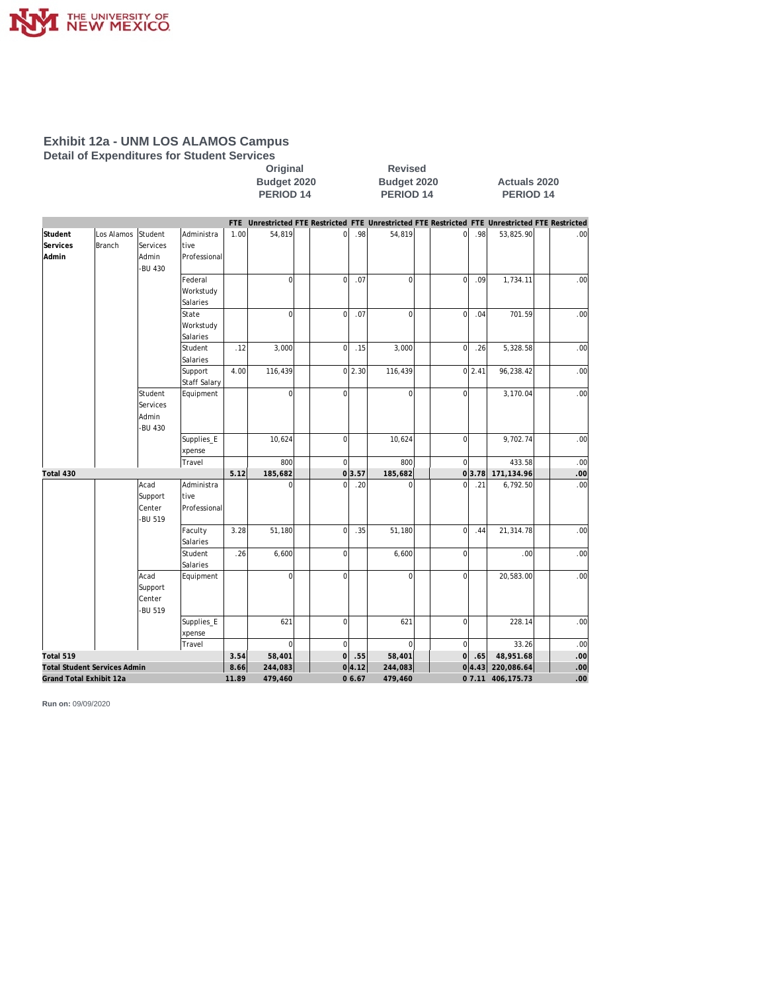

#### **Exhibit 12a - UNM LOS ALAMOS Campus Detail of Expenditures for Student Services**

Original Revised<br>Budget 2020 Budget 202 **Budget 2020 Budget 2020 Actuals 2020 PERIOD 14 PERIOD 14 PERIOD 14**

|                         |                                     |                                         |                         |       | FTE Unrestricted FTE Restricted FTE Unrestricted FTE Restricted FTE Unrestricted FTE Restricted |                |        |              |                |            |                   |                  |
|-------------------------|-------------------------------------|-----------------------------------------|-------------------------|-------|-------------------------------------------------------------------------------------------------|----------------|--------|--------------|----------------|------------|-------------------|------------------|
| Student                 | Los Alamos                          | Student                                 | Administra              | 1.00  | 54,819                                                                                          | ΩI             | .98    | 54,819       | $\Omega$       | .98        | 53,825.90         | .00 <sub>l</sub> |
| <b>Services</b>         | <b>Branch</b>                       | Services                                | tive                    |       |                                                                                                 |                |        |              |                |            |                   |                  |
| Admin                   |                                     | Admin<br>-BU 430                        | Professional            |       |                                                                                                 |                |        |              |                |            |                   |                  |
|                         |                                     |                                         | Federal                 |       | $\overline{0}$                                                                                  | $\mathbf{0}$   | .07    | $\mathbf 0$  | $\overline{0}$ | .09        | 1,734.11          | .00 <sub>l</sub> |
|                         |                                     |                                         | Workstudy               |       |                                                                                                 |                |        |              |                |            |                   |                  |
|                         |                                     |                                         | Salaries                |       |                                                                                                 |                |        |              |                |            |                   |                  |
|                         |                                     |                                         | State                   |       | $\overline{0}$                                                                                  | $\overline{0}$ | .07    | $\mathbf{0}$ | $\overline{0}$ | .04        | 701.59            | .00              |
|                         |                                     |                                         | Workstudy               |       |                                                                                                 |                |        |              |                |            |                   |                  |
|                         |                                     |                                         | Salaries                |       |                                                                                                 |                |        |              |                |            |                   |                  |
|                         |                                     |                                         | Student                 | .12   | 3,000                                                                                           | $\mathbf{0}$   | .15    | 3,000        | $\overline{0}$ | .26        | 5,328.58          | .00              |
|                         |                                     |                                         | Salaries                |       |                                                                                                 |                |        |              |                |            |                   |                  |
|                         |                                     |                                         | Support<br>Staff Salary | 4.00  | 116,439                                                                                         |                | 0 2.30 | 116,439      |                | $0 \ 2.41$ | 96,238.42         | .00              |
|                         |                                     | Student<br>Services<br>Admin<br>-BU 430 | Equipment               |       | $\overline{0}$                                                                                  | $\Omega$       |        | $\mathbf 0$  | $\overline{0}$ |            | 3,170.04          | .00              |
|                         |                                     |                                         | Supplies_E              |       | 10,624                                                                                          | $\overline{0}$ |        | 10,624       | $\overline{0}$ |            | 9,702.74          | .00              |
|                         |                                     |                                         | xpense                  |       |                                                                                                 |                |        |              |                |            |                   |                  |
|                         |                                     |                                         | Travel                  |       | 800                                                                                             | $\overline{0}$ |        | 800          | $\overline{0}$ |            | 433.58            | .00              |
| Total 430               |                                     |                                         |                         | 5.12  | 185,682                                                                                         |                | 0 3.57 | 185,682      |                | 0 3.78     | 171,134.96        | .00              |
|                         |                                     | Acad<br>Support                         | Administra<br>tive      |       | $\Omega$                                                                                        | $\Omega$       | .20    | $\Omega$     | $\overline{0}$ | .21        | 6,792.50          | .00              |
|                         |                                     | Center<br>-BU 519                       | Professional            |       |                                                                                                 |                |        |              |                |            |                   |                  |
|                         |                                     |                                         | Faculty<br>Salaries     | 3.28  | 51,180                                                                                          | $\mathbf 0$    | .35    | 51,180       | $\overline{0}$ | .44        | 21,314.78         | .00              |
|                         |                                     |                                         | Student<br>Salaries     | .26   | 6,600                                                                                           | $\overline{0}$ |        | 6,600        | $\overline{0}$ |            | .00 <sub>l</sub>  | .00              |
|                         |                                     | Acad<br>Support<br>Center<br>-BU 519    | Equipment               |       | $\Omega$                                                                                        | $\Omega$       |        | $\mathbf 0$  | $\Omega$       |            | 20,583.00         | .00              |
|                         |                                     |                                         | Supplies_E<br>xpense    |       | 621                                                                                             | $\overline{0}$ |        | 621          | $\overline{0}$ |            | 228.14            | .00              |
|                         |                                     |                                         | Travel                  |       | $\overline{0}$                                                                                  | $\mathbf{0}$   |        | $\mathbf 0$  | $\overline{0}$ |            | 33.26             | .00              |
| Total 519               |                                     |                                         |                         | 3.54  | 58,401                                                                                          | $\circ$        | .55    | 58,401       | $\overline{O}$ | .65        | 48,951.68         | .00              |
|                         | <b>Total Student Services Admin</b> |                                         |                         | 8.66  | 244,083                                                                                         |                | 0 4.12 | 244,083      |                |            | 04.43 220,086.64  | .00              |
| Grand Total Exhibit 12a |                                     |                                         |                         | 11.89 | 479,460                                                                                         |                | 06.67  | 479,460      |                |            | 0 7.11 406,175.73 | .00              |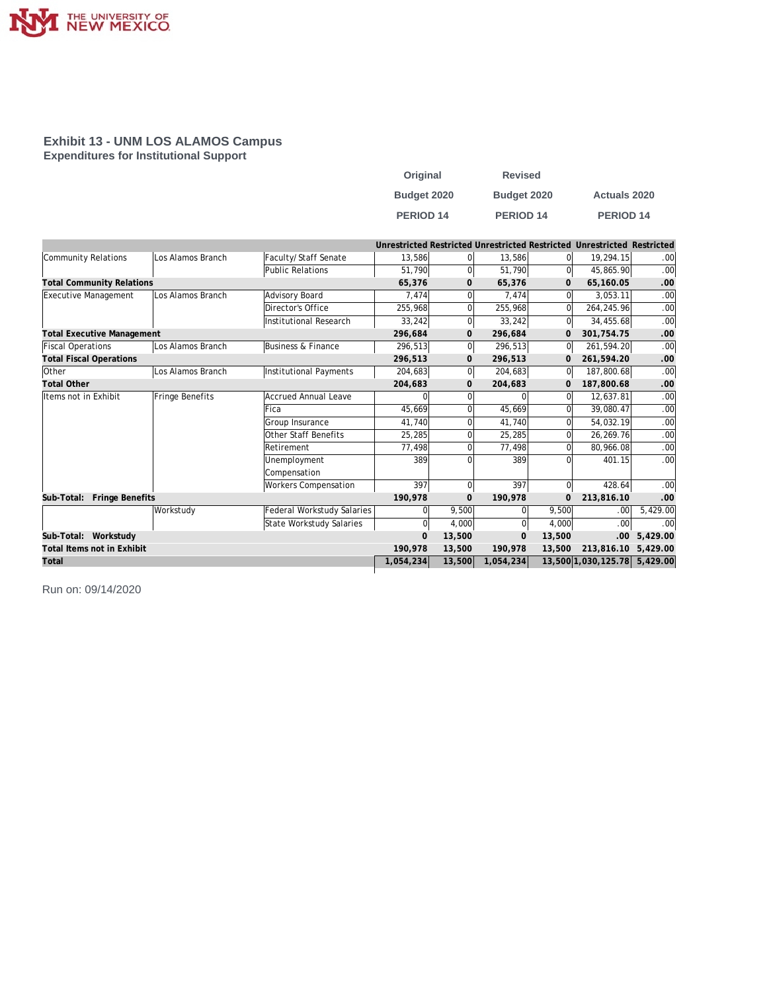

#### **Exhibit 13 - UNM LOS ALAMOS Campus Expenditures for Institutional Support**

| Original         | <b>Revised</b>   |                     |
|------------------|------------------|---------------------|
| Budget 2020      | Budget 2020      | <b>Actuals 2020</b> |
| <b>PERIOD 14</b> | <b>PERIOD 14</b> | <b>PERIOD 14</b>    |

|                                      |                   |                               |                |                |                |                | Unrestricted Restricted Unrestricted Restricted Unrestricted Restricted |          |
|--------------------------------------|-------------------|-------------------------------|----------------|----------------|----------------|----------------|-------------------------------------------------------------------------|----------|
| Community Relations                  | Los Alamos Branch | Faculty/Staff Senate          | 13,586         | $\overline{0}$ | 13,586         | 0l             | 19.294.15                                                               | .00      |
|                                      |                   | <b>Public Relations</b>       | 51,790         | $\overline{0}$ | 51,790         | $\Omega$       | 45,865.90                                                               | .00      |
| <b>Total Community Relations</b>     |                   |                               | 65,376         | 0              | 65,376         | $\mathbf{O}$   | 65,160.05                                                               | .00      |
| Executive Management                 | Los Alamos Branch | Advisory Board                | 7,474          | $\overline{0}$ | 7,474          | $\Omega$       | 3,053.11                                                                | .00      |
|                                      |                   | Director's Office             | 255,968        | $\overline{0}$ | 255,968        | $\overline{0}$ | 264,245.96                                                              | .00      |
|                                      |                   | Institutional Research        | 33,242         | $\overline{0}$ | 33.242         | <sup>0</sup>   | 34,455.68                                                               | .00      |
| <b>Total Executive Management</b>    |                   |                               | 296,684        | 0              | 296,684        | $\mathbf{O}$   | 301,754.75                                                              | .00      |
| <b>Fiscal Operations</b>             | Los Alamos Branch | <b>Business &amp; Finance</b> | 296,513        | 0              | 296,513        | 0              | 261,594.20                                                              | .00      |
| <b>Total Fiscal Operations</b>       |                   |                               | 296,513        | $\mathbf{0}$   | 296,513        | $\mathbf{O}$   | 261,594.20                                                              | .00      |
| Other                                | Los Alamos Branch | Institutional Payments        | 204,683        | 0              | 204,683        | $\overline{0}$ | 187,800.68                                                              | .00      |
| <b>Total Other</b>                   |                   |                               | 204,683        | 0              | 204,683        | $\Omega$       | 187,800.68                                                              | .00      |
| Items not in Exhibit                 | Fringe Benefits   | <b>Accrued Annual Leave</b>   |                | 0              |                | $\Omega$       | 12,637.81                                                               | .00      |
|                                      |                   | Fica                          | 45,669         | 0              | 45,669         | 0              | 39,080.47                                                               | .00      |
|                                      |                   | Group Insurance               | 41.740         | 0              | 41.740         | 0              | 54,032.19                                                               | .00      |
|                                      |                   | Other Staff Benefits          | 25,285         | $\overline{0}$ | 25,285         | 0              | 26,269.76                                                               | .00      |
|                                      |                   | Retirement                    | 77.498         | 0              | 77,498         | $\Omega$       | 80,966.08                                                               | .00      |
|                                      |                   | Unemployment                  | 389            | $\Omega$       | 389            | $\Omega$       | 401.15                                                                  | .00.     |
|                                      |                   | Compensation                  |                |                |                |                |                                                                         |          |
|                                      |                   | <b>Workers Compensation</b>   | 397            | $\overline{0}$ | 397            | $\overline{0}$ | 428.64                                                                  | .00      |
| Sub-Total:<br><b>Fringe Benefits</b> |                   |                               | 190,978        | $\mathbf{0}$   | 190,978        | $\Omega$       | 213,816.10                                                              | .00      |
|                                      | Workstudy         | Federal Workstudy Salaries    | 0              | 9,500          |                | 9,500          | .00 <sub>1</sub>                                                        | 5,429.00 |
|                                      |                   | State Workstudy Salaries      | $\Omega$       | 4.000          |                | 4,000          | .00.                                                                    | .00      |
| Sub-Total: Workstudy                 |                   |                               | $\overline{0}$ | 13,500         | $\overline{0}$ | 13,500         | .00                                                                     | 5,429.00 |
| Total Items not in Exhibit           |                   |                               | 190,978        | 13,500         | 190,978        | 13,500         | 213,816.10                                                              | 5,429.00 |
| Total                                |                   |                               | 1,054,234      | 13,500         | 1,054,234      |                | 13,500 1,030,125.78                                                     | 5,429.00 |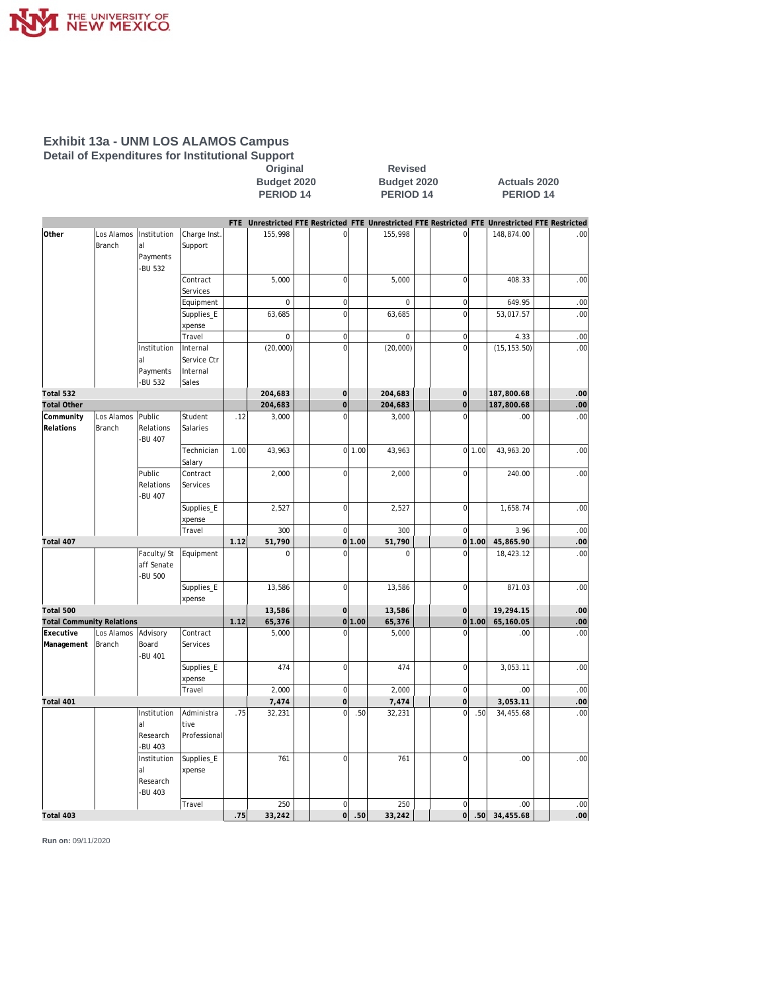

#### **Exhibit 13a - UNM LOS ALAMOS Campus Detail of Expenditures for Institutional Support**

**Original** Revised<br>Budget 2020 **Budget 2020** 

**Budget 2020 Budget 2020 Actuals 2020 PERIOD 14 PERIOD 14 PERIOD 14**

|                                  |            |                                           |                      |      |             |                     |        |              |                  |        | FTE Unrestricted FTE Restricted FTE Unrestricted FTE Restricted FTE Unrestricted FTE Restricted |     |
|----------------------------------|------------|-------------------------------------------|----------------------|------|-------------|---------------------|--------|--------------|------------------|--------|-------------------------------------------------------------------------------------------------|-----|
| Other                            | Los Alamos | Institution                               | Charge Inst.         |      | 155,998     | 0                   |        | 155,998      | $\Omega$         |        | 148,874.00                                                                                      | .00 |
|                                  | Branch     | al                                        | Support              |      |             |                     |        |              |                  |        |                                                                                                 |     |
|                                  |            | Payments<br>-BU 532                       |                      |      |             |                     |        |              |                  |        |                                                                                                 |     |
|                                  |            |                                           | Contract             |      | 5,000       | $\mathbf 0$         |        | 5,000        | $\mathbf 0$      |        | 408.33                                                                                          | .00 |
|                                  |            |                                           | Services             |      |             |                     |        |              |                  |        |                                                                                                 |     |
|                                  |            |                                           | Equipment            |      | $\mathbf 0$ | $\mathbf 0$         |        | $\mathbf{0}$ | $\overline{0}$   |        | 649.95                                                                                          | .00 |
|                                  |            |                                           | Supplies_E           |      | 63,685      | $\mathbf 0$         |        | 63,685       | $\mathbf 0$      |        | 53,017.57                                                                                       | .00 |
|                                  |            |                                           | xpense               |      |             |                     |        |              |                  |        |                                                                                                 |     |
|                                  |            |                                           | Travel               |      | $\mathbf 0$ | $\mathbf 0$         |        | $\mathbf 0$  | $\mathbf 0$      |        | 4.33                                                                                            | .00 |
|                                  |            | Institution                               | Internal             |      | (20,000)    | $\overline{0}$      |        | (20,000)     | $\Omega$         |        | (15, 153.50)                                                                                    | .00 |
|                                  |            | al                                        | Service Ctr          |      |             |                     |        |              |                  |        |                                                                                                 |     |
|                                  |            | Payments                                  | Internal             |      |             |                     |        |              |                  |        |                                                                                                 |     |
|                                  |            | -BU 532                                   | Sales                |      |             |                     |        |              |                  |        |                                                                                                 |     |
| Total 532                        |            |                                           |                      |      | 204,683     | $\mathbf{O}$        |        | 204,683      | $\boldsymbol{0}$ |        | 187,800.68                                                                                      | .00 |
| <b>Total Other</b>               |            |                                           |                      |      | 204,683     | $\overline{O}$      |        | 204,683      | $\mathbf 0$      |        | 187,800.68                                                                                      | .00 |
| Community                        | Los Alamos | Public                                    | Student              | .12  | 3,000       | $\overline{0}$      |        | 3,000        | $\Omega$         |        | .00                                                                                             | .00 |
| Relations                        | Branch     | Relations<br><b>BU 407</b>                | Salaries             |      |             |                     |        |              |                  |        |                                                                                                 |     |
|                                  |            |                                           | Technician<br>Salary | 1.00 | 43,963      |                     | 0 1.00 | 43,963       |                  | 0 1.00 | 43,963.20                                                                                       | .00 |
|                                  |            | Public                                    | Contract             |      | 2,000       | $\mathbf 0$         |        | 2,000        | $\overline{0}$   |        | 240.00                                                                                          | .00 |
|                                  |            | Relations<br><b>BU 407</b>                | Services             |      |             |                     |        |              |                  |        |                                                                                                 |     |
|                                  |            |                                           | Supplies_E           |      | 2,527       | $\bf 0$             |        | 2,527        | $\mathbf 0$      |        | 1,658.74                                                                                        | .00 |
|                                  |            |                                           | xpense               |      |             |                     |        |              |                  |        |                                                                                                 |     |
|                                  |            |                                           | Travel               |      | 300         | $\mathbf 0$         |        | 300          | $\overline{0}$   |        | 3.96                                                                                            | .00 |
| Total 407                        |            |                                           |                      | 1.12 | 51,790      |                     | 0 1.00 | 51,790       |                  | 0 1.00 | 45,865.90                                                                                       | .00 |
|                                  |            | Faculty/St<br>aff Senate<br><b>BU 500</b> | Equipment            |      | $\Omega$    | $\Omega$            |        | $\mathbf 0$  | $\Omega$         |        | 18,423.12                                                                                       | .00 |
|                                  |            |                                           | Supplies_E<br>xpense |      | 13,586      | $\bf 0$             |        | 13,586       | $\mathbf 0$      |        | 871.03                                                                                          | .00 |
| Total 500                        |            |                                           |                      |      | 13,586      | $\mathsf{O}\xspace$ |        | 13,586       | $\mathbf 0$      |        | 19,294.15                                                                                       | .00 |
| <b>Total Community Relations</b> |            |                                           |                      | 1.12 | 65,376      |                     | 0 1.00 | 65,376       |                  | 0 1.00 | 65,160.05                                                                                       | .00 |
| Executive                        | Los Alamos | Advisory                                  | Contract             |      | 5,000       | $\overline{0}$      |        | 5,000        | $\mathbf 0$      |        | .00                                                                                             | .00 |
| Management                       | Branch     | Board<br>-BU 401                          | Services             |      |             |                     |        |              |                  |        |                                                                                                 |     |
|                                  |            |                                           | Supplies_E<br>xpense |      | 474         | $\mathbf 0$         |        | 474          | $\mathbf 0$      |        | 3,053.11                                                                                        | .00 |
|                                  |            |                                           | Travel               |      | 2,000       | $\mathbf 0$         |        | 2,000        | $\overline{0}$   |        | .00.                                                                                            | .00 |
| Total 401                        |            |                                           |                      |      | 7,474       | $\mathbf 0$         |        | 7,474        | $\overline{0}$   |        | 3,053.11                                                                                        | .00 |
|                                  |            | Institution                               | Administra           | .75  | 32,231      | $\Omega$            | .50    | 32,231       | $\Omega$         | .50    | 34,455.68                                                                                       | .00 |
|                                  |            | al<br>Research<br><b>BU 403</b>           | tive<br>Professional |      |             |                     |        |              |                  |        |                                                                                                 |     |
|                                  |            | Institution                               | Supplies_E           |      | 761         | $\mathbf 0$         |        | 761          | $\overline{0}$   |        | .00                                                                                             | .00 |
|                                  |            | al<br>Research<br>-BU 403                 | xpense               |      |             |                     |        |              |                  |        |                                                                                                 |     |
|                                  |            |                                           | Travel               |      | 250         | $\mathbf 0$         |        | 250          | $\mathbf 0$      |        | .00                                                                                             | .00 |
| Total 403                        |            |                                           |                      | 75   | 33,242      | $\circ$             | 50     | 33,242       | $\overline{O}$   | .50    | 34,455.68                                                                                       | .00 |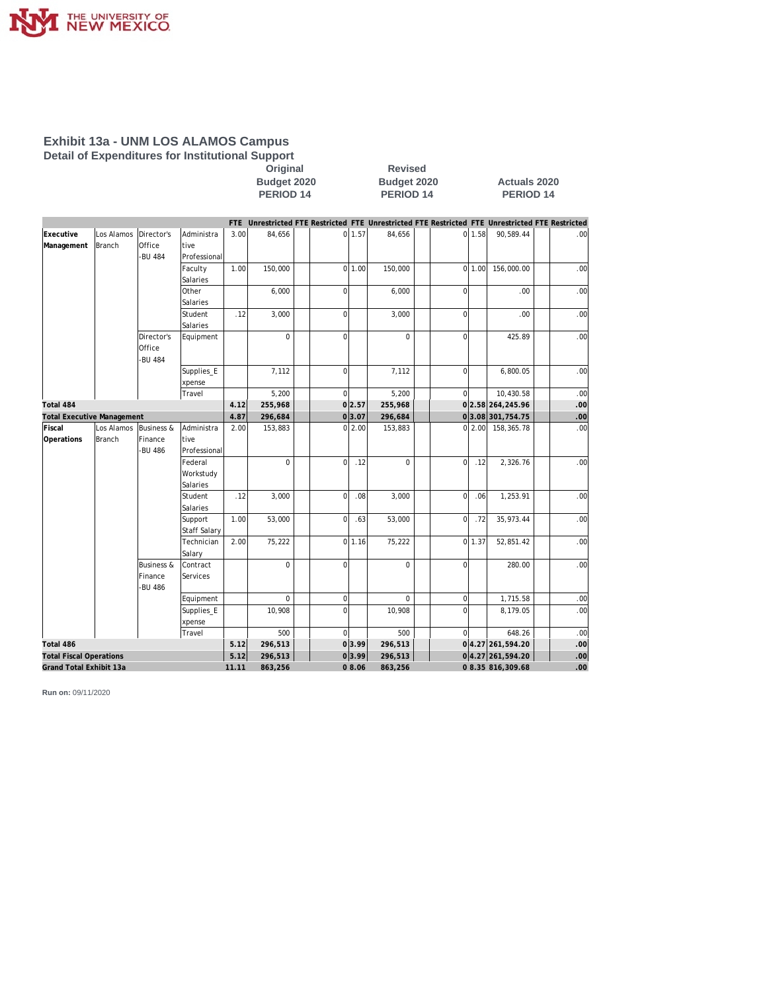

#### **Exhibit 13a - UNM LOS ALAMOS Campus Detail of Expenditures for Institutional Support**

**Original** Revised<br>Budget 2020 **Budget 2020** 

**Budget 2020 Budget 2020 Actuals 2020 PERIOD 14 PERIOD 14 PERIOD 14**

|                                   |               |                       |                         |       |             |                |        | FTE Unrestricted FTE Restricted FTE Unrestricted FTE Restricted FTE Unrestricted FTE Restricted |                     |          |                    |     |
|-----------------------------------|---------------|-----------------------|-------------------------|-------|-------------|----------------|--------|-------------------------------------------------------------------------------------------------|---------------------|----------|--------------------|-----|
| Executive                         | Los Alamos    | Director's            | Administra              | 3.00  | 84,656      |                | 0 1.57 | 84,656                                                                                          |                     | 0 1.58   | 90,589.44          | .00 |
| Management                        | Branch        | Office                | tive                    |       |             |                |        |                                                                                                 |                     |          |                    |     |
|                                   |               | -BU 484               | Professional            |       |             |                |        |                                                                                                 |                     |          |                    |     |
|                                   |               |                       | Faculty                 | 1.00  | 150,000     |                | 0 1.00 | 150,000                                                                                         |                     | 0 1.00   | 156,000.00         | .00 |
|                                   |               |                       | Salaries                |       |             |                |        |                                                                                                 |                     |          |                    |     |
|                                   |               |                       | Other                   |       | 6,000       | $\Omega$       |        | 6,000                                                                                           | $\overline{0}$      |          | .00                | .00 |
|                                   |               |                       | Salaries                |       |             |                |        |                                                                                                 |                     |          |                    |     |
|                                   |               |                       | <b>Student</b>          | .12   | 3,000       | $\overline{0}$ |        | 3,000                                                                                           | $\overline{0}$      |          | .00                | .00 |
|                                   |               |                       | Salaries                |       |             |                |        |                                                                                                 |                     |          |                    |     |
|                                   |               | Director's            | Equipment               |       | $\Omega$    | $\Omega$       |        | $\Omega$                                                                                        | $\Omega$            |          | 425.89             | .00 |
|                                   |               | Office                |                         |       |             |                |        |                                                                                                 |                     |          |                    |     |
|                                   |               | <b>BU 484</b>         |                         |       |             |                |        |                                                                                                 |                     |          |                    |     |
|                                   |               |                       | Supplies_E              |       | 7,112       | $\mathbf 0$    |        | 7,112                                                                                           | $\overline{0}$      |          | 6,800.05           | .00 |
|                                   |               |                       | xpense                  |       |             |                |        |                                                                                                 |                     |          |                    |     |
|                                   |               |                       | Travel                  |       | 5,200       | $\Omega$       |        | 5,200                                                                                           | $\overline{0}$      |          | 10,430.58          | .00 |
| Total 484                         |               |                       |                         | 4.12  | 255,968     |                | 0 2.57 | 255,968                                                                                         |                     |          | 0 2.58 264, 245.96 | .00 |
| <b>Total Executive Management</b> |               |                       |                         | 4.87  | 296,684     |                | 0 3.07 | 296,684                                                                                         |                     |          | 03.08 301, 754.75  | .00 |
| Fiscal                            | Los Alamos    | <b>Business &amp;</b> | Administra              | 2.00  | 153,883     |                | 0 2.00 | 153,883                                                                                         |                     | 0 2.00   | 158,365.78         | .00 |
| Operations                        | <b>Branch</b> | Finance               | tive                    |       |             |                |        |                                                                                                 |                     |          |                    |     |
|                                   |               | -BU 486               | Professional<br>Federal |       |             |                | .12    |                                                                                                 |                     | .12      |                    | .00 |
|                                   |               |                       |                         |       | $\mathbf 0$ | $\overline{0}$ |        | $\mathbf 0$                                                                                     | $\overline{0}$      |          | 2,326.76           |     |
|                                   |               |                       | Workstudy               |       |             |                |        |                                                                                                 |                     |          |                    |     |
|                                   |               |                       | Salaries<br>Student     | .12   | 3,000       | $\overline{0}$ | .08    | 3,000                                                                                           | $\mathbf 0$         | .06      | 1,253.91           | .00 |
|                                   |               |                       | Salaries                |       |             |                |        |                                                                                                 |                     |          |                    |     |
|                                   |               |                       | Support                 | 1.00  | 53,000      | $\overline{0}$ | .63    | 53,000                                                                                          | $\mathsf{O}\xspace$ | .72      | 35,973.44          | .00 |
|                                   |               |                       | Staff Salary            |       |             |                |        |                                                                                                 |                     |          |                    |     |
|                                   |               |                       | Technician              | 2.00  | 75,222      |                | 0 1.16 | 75,222                                                                                          |                     | $0$ 1.37 | 52,851.42          | .00 |
|                                   |               |                       | Salary                  |       |             |                |        |                                                                                                 |                     |          |                    |     |
|                                   |               | <b>Business &amp;</b> | Contract                |       | $\mathbf 0$ | $\Omega$       |        | $\mathbf 0$                                                                                     | 0                   |          | 280.00             | .00 |
|                                   |               | Finance               | Services                |       |             |                |        |                                                                                                 |                     |          |                    |     |
|                                   |               | -BU 486               |                         |       |             |                |        |                                                                                                 |                     |          |                    |     |
|                                   |               |                       | Equipment               |       | $\Omega$    | $\mathbf 0$    |        | $\Omega$                                                                                        | $\mathbf 0$         |          | 1,715.58           | .00 |
|                                   |               |                       | Supplies_E              |       | 10,908      | $\Omega$       |        | 10,908                                                                                          | $\Omega$            |          | 8,179.05           | .00 |
|                                   |               |                       | xpense                  |       |             |                |        |                                                                                                 |                     |          |                    |     |
|                                   |               |                       | Travel                  |       | 500         | $\mathbf 0$    |        | 500                                                                                             | $\Omega$            |          | 648.26             | .00 |
| Total 486                         |               |                       |                         | 5.12  | 296,513     |                | 0 3.99 | 296,513                                                                                         |                     |          | 04.27 261,594.20   | .00 |
| <b>Total Fiscal Operations</b>    |               |                       |                         | 5.12  | 296,513     |                | 0 3.99 | 296,513                                                                                         |                     |          | 04.27 261,594.20   | .00 |
| Grand Total Exhibit 13a           |               |                       |                         | 11.11 | 863,256     |                | 08.06  | 863,256                                                                                         |                     |          | 0 8.35 816,309.68  | .00 |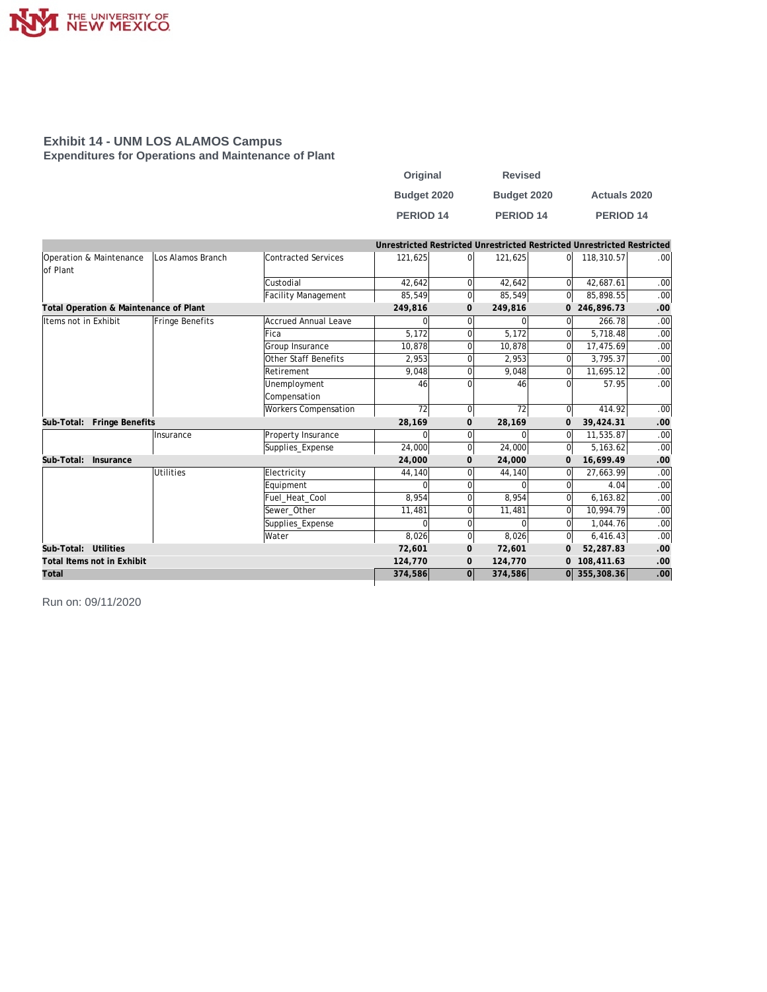

#### **Exhibit 14 - UNM LOS ALAMOS Campus Expenditures for Operations and Maintenance of Plant**

| Original         | <b>Revised</b>       |                      |
|------------------|----------------------|----------------------|
| Budget 2020      | Budget 2020          | <b>Actuals 2020</b>  |
| <b>PERIOD 14</b> | PERIOD <sub>14</sub> | PERIOD <sub>14</sub> |

|                                        |                   |                      | Unrestricted Restricted Unrestricted Restricted Unrestricted Restricted |                |              |                |              |                  |
|----------------------------------------|-------------------|----------------------|-------------------------------------------------------------------------|----------------|--------------|----------------|--------------|------------------|
| Operation & Maintenance                | Los Alamos Branch | Contracted Services  | 121,625                                                                 | $\Omega$       | 121,625      | $\Omega$       | 118,310.57   | .00              |
| lof Plant                              |                   |                      |                                                                         |                |              |                |              |                  |
|                                        |                   | Custodial            | 42.642                                                                  | $\Omega$       | 42.642       | $\Omega$       | 42.687.61    | .00              |
|                                        |                   | Facility Management  | 85,549                                                                  | $\Omega$       | 85,549       | $\overline{0}$ | 85,898.55    | .00              |
| Total Operation & Maintenance of Plant |                   |                      | 249,816                                                                 | $\overline{0}$ | 249,816      |                | 0 246,896.73 | .00              |
| Items not in Exhibit                   | Fringe Benefits   | Accrued Annual Leave | 0                                                                       | $\Omega$       | $\Omega$     | $\Omega$       | 266.78       | .00              |
|                                        |                   | Fica                 | 5,172                                                                   | $\Omega$       | 5,172        | $\Omega$       | 5.718.48     | .00              |
|                                        |                   | Group Insurance      | 10,878                                                                  | $\Omega$       | 17,475.69    | .00            |              |                  |
|                                        |                   | Other Staff Benefits | 2,953                                                                   |                | 2,953        | 0              | 3.795.37     | .00              |
|                                        |                   | Retirement           | 9,048                                                                   | $\Omega$       | 9,048        | $\Omega$       | 11,695.12    | .00              |
|                                        |                   | Unemployment         | 46                                                                      |                | 46           | $\Omega$       | 57.95        | .00              |
|                                        |                   | Compensation         |                                                                         |                |              |                |              |                  |
|                                        |                   | Workers Compensation | 72                                                                      | $\Omega$       | 72           | $\Omega$       | 414.92       | .00              |
| Fringe Benefits<br>Sub-Total:          |                   |                      | 28,169                                                                  | $\mathbf 0$    | 28,169       | 0              | 39,424.31    | .00              |
|                                        | Insurance         | Property Insurance   | $\Omega$                                                                | $\Omega$       | <sup>0</sup> | $\Omega$       | 11,535.87    | .00 <sub>1</sub> |
|                                        |                   | Supplies_Expense     | 24,000                                                                  | $\overline{0}$ | 24,000       | $\overline{0}$ | 5,163.62     | .00 <sub>1</sub> |
| Sub-Total:<br>Insurance                |                   |                      | 24,000                                                                  | $\mathbf 0$    | 24,000       | $\mathbf{0}$   | 16,699.49    | .00              |
|                                        | <b>Utilities</b>  | Electricity          | 44,140                                                                  |                | 44,140       | 0              | 27,663.99    | .00              |
|                                        |                   | Equipment            | O                                                                       | $\Omega$       |              | $\Omega$       | 4.04         | .00              |
|                                        |                   | Fuel Heat Cool       | 8,954                                                                   |                | 8,954        | $\Omega$       | 6,163.82     | .00              |
|                                        |                   | Sewer Other          | 11,481                                                                  |                | 11,481       | $\Omega$       | 10,994.79    | .00              |
|                                        |                   | Supplies_Expense     | $\Omega$                                                                | O              | $\Omega$     | $\Omega$       | 1.044.76     | .00              |
|                                        |                   | Water                | 8,026                                                                   | $\Omega$       | 8,026        | $\overline{0}$ | 6,416.43     | .00              |
| Sub-Total: Utilities                   |                   |                      | 72,601                                                                  | $\mathbf 0$    | 72,601       | $\mathbf{O}$   | 52,287.83    | .00              |
| Total Items not in Exhibit             |                   |                      | 124,770                                                                 | 0              | 124,770      |                | 108,411.63   | .00              |
| Total                                  |                   |                      | 374,586                                                                 | 0              | 374,586      |                | 0 355,308.36 | .00              |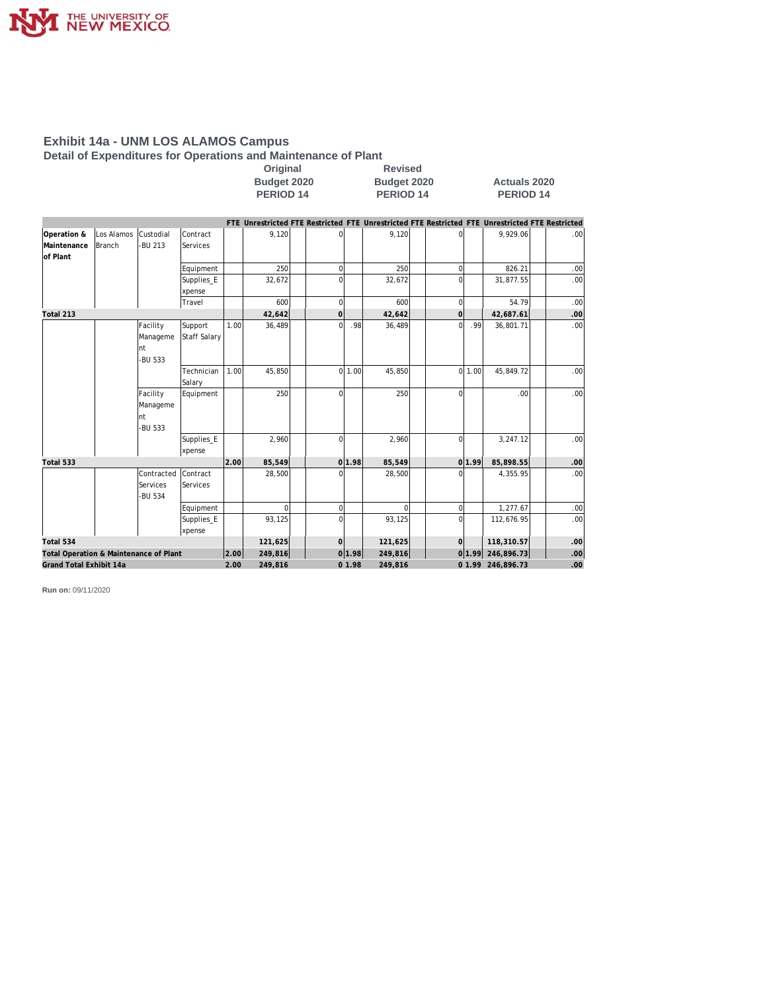

**Detail of Expenditures for Operations and Maintenance of Plant**

| Original    |  |
|-------------|--|
| Budget 2020 |  |
| PERIOD 14   |  |

**Revised Budget 2020 Budget 2020 Actuals 2020 PERIOD 14 PERIOD 14 PERIOD 14**

|                                        |               |            |                     |      |          |                |        | FTE Unrestricted FTE Restricted FTE Unrestricted FTE Restricted FTE Unrestricted FTE Restricted |                   |                  |                   |                  |
|----------------------------------------|---------------|------------|---------------------|------|----------|----------------|--------|-------------------------------------------------------------------------------------------------|-------------------|------------------|-------------------|------------------|
| Operation &                            | Los Alamos    | Custodial  | Contract            |      | 9,120    |                |        | 9,120                                                                                           |                   |                  | 9,929.06          | .00              |
| Maintenance                            | <b>Branch</b> | -BU 213    | Services            |      |          |                |        |                                                                                                 |                   |                  |                   |                  |
| of Plant                               |               |            |                     |      |          |                |        |                                                                                                 |                   |                  |                   |                  |
|                                        |               |            | Equipment           |      | 250      | 0              |        | 250                                                                                             | $\Omega$          |                  | 826.21            | .00              |
|                                        |               |            | Supplies_E          |      | 32,672   | 0              |        | 32,672                                                                                          |                   |                  | 31,877.55         | .00              |
|                                        |               |            | xpense              |      |          |                |        |                                                                                                 |                   |                  |                   |                  |
|                                        |               |            | Travel              |      | 600      | 0              |        | 600                                                                                             | $\mathbf 0$       |                  | 54.79             | .00              |
| Total 213                              |               |            |                     |      | 42,642   | $\mathbf{O}$   |        | 42,642                                                                                          | $\Omega$          |                  | 42,687.61         | .00              |
|                                        |               | Facility   | Support             | 1.00 | 36,489   | $\Omega$       | .98    | 36,489                                                                                          | $\Omega$          | .99              | 36,801.71         | .00 <sub>1</sub> |
|                                        |               | Manageme   | <b>Staff Salary</b> |      |          |                |        |                                                                                                 |                   |                  |                   |                  |
|                                        |               | Int        |                     |      |          |                |        |                                                                                                 |                   |                  |                   |                  |
|                                        |               | -BU 533    |                     |      |          |                |        |                                                                                                 |                   |                  |                   |                  |
|                                        |               |            | Technician          | 1.00 | 45,850   |                | 0 1.00 | 45,850                                                                                          |                   | 0 1.00           | 45,849.72         | .00              |
|                                        |               |            | Salary              |      |          |                |        |                                                                                                 |                   |                  |                   |                  |
|                                        |               | Facility   | Equipment           |      | 250      | 0              |        | 250                                                                                             | $\Omega$          |                  | .00 <sub>1</sub>  | .00              |
|                                        |               | Manageme   |                     |      |          |                |        |                                                                                                 |                   |                  |                   |                  |
|                                        |               | Int        |                     |      |          |                |        |                                                                                                 |                   |                  |                   |                  |
|                                        |               | -BU 533    |                     |      |          |                |        |                                                                                                 |                   |                  |                   |                  |
|                                        |               |            | Supplies_E          |      | 2,960    | $\Omega$       |        | 2,960                                                                                           | $\Omega$          |                  | 3,247.12          | .00              |
|                                        |               |            | xpense              |      |          |                |        |                                                                                                 |                   |                  |                   |                  |
| Total 533                              |               |            |                     | 2.00 | 85,549   |                | 0 1.98 | 85,549                                                                                          |                   | 0 1.99           | 85,898.55         | .00              |
|                                        |               | Contracted | Contract            |      | 28,500   |                |        | 28,500                                                                                          |                   |                  | 4,355.95          | .00              |
|                                        |               | Services   | Services            |      |          |                |        |                                                                                                 |                   |                  |                   |                  |
|                                        |               | -BU 534    |                     |      |          |                |        |                                                                                                 |                   |                  |                   |                  |
|                                        |               |            | Equipment           |      | $\Omega$ | 0              |        | $\Omega$                                                                                        | $\Omega$          |                  | 1,277.67          | .00              |
|                                        |               |            | Supplies_E          |      | 93,125   | 0              |        | 93,125                                                                                          |                   |                  | 112,676.95        | .00 <sub>1</sub> |
|                                        |               |            | xpense              |      |          |                |        |                                                                                                 |                   |                  |                   |                  |
| Total 534                              |               |            |                     |      | 121,625  | $\overline{O}$ |        | 121,625                                                                                         | $\Omega$          |                  | 118,310.57        | .00.             |
| Total Operation & Maintenance of Plant |               | 2.00       | 249,816             |      | 0 1.98   | 249,816        |        |                                                                                                 | 0 1.99 246,896.73 | .00 <sub>1</sub> |                   |                  |
| Grand Total Exhibit 14a                |               |            |                     | 2.00 | 249,816  |                | 01.98  | 249,816                                                                                         |                   |                  | 0 1.99 246,896.73 | .00.             |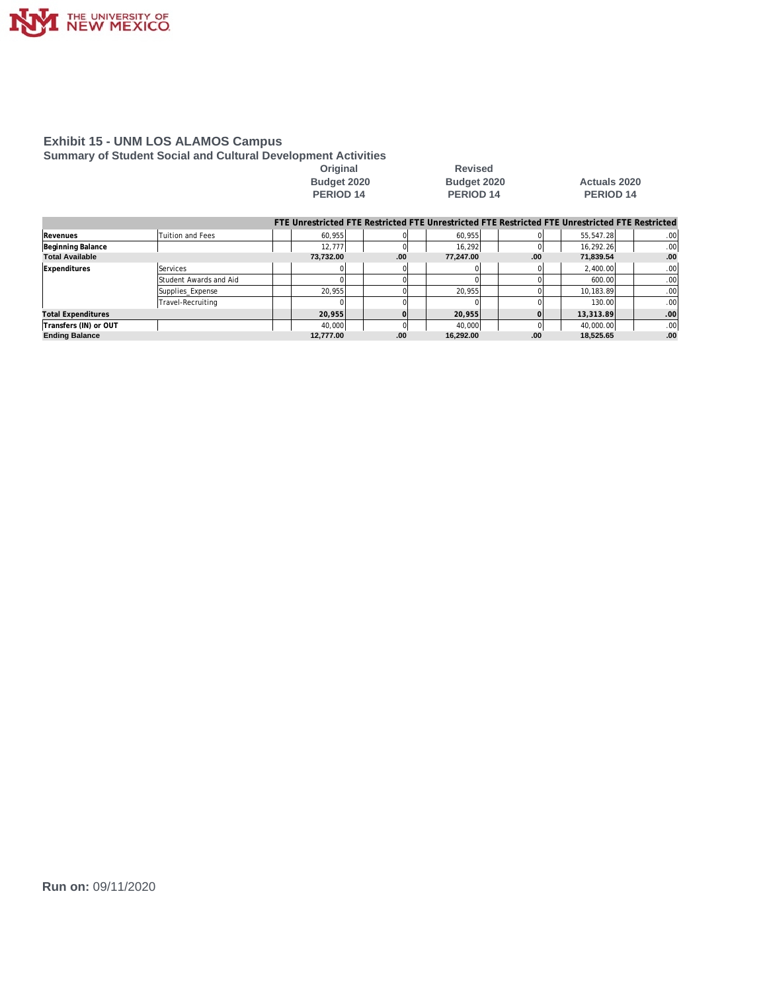

**Summary of Student Social and Cultural Development Activities**

Original Revised<br>Budget 2020 **Budget 2020 PERIOD 14** 

# **Budget 2020 Budget 2020 Actuals 2020**

|                           |                        |           |     |           |          | FTE Unrestricted FTE Restricted FTE Unrestricted FTE Restricted FTE Unrestricted FTE Restricted |      |
|---------------------------|------------------------|-----------|-----|-----------|----------|-------------------------------------------------------------------------------------------------|------|
| Revenues                  | Tuition and Fees       | 60.955    |     | 60.955    |          | 55,547.28                                                                                       | .00. |
| Beginning Balance         |                        | 12.777    |     | 16.292    | $\Omega$ | 16,292.26                                                                                       | .00. |
| <b>Total Available</b>    |                        | 73.732.00 | .00 | 77.247.00 | .00.     | 71.839.54                                                                                       | .00  |
| Expenditures              | Services               |           |     |           |          | 2,400.00                                                                                        | .00. |
|                           | Student Awards and Aid |           |     |           |          | 600.00                                                                                          | .00. |
|                           | Supplies Expense       | 20.955    |     | 20.955    |          | 10.183.89                                                                                       | .00. |
|                           | Travel-Recruiting      |           |     |           |          | 130.00                                                                                          | .00. |
| <b>Total Expenditures</b> |                        | 20.955    |     | 20.955    |          | 13,313.89                                                                                       | .00  |
| Transfers (IN) or OUT     |                        | 40.000    |     | 40.000    |          | 40.000.00                                                                                       | .00. |
| <b>Ending Balance</b>     |                        | 12.777.00 | .00 | 16.292.00 | .00      | 18.525.65                                                                                       | .00  |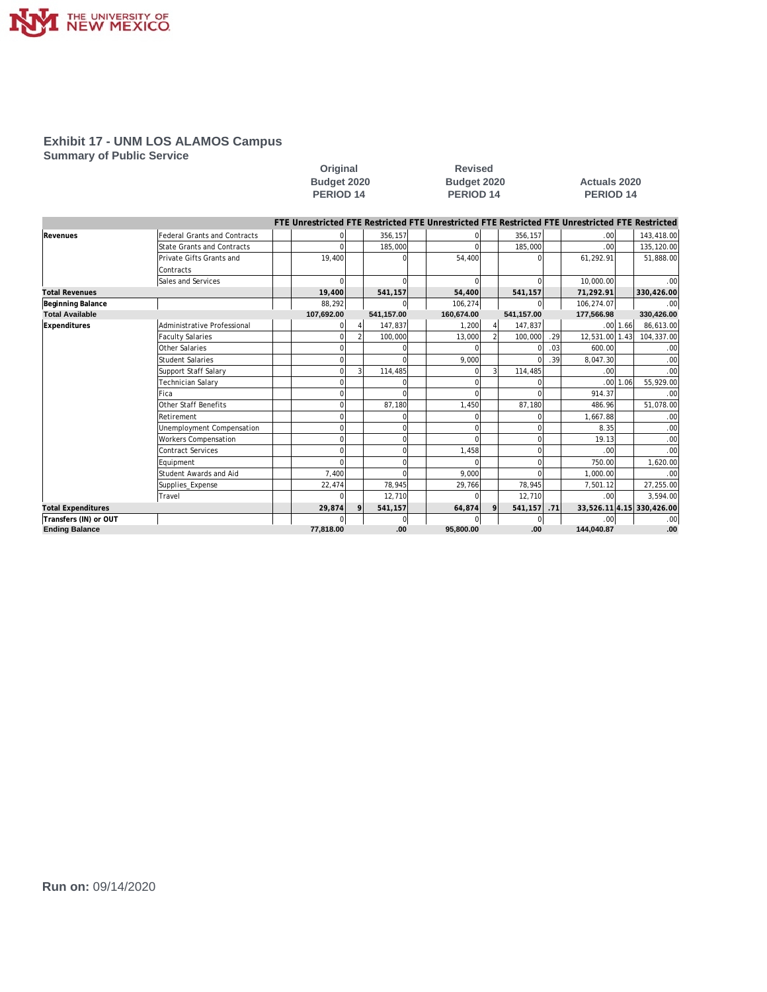

**Summary of Public Service**

|                           |                                     |                                                                                                 | <b>PERIOD 14</b><br><b>PERIOD 14</b> |             |            | <b>PERIOD 14</b> |            |     |                  |              |                           |
|---------------------------|-------------------------------------|-------------------------------------------------------------------------------------------------|--------------------------------------|-------------|------------|------------------|------------|-----|------------------|--------------|---------------------------|
|                           |                                     | FTE Unrestricted FTE Restricted FTE Unrestricted FTE Restricted FTE Unrestricted FTE Restricted |                                      |             |            |                  |            |     |                  |              |                           |
| Revenues                  | <b>Federal Grants and Contracts</b> |                                                                                                 |                                      | 356,157     |            |                  | 356,157    |     | .00 <sub>l</sub> |              | 143,418.00                |
|                           | <b>State Grants and Contracts</b>   |                                                                                                 |                                      | 185,000     |            |                  | 185,000    |     | .00 <sub>l</sub> |              | 135,120.00                |
|                           | Private Gifts Grants and            | 19,400                                                                                          |                                      |             | 54.400     |                  | $\Omega$   |     | 61,292.91        |              | 51,888.00                 |
|                           | Contracts                           |                                                                                                 |                                      |             |            |                  |            |     |                  |              |                           |
|                           | Sales and Services                  | $\Omega$                                                                                        |                                      | $\Omega$    | $\Omega$   |                  | $\Omega$   |     | 10,000.00        |              | .00                       |
| <b>Total Revenues</b>     |                                     | 19,400                                                                                          |                                      | 541,157     | 54,400     |                  | 541,157    |     | 71,292.91        |              | 330,426.00                |
| Beginning Balance         |                                     | 88,292                                                                                          |                                      | $\Omega$    | 106,274    |                  | $\Omega$   |     | 106,274.07       |              | .00                       |
| <b>Total Available</b>    |                                     | 107,692.00                                                                                      |                                      | 541,157.00  | 160,674.00 |                  | 541,157.00 |     | 177,566.98       |              | 330,426.00                |
| Expenditures              | Administrative Professional         |                                                                                                 |                                      | 147.837     | 1,200      |                  | 147,837    |     |                  | $.00$ 1.66   | 86,613.00                 |
|                           | <b>Faculty Salaries</b>             |                                                                                                 |                                      | 100,000     | 13,000     |                  | 100,000    | .29 | 12,531.00 1.43   |              | 104,337.00                |
|                           | Other Salaries                      |                                                                                                 |                                      |             | $\Omega$   |                  | $\Omega$   | .03 | 600.00           |              | .00                       |
|                           | <b>Student Salaries</b>             |                                                                                                 |                                      | $\Omega$    | 9,000      |                  | $\Omega$   | .39 | 8,047.30         |              | .00                       |
|                           | Support Staff Salary                | $\Omega$                                                                                        |                                      | 114,485     |            |                  | 114,485    |     | .00 <sub>l</sub> |              | .00                       |
|                           | <b>Technician Salary</b>            |                                                                                                 |                                      |             |            |                  |            |     |                  | $.00$   1.06 | 55,929.00                 |
|                           | Fica                                |                                                                                                 |                                      |             |            |                  |            |     | 914.37           |              | .00                       |
|                           | Other Staff Benefits                |                                                                                                 |                                      | 87,180      | 1,450      |                  | 87,180     |     | 486.96           |              | 51,078.00                 |
|                           | Retirement                          |                                                                                                 |                                      |             | n          |                  |            |     | 1.667.88         |              | .00                       |
|                           | Unemployment Compensation           |                                                                                                 |                                      | O           |            |                  | $\Omega$   |     | 8.35             |              | .00                       |
|                           | <b>Workers Compensation</b>         |                                                                                                 |                                      | $\Omega$    |            |                  | $\Omega$   |     | 19.13            |              | .00                       |
|                           | <b>Contract Services</b>            |                                                                                                 |                                      | $\Omega$    | 1,458      |                  | $\Omega$   |     | .001             |              | .00                       |
|                           | Equipment                           |                                                                                                 |                                      | n           |            |                  | $\Omega$   |     | 750.00           |              | 1,620.00                  |
|                           | Student Awards and Aid              | 7,400                                                                                           |                                      | $\cap$      | 9,000      |                  | $\Omega$   |     | 1,000.00         |              | .00                       |
|                           | Supplies_Expense                    | 22,474                                                                                          |                                      | 78,945      | 29,766     |                  | 78,945     |     | 7,501.12         |              | 27,255.00                 |
|                           | Travel                              |                                                                                                 |                                      | 12,710      | $\Omega$   |                  | 12,710     |     | .001             |              | 3,594.00                  |
| <b>Total Expenditures</b> |                                     | 29,874                                                                                          |                                      | 541,157     | 64,874     |                  | 541,157    | .71 |                  |              | 33,526.11 4.15 330,426.00 |
| Transfers (IN) or OUT     |                                     |                                                                                                 |                                      | $\mathbf 0$ | $\Omega$   |                  | 0          |     | .001             |              | .00                       |
| <b>Ending Balance</b>     |                                     | 77,818.00                                                                                       |                                      | .00         | 95,800.00  |                  | .00        |     | 144,040.87       |              | .00                       |

**Original Revised** 

**Budget 2020 Budget 2020 Actuals 2020**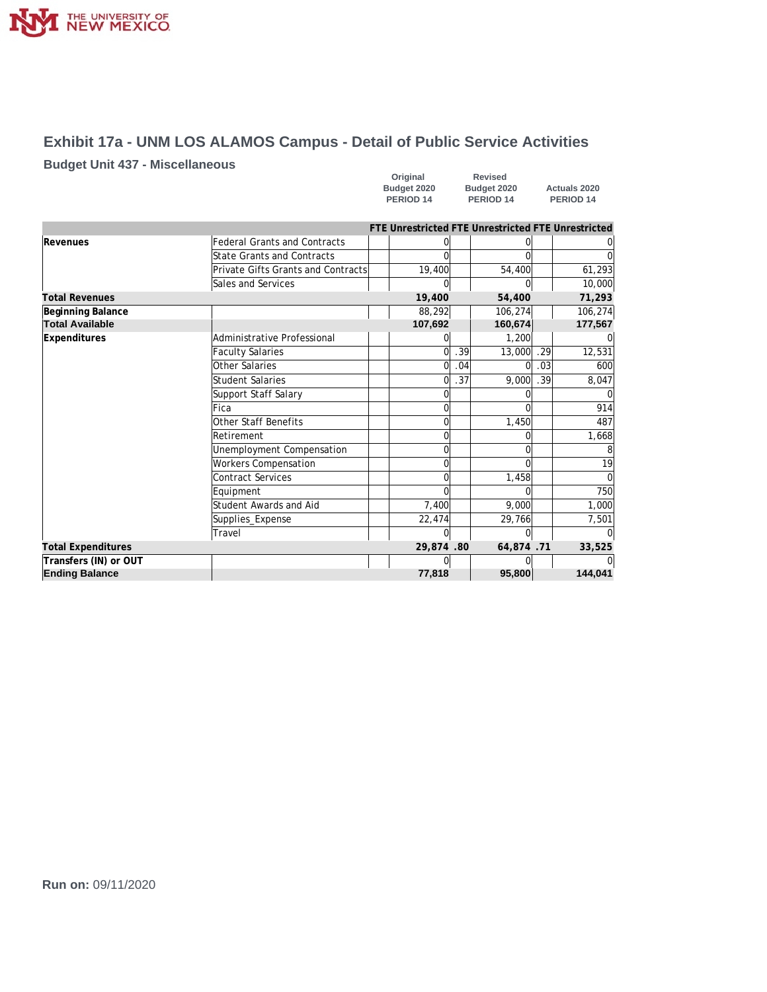

# **Exhibit 17a - UNM LOS ALAMOS Campus - Detail of Public Service Activities**

#### **Budget Unit 437 - Miscellaneous**

| Original             | Revised              |                      |
|----------------------|----------------------|----------------------|
| Budget 2020          | Budget 2020          | <b>Actuals 2020</b>  |
| PERIOD <sub>14</sub> | PERIOD <sub>14</sub> | PERIOD <sub>14</sub> |

|                           |                                     |           |     | FTE Unrestricted FTE Unrestricted FTE Unrestricted |      |         |
|---------------------------|-------------------------------------|-----------|-----|----------------------------------------------------|------|---------|
| Revenues                  | <b>Federal Grants and Contracts</b> |           |     |                                                    |      |         |
|                           | <b>State Grants and Contracts</b>   |           |     |                                                    |      |         |
|                           | Private Gifts Grants and Contracts  | 19,400    |     | 54,400                                             |      | 61,293  |
|                           | Sales and Services                  |           |     |                                                    |      | 10,000  |
| <b>Total Revenues</b>     |                                     | 19,400    |     | 54,400                                             |      | 71,293  |
| Beginning Balance         |                                     | 88,292    |     | 106,274                                            |      | 106,274 |
| <b>Total Available</b>    |                                     | 107,692   |     | 160,674                                            |      | 177,567 |
| <b>Expenditures</b>       | Administrative Professional         |           |     | 1,200                                              |      |         |
|                           | <b>Faculty Salaries</b>             | 0         | .39 | 13,000                                             | . 29 | 12,531  |
|                           | Other Salaries                      | 0         | .04 | Ωl                                                 | .03  | 600     |
|                           | <b>Student Salaries</b>             | 0         | .37 | 9,000                                              | .39  | 8,047   |
|                           | Support Staff Salary                | 0         |     |                                                    |      |         |
|                           | Fica                                | 0         |     |                                                    |      | 914     |
|                           | Other Staff Benefits                | $\Omega$  |     | 1,450                                              |      | 487     |
|                           | Retirement                          | 0         |     | Ωl                                                 |      | 1,668   |
|                           | Unemployment Compensation           | 0         |     | U                                                  |      |         |
|                           | <b>Workers Compensation</b>         | 0         |     | U                                                  |      | 19      |
|                           | <b>Contract Services</b>            |           |     | 1,458                                              |      |         |
|                           | Equipment                           |           |     | U                                                  |      | 750     |
|                           | Student Awards and Aid              | 7,400     |     | 9,000                                              |      | 1,000   |
|                           | Supplies_Expense                    | 22,474    |     | 29,766                                             |      | 7,501   |
|                           | Travel                              |           |     | U                                                  |      |         |
| <b>Total Expenditures</b> |                                     | 29,874.80 |     | 64,874.71                                          |      | 33,525  |
| Transfers (IN) or OUT     |                                     |           |     |                                                    |      |         |
| <b>Ending Balance</b>     |                                     | 77,818    |     | 95,800                                             |      | 144,041 |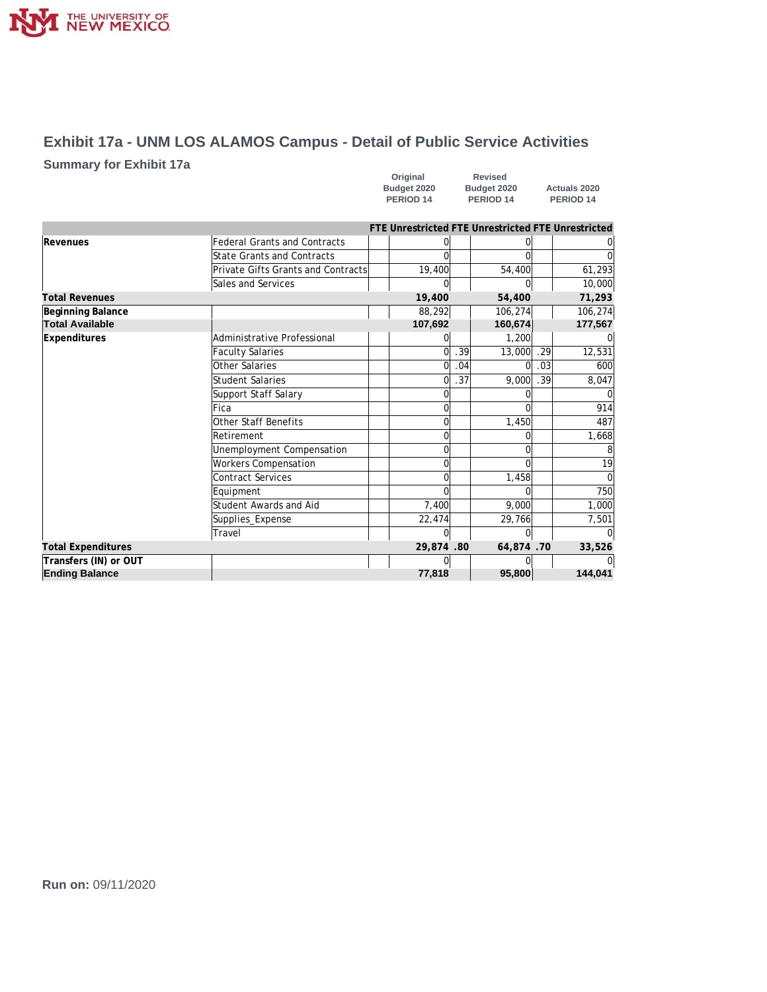

# **Exhibit 17a - UNM LOS ALAMOS Campus - Detail of Public Service Activities**

#### **Summary for Exhibit 17a**

| Original    | <b>Revised</b>       |                      |
|-------------|----------------------|----------------------|
| Budget 2020 | Budget 2020          | <b>Actuals 2020</b>  |
| PERIOD 14   | PERIOD <sub>14</sub> | PERIOD <sub>14</sub> |

|                           |                                     |           |     | FTE Unrestricted FTE Unrestricted FTE Unrestricted |     |         |
|---------------------------|-------------------------------------|-----------|-----|----------------------------------------------------|-----|---------|
| Revenues                  | <b>Federal Grants and Contracts</b> |           |     |                                                    |     |         |
|                           | State Grants and Contracts          |           |     |                                                    |     |         |
|                           | Private Gifts Grants and Contracts  | 19,400    |     | 54,400                                             |     | 61,293  |
|                           | Sales and Services                  |           |     |                                                    |     | 10,000  |
| <b>Total Revenues</b>     |                                     | 19,400    |     | 54,400                                             |     | 71,293  |
| Beginning Balance         |                                     | 88,292    |     | 106,274                                            |     | 106,274 |
| <b>Total Available</b>    |                                     | 107,692   |     | 160,674                                            |     | 177,567 |
| Expenditures              | Administrative Professional         |           |     | 1,200                                              |     |         |
|                           | <b>Faculty Salaries</b>             | $\Omega$  | .39 | 13,000                                             | .29 | 12,531  |
|                           | Other Salaries                      | 0         | .04 | ∩                                                  | .03 | 600     |
|                           | <b>Student Salaries</b>             | 0         | .37 | 9,000                                              | .39 | 8.047   |
|                           | Support Staff Salary                | 0         |     |                                                    |     |         |
|                           | <b>Fica</b>                         | 0         |     |                                                    |     | 914     |
|                           | Other Staff Benefits                | 0         |     | 1,450                                              |     | 487     |
|                           | Retirement                          | 0         |     |                                                    |     | 1,668   |
|                           | Unemployment Compensation           | 0         |     |                                                    |     |         |
|                           | <b>Workers Compensation</b>         | U         |     |                                                    |     | 19      |
|                           | <b>Contract Services</b>            |           |     | 1,458                                              |     |         |
|                           | Equipment                           |           |     |                                                    |     | 750     |
|                           | Student Awards and Aid              | 7,400     |     | 9,000                                              |     | 1.000   |
|                           | Supplies_Expense                    | 22,474    |     | 29,766                                             |     | 7,501   |
|                           | Travel                              | $\Omega$  |     | ∩                                                  |     |         |
| <b>Total Expenditures</b> |                                     | 29,874.80 |     | 64,874.70                                          |     | 33,526  |
| Transfers (IN) or OUT     |                                     |           |     |                                                    |     |         |
| <b>Ending Balance</b>     |                                     | 77,818    |     | 95,800                                             |     | 144,041 |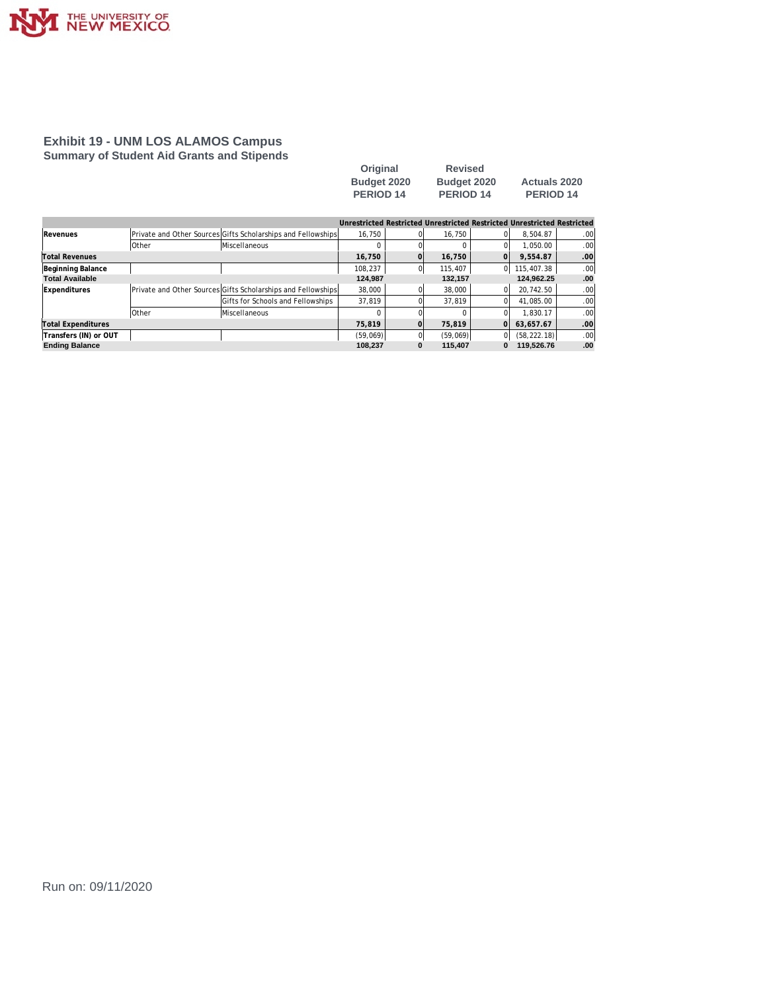

#### **Exhibit 19 - UNM LOS ALAMOS Campus Summary of Student Aid Grants and Stipends**

| Original         | <b>Revised</b> |                      |
|------------------|----------------|----------------------|
| Budget 2020      | Budget 2020    | <b>Actuals 2020</b>  |
| <b>PERIOD 14</b> | PERIOD 14      | PERIOD <sub>14</sub> |

|                        |              |                                                              |          |   | Unrestricted Restricted Unrestricted Restricted Unrestricted Restricted |    |              |     |
|------------------------|--------------|--------------------------------------------------------------|----------|---|-------------------------------------------------------------------------|----|--------------|-----|
| Revenues               |              | Private and Other Sources Gifts Scholarships and Fellowships | 16.750   |   | 16.750                                                                  |    | 8.504.87     | .00 |
|                        | <b>Other</b> | <b>Miscellaneous</b>                                         |          |   |                                                                         |    | 1.050.00     | .00 |
| Total Revenues         |              |                                                              | 16.750   |   | 16,750                                                                  | Ωl | 9.554.87     | .00 |
| Beginning Balance      |              |                                                              | 108.237  |   | 115,407                                                                 | 0  | 115,407.38   | .00 |
| <b>Total Available</b> |              |                                                              | 124,987  |   | 132,157                                                                 |    | 124,962.25   | .00 |
| Expenditures           |              | Private and Other Sources Gifts Scholarships and Fellowships | 38,000   |   | 38,000                                                                  |    | 20.742.50    | .00 |
|                        |              | Gifts for Schools and Fellowships                            | 37,819   |   | 37.819                                                                  |    | 41.085.00    | .00 |
|                        | <b>Other</b> | <b>Miscellaneous</b>                                         |          |   |                                                                         |    | 1.830.17     | .00 |
| Total Expenditures     |              |                                                              | 75.819   |   | 75.819                                                                  | n  | 63.657.67    | .00 |
| Transfers (IN) or OUT  |              |                                                              | (59,069) |   | (59,069)                                                                | 0  | (58, 222.18) | .00 |
| <b>Ending Balance</b>  |              |                                                              | 108.237  | 0 | 115.407                                                                 | 0  | 119.526.76   | .00 |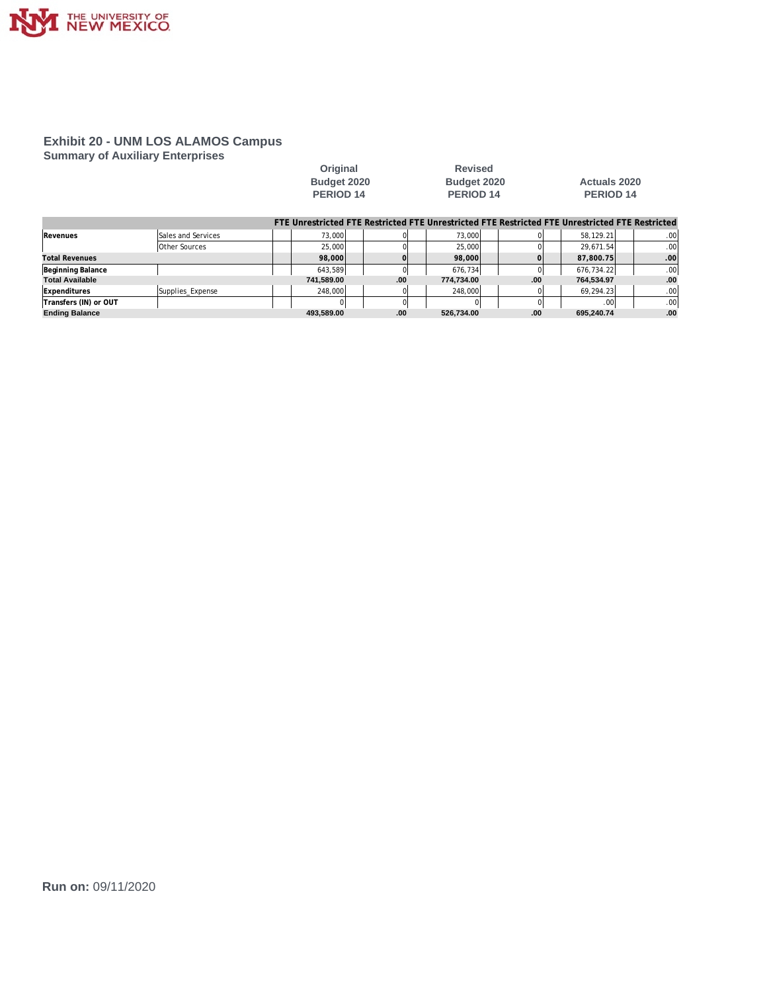

#### **Exhibit 20 - UNM LOS ALAMOS Campus Summary of Auxiliary Enterprises**

|                        |                      | Original<br>Budget 2020<br><b>PERIOD 14</b> |          | <b>Revised</b><br>Budget 2020<br>PERIOD <sub>14</sub> |      | Actuals 2020<br>PERIOD 14                                                                       |     |
|------------------------|----------------------|---------------------------------------------|----------|-------------------------------------------------------|------|-------------------------------------------------------------------------------------------------|-----|
|                        |                      |                                             |          |                                                       |      | FTE Unrestricted FTE Restricted FTE Unrestricted FTE Restricted FTE Unrestricted FTE Restricted |     |
| Revenues               | Sales and Services   | 73.000                                      | ΩI       | 73.000                                                |      | 58.129.21                                                                                       | .00 |
|                        | <b>Other Sources</b> | 25,000                                      | $\Omega$ | 25,000                                                |      | 29.671.54                                                                                       | .00 |
| <b>Total Revenues</b>  |                      | 98,000                                      |          | 98,000                                                |      | 87.800.75                                                                                       | .00 |
| Beginning Balance      |                      | 643,589                                     | $\Omega$ | 676.734                                               |      | 676.734.22                                                                                      | .00 |
| <b>Total Available</b> |                      | 741.589.00                                  | .00      | 774.734.00                                            | .00  | 764.534.97                                                                                      | .00 |
| Expenditures           | Supplies Expense     | 248,000                                     | 01       | 248.000                                               |      | 69.294.23                                                                                       | .00 |
| Transfers (IN) or OUT  |                      |                                             | 0l       |                                                       |      | .00 <sup>1</sup>                                                                                | .00 |
| <b>Ending Balance</b>  |                      | 493.589.00                                  | .00      | 526.734.00                                            | .00. | 695.240.74                                                                                      | .00 |

**Original Revised**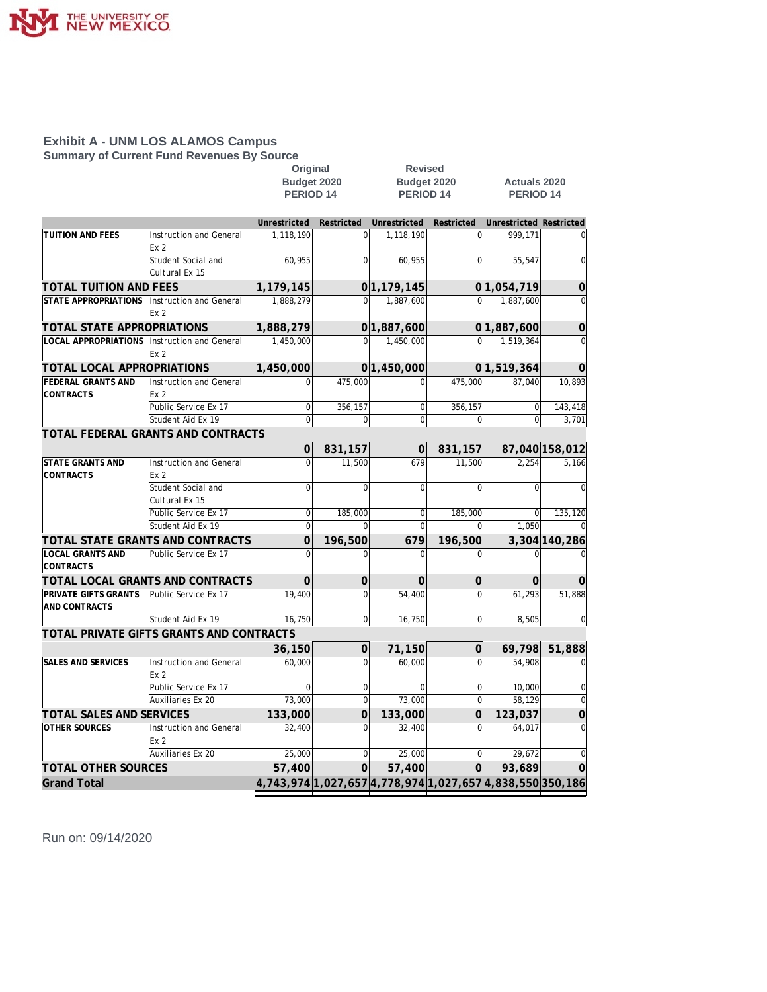

**Summary of Current Fund Revenues By Source**

|                                                |                                            | Original                                                  |                |                      | <b>Revised</b> |                                |                |
|------------------------------------------------|--------------------------------------------|-----------------------------------------------------------|----------------|----------------------|----------------|--------------------------------|----------------|
|                                                |                                            | Budget 2020                                               |                |                      | Budget 2020    | <b>Actuals 2020</b>            |                |
|                                                |                                            | PERIOD <sub>14</sub>                                      |                | PERIOD <sub>14</sub> |                | PERIOD 14                      |                |
|                                                |                                            |                                                           |                |                      |                |                                |                |
|                                                |                                            | Unrestricted                                              | Restricted     | Unrestricted         | Restricted     | <b>Unrestricted Restricted</b> |                |
| <b>TUITION AND FEES</b>                        | Instruction and General<br>Ex <sub>2</sub> | 1,118,190                                                 | $\Omega$       | 1,118,190            | 0l             | 999,171                        | $\overline{0}$ |
|                                                | Student Social and<br>Cultural Ex 15       | 60,955                                                    | $\overline{0}$ | 60,955               | 0l             | 55,547                         | 0              |
| TOTAL TUITION AND FEES                         |                                            | 1,179,145                                                 |                | 0 1, 179, 145        |                | 0 1,054,719                    | $\overline{0}$ |
| <b>STATE APPROPRIATIONS</b>                    | Instruction and General<br>Ex <sub>2</sub> | 1,888,279                                                 | $\overline{0}$ | 1,887,600            | $\overline{0}$ | 1,887,600                      | 0              |
| TOTAL STATE APPROPRIATIONS                     |                                            | 1,888,279                                                 |                | 0 1,887,600          |                | 0 1,887,600                    | 0              |
| LOCAL APPROPRIATIONS   Instruction and General |                                            | 1,450,000                                                 | $\mathbf 0$    | 1,450,000            | $\Omega$       | 1,519,364                      | $\Omega$       |
|                                                | Ex 2                                       |                                                           |                |                      |                |                                |                |
| TOTAL LOCAL APPROPRIATIONS                     |                                            | 1,450,000                                                 |                | 0 1,450,000          |                | 0 1,519,364                    | $\Omega$       |
| <b>FEDERAL GRANTS AND</b>                      | Instruction and General                    | $\Omega$                                                  | 475,000        | $\Omega$             | 475,000        | 87,040                         | 10,893         |
| <b>CONTRACTS</b>                               | Ex <sub>2</sub>                            |                                                           |                |                      |                |                                |                |
|                                                | Public Service Ex 17                       | $\Omega$                                                  | 356,157        | $\Omega$             | 356,157        | $\Omega$                       | 143,418        |
|                                                | Student Aid Ex 19                          | $\overline{0}$                                            | $\overline{0}$ | $\overline{0}$       | 0              | 0                              | 3,701          |
|                                                | TOTAL FEDERAL GRANTS AND CONTRACTS         |                                                           |                |                      |                |                                |                |
|                                                |                                            | $\Omega$                                                  | 831,157        | 0                    | 831,157        |                                | 87,040 158,012 |
| <b>STATE GRANTS AND</b>                        | Instruction and General                    | $\Omega$                                                  | 11,500         | 679                  | 11,500         | 2,254                          | 5,166          |
| <b>CONTRACTS</b>                               | Ex <sub>2</sub>                            |                                                           |                |                      |                |                                |                |
|                                                | Student Social and                         | $\mathbf{0}$                                              | $\mathbf 0$    | $\overline{0}$       | $\overline{0}$ | $\Omega$                       | $\Omega$       |
|                                                | Cultural Ex 15                             |                                                           |                |                      |                |                                |                |
|                                                | Public Service Ex 17                       | $\Omega$                                                  | 185.000        | $\Omega$             | 185,000        | $\Omega$                       | 135,120        |
|                                                | Student Aid Ex 19                          | $\overline{0}$                                            | $\Omega$       | $\Omega$             | $\Omega$       | 1.050                          |                |
|                                                | TOTAL STATE GRANTS AND CONTRACTS           | $\overline{0}$                                            | 196,500        | 679                  | 196,500        |                                | 3,304 140,286  |
| <b>LOCAL GRANTS AND</b><br><b>CONTRACTS</b>    | Public Service Ex 17                       | $\Omega$                                                  |                | $\Omega$             | $\Omega$       | $\Omega$                       |                |
|                                                | TOTAL LOCAL GRANTS AND CONTRACTS           | 0                                                         | 0              | 0                    | $\overline{0}$ | 0                              | $\overline{0}$ |
| PRIVATE GIFTS GRANTS<br>AND CONTRACTS          | Public Service Ex 17                       | 19,400                                                    | $\Omega$       | 54,400               | $\Omega$       | 61,293                         | 51,888         |
|                                                | Student Aid Ex 19                          | 16,750                                                    | 0              | 16,750               | $\overline{0}$ | 8,505                          | $\overline{0}$ |
|                                                | TOTAL PRIVATE GIFTS GRANTS AND CONTRACTS   |                                                           |                |                      |                |                                |                |
|                                                |                                            | 36,150                                                    | $\overline{0}$ | 71,150               | 0              | 69,798                         | 51,888         |
| <b>SALES AND SERVICES</b>                      | Instruction and General<br>Ex <sub>2</sub> | 60,000                                                    | $\Omega$       | 60,000               | $\Omega$       | 54,908                         |                |
|                                                | Public Service Ex 17                       | $\Omega$                                                  | $\Omega$       | $\Omega$             | $\overline{0}$ | 10,000                         | 0              |
|                                                | Auxiliaries Ex 20                          | 73,000                                                    | $\overline{0}$ | 73,000               | $\overline{0}$ | 58.129                         | $\Omega$       |
| TOTAL SALES AND SERVICES                       |                                            | 133,000                                                   | 0              | 133,000              | $\overline{0}$ | 123,037                        | 0              |
| <b>OTHER SOURCES</b>                           | Instruction and General                    | 32,400                                                    | $\mathbf 0$    | 32,400               | $\Omega$       | 64,017                         | $\Omega$       |
|                                                | Fx <sub>2</sub>                            |                                                           |                |                      |                |                                |                |
|                                                | Auxiliaries Ex 20                          | 25,000                                                    | $\mathbf 0$    | 25,000               | 0              | 29,672                         | 0              |
| TOTAL OTHER SOURCES                            |                                            | 57,400                                                    | 0              | 57,400               | $\Omega$       | 93,689                         | $\Omega$       |
| <b>Grand Total</b>                             |                                            | 4,743,974 1,027,657 4,778,974 1,027,657 4,838,550 350,186 |                |                      |                |                                |                |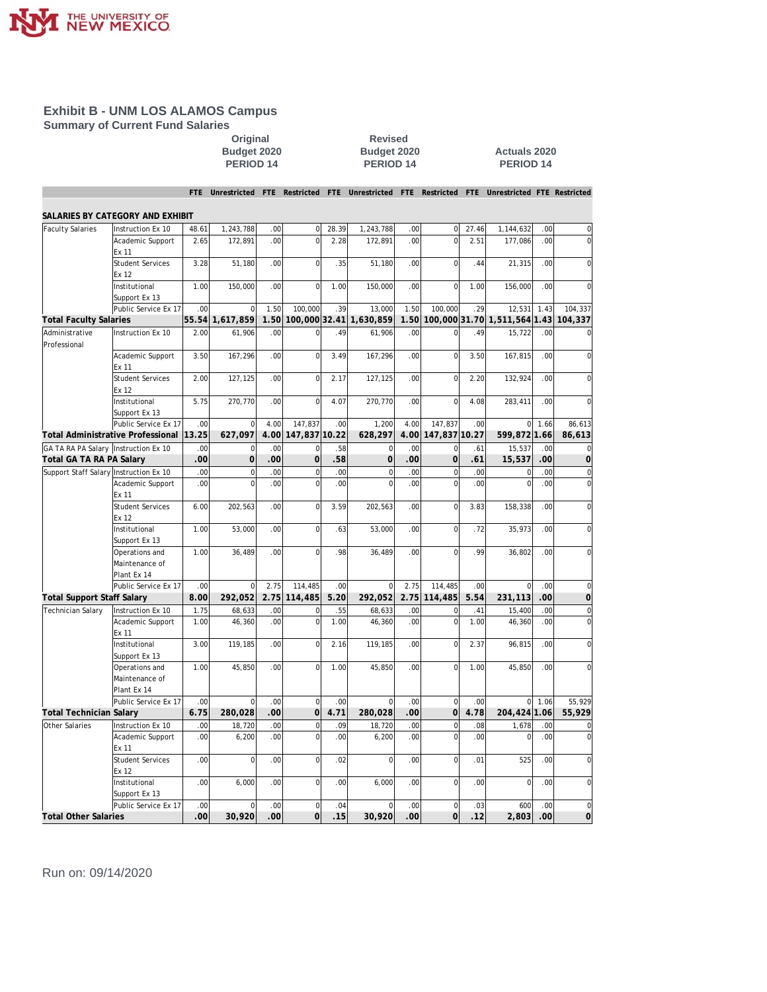

**Summary of Current Fund Salaries**

**PERIOD 14 PERIOD 14 PERIOD 14**

**Revised Budget 2020 Actuals 2020**<br>**PERIOD 14 PERIOD 14** 

|                                        |                                   | <b>FTE</b>       |                |                  |                     |       | Unrestricted FTE Restricted FTE Unrestricted |      |                |       | FTE Restricted FTE Unrestricted FTE Restricted |      |                |
|----------------------------------------|-----------------------------------|------------------|----------------|------------------|---------------------|-------|----------------------------------------------|------|----------------|-------|------------------------------------------------|------|----------------|
|                                        | SALARIES BY CATEGORY AND EXHIBIT  |                  |                |                  |                     |       |                                              |      |                |       |                                                |      |                |
| <b>Faculty Salaries</b>                | Instruction Ex 10                 | 48.61            | 1,243,788      | .00              | $\mathbf{O}$        | 28.39 | 1,243,788                                    | .00  | $\mathbf 0$    | 27.46 | 1,144,632                                      | .00  | $\mathbf 0$    |
|                                        | Academic Support                  | 2.65             | 172,891        | .00              | $\mathsf{O}\xspace$ | 2.28  | 172,891                                      | .00  | $\mathbf 0$    | 2.51  | 177,086                                        | .00  | 0              |
|                                        | Ex 11                             |                  |                |                  |                     |       |                                              |      |                |       |                                                |      |                |
|                                        | <b>Student Services</b>           | 3.28             | 51,180         | .00              | $\Omega$            | .35   | 51,180                                       | .00  | $\mathbf 0$    | .44   | 21,315                                         | .00  | $\overline{0}$ |
|                                        | Ex 12                             |                  |                |                  |                     |       |                                              |      |                |       |                                                |      |                |
|                                        | Institutional                     | 1.00             | 150,000        | .00              | $\Omega$            | 1.00  | 150,000                                      | .00  | $\mathbf 0$    | 1.00  | 156,000                                        | .00  | $\overline{0}$ |
|                                        | Support Ex 13                     |                  |                |                  |                     |       |                                              |      |                |       |                                                |      |                |
|                                        | Public Service Ex 17              | .00              | $\overline{0}$ | 1.50             | 100,000             | .39   | 13,000                                       | 1.50 | 100,000        | .29   | 12,531                                         | 1.43 | 104,337        |
| <b>Total Faculty Salaries</b>          |                                   | 55.54            | 1,617,859      | 1.50             | 100.000 32.41       |       | 1,630,859                                    | 1.50 |                |       | 100,000 31.70 1,511,564 1.43                   |      | 104,337        |
| Administrative<br>Professional         | Instruction Ex 10                 | 2.00             | 61,906         | .00              | $\Omega$            | .49   | 61,906                                       | .00  | $\Omega$       | .49   | 15,722                                         | .00  | $\Omega$       |
|                                        | Academic Support<br>Ex 11         | 3.50             | 167,296        | .00              | $\mathbf 0$         | 3.49  | 167,296                                      | .00  | $\mathbf 0$    | 3.50  | 167,815                                        | .00. | 0              |
|                                        | <b>Student Services</b><br>Ex 12  | 2.00             | 127,125        | .00              | $\mathbf 0$         | 2.17  | 127,125                                      | .00  | $\mathbf 0$    | 2.20  | 132,924                                        | .00  | 0              |
|                                        | Institutional                     | 5.75             | 270,770        | .00              | $\mathbf 0$         | 4.07  | 270,770                                      | .00  | $\mathbf 0$    | 4.08  | 283,411                                        | .00  | 0              |
|                                        | Support Ex 13                     |                  |                |                  |                     |       |                                              |      |                |       |                                                |      |                |
|                                        | Public Service Ex 17              | .00              | $\overline{0}$ | 4.00             | 147,837             | .00   | 1,200                                        | 4.00 | 147,837        | .00   | $\Omega$                                       | 1.66 | 86,613         |
|                                        | Total Administrative Professional | 13.25            | 627,097        | 4.00             | 147,837 10.22       |       | 628,297                                      | 4.00 | 147,837 10.27  |       | 599,872 1.66                                   |      | 86,613         |
| GA TA RA PA Salary   Instruction Ex 10 |                                   | .00              | $\overline{0}$ | .00              | $\Omega$            | .58   | $\Omega$                                     | .00  | $\Omega$       | .61   | 15,537                                         | .00  | 0              |
| Total GA TA RA PA Salary               |                                   | .00              | $\overline{0}$ | .00              | $\overline{0}$      | .58   | $\overline{0}$                               | .00  | $\overline{O}$ | .61   | 15,537                                         | .00  | $\overline{O}$ |
| Support Staff Salary Instruction Ex 10 |                                   | .00              | $\overline{0}$ | .00              | $\mathbf 0$         | .00   | $\Omega$                                     | .00  | $\mathbf 0$    | .00   | $\mathbf 0$                                    | .00  | 0              |
|                                        | Academic Support<br>Ex 11         | .00              | $\overline{0}$ | .00              | $\Omega$            | .00   | $\Omega$                                     | .00  | $\overline{0}$ | .00   | $\Omega$                                       | .00  | $\overline{0}$ |
|                                        | <b>Student Services</b><br>Ex 12  | 6.00             | 202,563        | .00              | $\overline{0}$      | 3.59  | 202,563                                      | .00  | $\overline{0}$ | 3.83  | 158,338                                        | .00  | 0              |
|                                        | Institutional                     | 1.00             | 53,000         | .00              | $\mathbf 0$         | .63   | 53,000                                       | .00  | $\mathbf 0$    | .72   | 35,973                                         | .00  | 0              |
|                                        | Support Ex 13                     |                  |                |                  |                     |       |                                              |      |                |       |                                                |      |                |
|                                        | Operations and                    | 1.00             | 36,489         | .00              | $\Omega$            | .98   | 36,489                                       | .00  | $\overline{0}$ | .99   | 36,802                                         | .00  | $\overline{0}$ |
|                                        | Maintenance of                    |                  |                |                  |                     |       |                                              |      |                |       |                                                |      |                |
|                                        | Plant Ex 14                       |                  |                |                  |                     |       |                                              |      |                |       |                                                |      |                |
|                                        | Public Service Ex 17              | .00              | $\Omega$       | 2.75             | 114,485             | .00   | $\Omega$                                     | 2.75 | 114,485        | .00   | $\mathbf 0$                                    | .00  | $\mathbf 0$    |
| <b>Total Support Staff Salary</b>      |                                   | 8.00             | 292,052        | 2.75             | 114,485             | 5.20  | 292,052                                      | 2.75 | 114,485        | 5.54  | 231,113                                        | .00  | $\overline{O}$ |
| <b>Technician Salary</b>               | Instruction Ex 10                 | 1.75             | 68,633         | .00              | $\mathbf 0$         | .55   | 68,633                                       | .00  | $\mathbf 0$    | .41   | 15,400                                         | .00  | 0              |
|                                        | Academic Support<br>Ex 11         | 1.00             | 46,360         | .00              | $\mathsf{O}\xspace$ | 1.00  | 46,360                                       | .00  | $\mathbf 0$    | 1.00  | 46,360                                         | .00  | $\mathbf 0$    |
|                                        | Institutional<br>Support Ex 13    | 3.00             | 119,185        | .00              | $\Omega$            | 2.16  | 119,185                                      | .00. | $\mathbf 0$    | 2.37  | 96,815                                         | .00. | $\mathbf 0$    |
|                                        | Operations and                    | 1.00             | 45,850         | .00              |                     | 1.00  | 45,850                                       | .00  | $\overline{0}$ | 1.00  | 45,850                                         | .00  | O              |
|                                        | Maintenance of                    |                  |                |                  |                     |       |                                              |      |                |       |                                                |      |                |
|                                        | Plant Ex 14                       |                  |                |                  |                     |       |                                              |      |                |       |                                                |      |                |
|                                        | Public Service Ex 17              | .00              | $\overline{0}$ | .00              | $\mathbf 0$         | .00   |                                              | .00  | $\mathbf 0$    | .00   | $\Omega$                                       | 1.06 | 55.929         |
| <b>Total Technician Salary</b>         |                                   | 6.75             | 280,028        | .00              | $\overline{0}$      | 4.71  | 280,028                                      | .00  | $\overline{0}$ | 4.78  | 204,424 1.06                                   |      | 55,929         |
| Other Salaries                         | Instruction Ex 10                 | .00              | 18,720         | .00              | $\mathbf{0}$        | .09   | 18,720                                       | .00  | $\mathbf 0$    | .08   | 1,678                                          | .00  | $\mathbf 0$    |
|                                        | Academic Support<br>Ex 11         | .00              | 6,200          | .00              | $\mathsf{O}\xspace$ | .00   | 6,200                                        | .00  | $\mathbf 0$    | .00   | $\mathbf 0$                                    | .00  | $\mathbf 0$    |
|                                        | <b>Student Services</b>           | .00              | $\Omega$       | .00              | $\Omega$            | .02   | $\Omega$                                     | .00  | $\mathbf 0$    | .01   | 525                                            | .00  | $\Omega$       |
|                                        | Ex 12<br>Institutional            | .00              | 6,000          | .00              | $\mathbf 0$         | .00   | 6,000                                        | .00  | $\mathbf 0$    | .00   | $\mathbf 0$                                    | .00  | $\overline{0}$ |
|                                        | Support Ex 13                     |                  |                |                  |                     |       |                                              |      |                |       |                                                |      |                |
|                                        | Public Service Ex 17              | .00              | $\Omega$       | .00              | $\Omega$            | .04   | $\Omega$                                     | .00  | $\mathbf 0$    | .03   | 600                                            | .00  | $\mathbf 0$    |
| <b>Total Other Salaries</b>            |                                   | .00 <sub>1</sub> | 30,920         | .00 <sub>1</sub> | $\overline{O}$      | .15   | 30.920                                       | .00  | $\overline{0}$ | .12   | 2,803                                          | .00  | $\Omega$       |
|                                        |                                   |                  |                |                  |                     |       |                                              |      |                |       |                                                |      |                |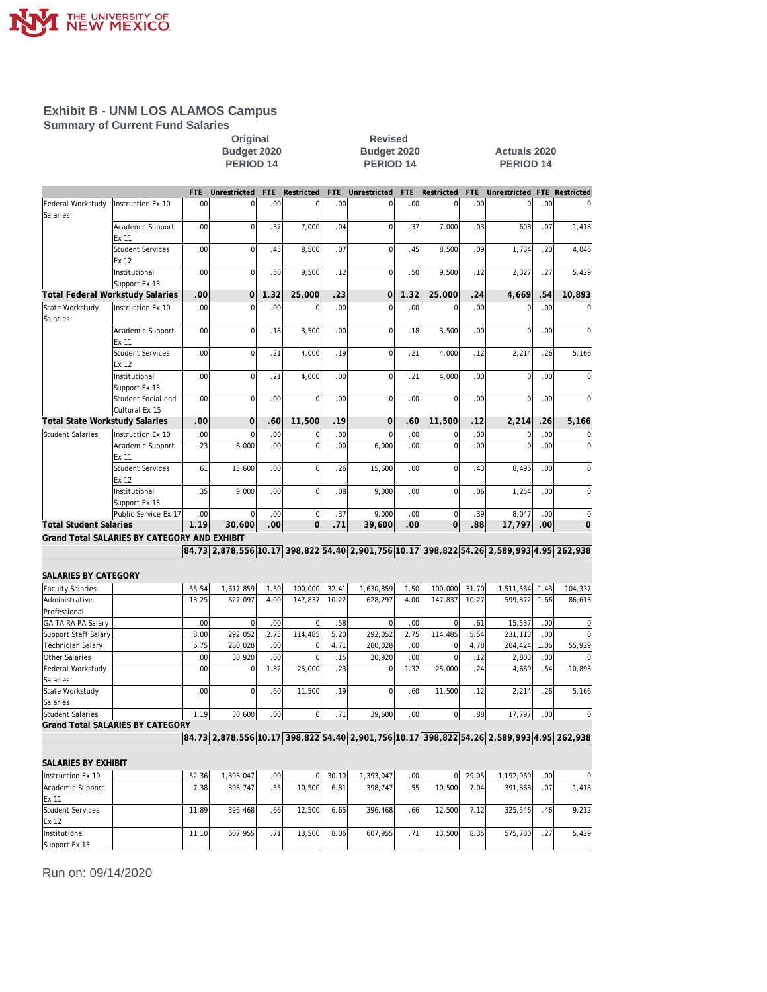

**Summary of Current Fund Salaries**

Original Revised<br>Budget 2020 Budget 20:<br>PERIOD 14 PERIOD 1 **Budget 2020**<br>**PERIOD 14 BUDGE 2020**<br>**PERIOD 14 PERIOD 14 PERIOD 14 PERIOD 14**

|                                  |                                              | FTE   | Unrestricted                                                                             | <b>FTE</b>       | Restricted     | <b>FTE</b> | Unrestricted   | FTE  | Restricted     | <b>FTE</b> | Unrestricted   |                  | FTE Restricted      |
|----------------------------------|----------------------------------------------|-------|------------------------------------------------------------------------------------------|------------------|----------------|------------|----------------|------|----------------|------------|----------------|------------------|---------------------|
| Federal Workstudy<br>Salaries    | Instruction Ex 10                            | .00   | $\mathbf 0$                                                                              | .00              | $\mathbf 0$    | .00        | $\mathbf 0$    | .00  | $\mathbf 0$    | .00        | 0              | .00              | $\mathsf{O}\xspace$ |
|                                  | Academic Support<br>Ex 11                    | .00   | $\mathbf 0$                                                                              | .37              | 7,000          | .04        | $\mathbf 0$    | .37  | 7,000          | .03        | 608            | .07              | 1,418               |
|                                  | <b>Student Services</b><br>Ex 12             | .00   | $\mathbf 0$                                                                              | .45              | 8,500          | .07        | $\overline{0}$ | .45  | 8,500          | .09        | 1,734          | .20              | 4,046               |
|                                  | Institutional<br>Support Ex 13               | .00   | $\mathbf 0$                                                                              | .50              | 9,500          | .12        | $\mathbf 0$    | .50  | 9,500          | .12        | 2,327          | .27              | 5,429               |
| Total Federal Workstudy Salaries |                                              | .00   | $\overline{0}$                                                                           | 1.32             | 25,000         | .23        | $\mathbf 0$    | 1.32 | 25,000         | 24         | 4,669          | 54               | 10,893              |
| State Workstudy<br>Salaries      | Instruction Ex 10                            | .00   | $\mathbf 0$                                                                              | .00              | $\mathbf 0$    | .00        | $\overline{0}$ | .00  | $\mathbf 0$    | .00        | $\mathbf 0$    | .00              | $\bf 0$             |
|                                  | Academic Support<br>Ex 11                    | .00   | $\mathbf 0$                                                                              | .18              | 3,500          | .00        | 0              | .18  | 3,500          | .00        | 0              | .00              | $\bf 0$             |
|                                  | <b>Student Services</b><br>Ex 12             | .00   | $\mathbf 0$                                                                              | .21              | 4,000          | .19        | 0              | .21  | 4,000          | .12        | 2,214          | .26              | 5,166               |
|                                  | Institutional<br>Support Ex 13               | .00   | $\mathbf 0$                                                                              | .21              | 4,000          | .00        | $\mathbf 0$    | .21  | 4,000          | .00        | 0              | .00              | $\mathbf 0$         |
|                                  | Student Social and<br>Cultural Ex 15         | .00   | $\mathbf 0$                                                                              | .00              | $\mathbf 0$    | .00        | $\mathbf 0$    | .00  | $\overline{0}$ | .00        | 0              | .00              | $\mathsf{O}\xspace$ |
| Total State Workstudy Salaries   |                                              | .00   | $\overline{0}$                                                                           | .60              | 11,500         | .19        | $\mathbf 0$    | .60  | 11,500         | .12        | 2,214          | 26               | 5,166               |
| <b>Student Salaries</b>          | Instruction Ex 10                            | .00   | $\mathbf 0$                                                                              | .00              | $\mathbf 0$    | .00        | $\mathbf 0$    | .00  | $\pmb{0}$      | .00        | 0              | .00              | $\overline{0}$      |
|                                  | Academic Support<br>Ex 11                    | .23   | 6,000                                                                                    | .00              | $\mathbf 0$    | .00        | 6,000          | .00  | $\mathbf 0$    | .00        | $\overline{0}$ | .00              | $\mathsf{O}\xspace$ |
|                                  | <b>Student Services</b><br>Ex 12             | .61   | 15.600                                                                                   | .00              | $\mathbf 0$    | .26        | 15,600         | .00  | $\mathbf 0$    | .43        | 8,496          | .00              | $\mathsf{O}\xspace$ |
|                                  | Institutional<br>Support Ex 13               | .35   | 9,000                                                                                    | .00              | $\mathbf 0$    | .08        | 9,000          | .00  | $\overline{0}$ | .06        | 1,254          | .00              | $\mathsf{O}\xspace$ |
|                                  | Public Service Ex 17                         | .00   | $\Omega$                                                                                 | .00              | $\mathbf 0$    | .37        | 9,000          | .00  | $\mathbf 0$    | .39        | 8,047          | .00              | $\mathsf{O}\xspace$ |
| <b>Total Student Salaries</b>    |                                              | 1.19  | 30,600                                                                                   | .00 <sub>1</sub> | $\overline{O}$ | .71        | 39,600         | .00  | $\overline{0}$ | .88        | 17,797         | .00 <sub>1</sub> | $\overline{0}$      |
|                                  | Grand Total SALARIES BY CATEGORY AND EXHIBIT |       |                                                                                          |                  |                |            |                |      |                |            |                |                  |                     |
|                                  |                                              |       | 84.73 2,878,556 10.17 398,822 54.40 2,901,756 10.17 398,822 54.26 2,589,993 4.95 262,938 |                  |                |            |                |      |                |            |                |                  |                     |
| SALARIES BY CATEGORY             |                                              |       |                                                                                          |                  |                |            |                |      |                |            |                |                  |                     |
| <b>Faculty Salaries</b>          |                                              | 55.54 | 1,617,859                                                                                | 1.50             | 100,000        | 32.41      | 1,630,859      | 1.50 | 100,000        | 31.70      | 1,511,564      | 1.43             | 104,337             |
| Administrative                   |                                              | 13.25 | 627,097                                                                                  | 4.00             | 147,837        | 10.22      | 628,297        | 4.00 | 147,837        | 10.27      | 599,872        | 1.66             | 86,613              |
| Professional                     |                                              |       |                                                                                          |                  |                |            |                |      |                |            |                |                  |                     |
| GA TA RA PA Salary               |                                              | .00   | $\mathbf 0$                                                                              | .00              | $\mathbf 0$    | .58        | $\mathbf 0$    | .00  | $\mathbf 0$    | .61        | 15,537         | .00              | $\bf 0$             |
| Support Staff Salary             |                                              | 8.00  | 292,052                                                                                  | 2.75             | 114,485        | 5.20       | 292,052        | 2.75 | 114,485        | 5.54       | 231,113        | .00              | $\overline{0}$      |
| <b>Technician Salary</b>         |                                              | 6.75  | 280,028                                                                                  | .00              | $\mathbf 0$    | 4.71       | 280,028        | .00  | $\mathbf 0$    | 4.78       | 204,424        | 1.06             | 55,929              |
| Other Salaries                   |                                              | .00   | 30,920                                                                                   | .00              | $\mathbf{0}$   | .15        | 30,920         | .00  | $\mathbf 0$    | .12        | 2,803          | .00              | $\overline{0}$      |
| Federal Workstudy<br>Salaries    |                                              | .00   | $\mathbf 0$                                                                              | 1.32             | 25,000         | .23        | $\mathbf 0$    | 1.32 | 25,000         | .24        | 4,669          | .54              | 10,893              |
| State Workstudy<br>Salaries      |                                              | .00   | $\mathbf 0$                                                                              | .60              | 11,500         | .19        | 0              | .60  | 11.500         | .12        | 2,214          | .26              | 5,166               |
| Student Salaries                 |                                              | 1.19  | 30,600                                                                                   | .00              | $\mathbf 0$    | .71        | 39,600         | .00  | $\overline{0}$ | .88        | 17.797         | .00 <sub>1</sub> | $\mathsf{O}\xspace$ |
|                                  | <b>Grand Total SALARIES BY CATEGORY</b>      |       | 84.73 2,878,556 10.17 398,822 54.40 2,901,756 10.17 398,822 54.26 2,589,993 4.95 262,938 |                  |                |            |                |      |                |            |                |                  |                     |
|                                  |                                              |       |                                                                                          |                  |                |            |                |      |                |            |                |                  |                     |
| SALARIES BY EXHIBIT              |                                              |       |                                                                                          |                  |                |            |                |      |                |            |                |                  |                     |
| Instruction Ex 10                |                                              | 52.36 | 1,393,047                                                                                | .00              | $\mathbf{0}$   | 30.10      | 1,393,047      | .00  | $\vert$        | 29.05      | 1,192,969      | .00 <sub>1</sub> | $\mathsf{O}\xspace$ |
| Academic Support<br>Ex 11        |                                              | 7.38  | 398,747                                                                                  | .55              | 10,500         | 6.81       | 398,747        | .55  | 10,500         | 7.04       | 391,868        | .07              | 1,418               |
| Student Services<br>Ex 12        |                                              | 11.89 | 396,468                                                                                  | .66              | 12,500         | 6.65       | 396,468        | .66  | 12,500         | 7.12       | 325,546        | .46              | 9,212               |
| Institutional<br>Support Ex 13   |                                              | 11.10 | 607,955                                                                                  | .71              | 13,500         | 8.06       | 607,955        | .71  | 13,500         | 8.35       | 575,780        | .27              | 5,429               |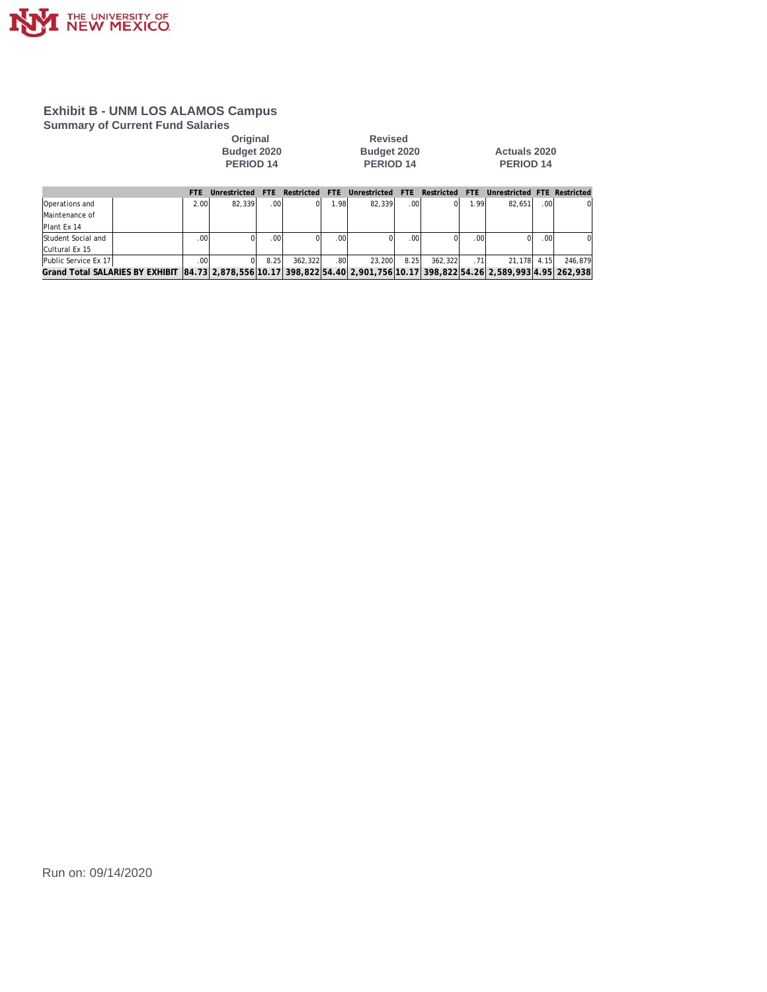

**Summary of Current Fund Salaries**

**Original Revised** 

**PERIOD 14 PERIOD 14 PERIOD 14**

**Budget 2020 Budget 2020 Actuals 2020**

|                                                                                                                          | FTF.            | Unrestricted | FTF.             | Restricted FTE |                  | Unrestricted FTE Restricted |      |         | FTF.             | Unrestricted FTE Restricted |        |          |
|--------------------------------------------------------------------------------------------------------------------------|-----------------|--------------|------------------|----------------|------------------|-----------------------------|------|---------|------------------|-----------------------------|--------|----------|
| Operations and                                                                                                           | 2.001           | 82.339       | .00              |                | 1.98             | 82.339                      | .00. |         | 1.99             | 82.651                      | .00    |          |
| Maintenance of                                                                                                           |                 |              |                  |                |                  |                             |      |         |                  |                             |        |          |
| Plant Ex 14                                                                                                              |                 |              |                  |                |                  |                             |      |         |                  |                             |        |          |
| Student Social and                                                                                                       | 00 <sub>1</sub> |              | .00 <sub>1</sub> |                | .00 <sup>1</sup> |                             | 00.  |         | .00 <sub>l</sub> |                             | . OO I | $\Omega$ |
| Cultural Ex 15                                                                                                           |                 |              |                  |                |                  |                             |      |         |                  |                             |        |          |
| Public Service Ex 17                                                                                                     | 00 <sub>1</sub> |              | 8.25             | 362.322        | .80              | 23,200                      | 8.25 | 362.322 | .71              | 21.178 4.15                 |        | 246.879  |
| Grand Total SALARIES BY EXHIBIT 84.73 2,878,556 10.17 398,822 54.40 2,901,756 10.17 398,822 54.26 2,589,993 4.95 262,938 |                 |              |                  |                |                  |                             |      |         |                  |                             |        |          |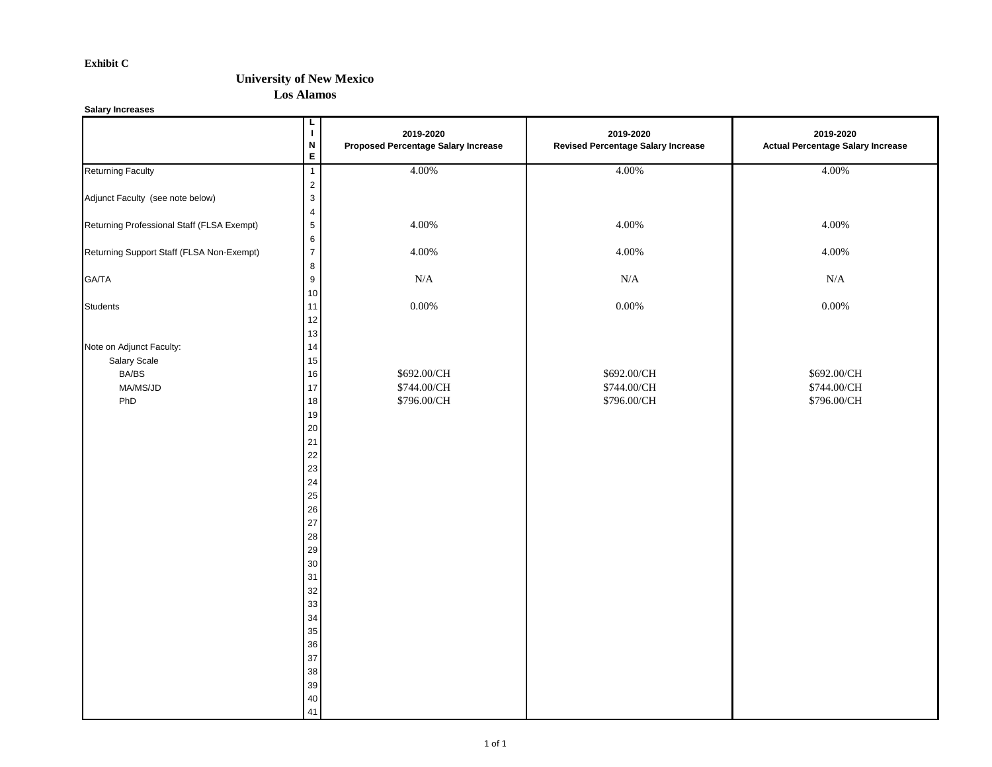#### **Exhibit C**

#### **University of New Mexico**

**Los Alamos**

**Salary Increases**

|                                                                      | L<br>$\mathbf I$<br>$\boldsymbol{\mathsf{N}}$<br>E.                                                          | 2019-2020<br><b>Proposed Percentage Salary Increase</b> | 2019-2020<br><b>Revised Percentage Salary Increase</b> | 2019-2020<br><b>Actual Percentage Salary Increase</b> |
|----------------------------------------------------------------------|--------------------------------------------------------------------------------------------------------------|---------------------------------------------------------|--------------------------------------------------------|-------------------------------------------------------|
| <b>Returning Faculty</b>                                             | $\overline{1}$                                                                                               | 4.00%                                                   | 4.00%                                                  | 4.00%                                                 |
| Adjunct Faculty (see note below)                                     | $\overline{c}$<br>$\mathbf{3}$<br>$\overline{4}$                                                             |                                                         |                                                        |                                                       |
| Returning Professional Staff (FLSA Exempt)                           | $\sqrt{5}$<br>$\,6\,$                                                                                        | 4.00%                                                   | 4.00%                                                  | 4.00%                                                 |
| Returning Support Staff (FLSA Non-Exempt)                            | $\overline{7}$                                                                                               | 4.00%                                                   | 4.00%                                                  | 4.00%                                                 |
| GA/TA                                                                | $\bf 8$<br>$\boldsymbol{9}$<br>$10$                                                                          | $\rm N/A$                                               | $\rm N/A$                                              | $\rm N/A$                                             |
| Students                                                             | 11<br>12<br>13                                                                                               | $0.00\%$                                                | $0.00\%$                                               | $0.00\%$                                              |
| Note on Adjunct Faculty:<br>Salary Scale<br>BA/BS<br>MA/MS/JD<br>PhD | 14<br>15<br>16<br>17<br>18                                                                                   | \$692.00/CH<br>\$744.00/CH<br>\$796.00/CH               | \$692.00/CH<br>\$744.00/CH<br>\$796.00/CH              | \$692.00/CH<br>\$744.00/CH<br>\$796.00/CH             |
|                                                                      | 19<br>$20\,$<br>21<br>$22\,$<br>$23\,$<br>$24\,$<br>25<br>$26\,$<br>$27\,$<br>28<br>29<br>$30\,$<br>31<br>32 |                                                         |                                                        |                                                       |
|                                                                      | 33<br>34<br>35<br>$36\,$<br>$37\,$<br>$38\,$<br>$39\,$<br>$40\,$<br>41                                       |                                                         |                                                        |                                                       |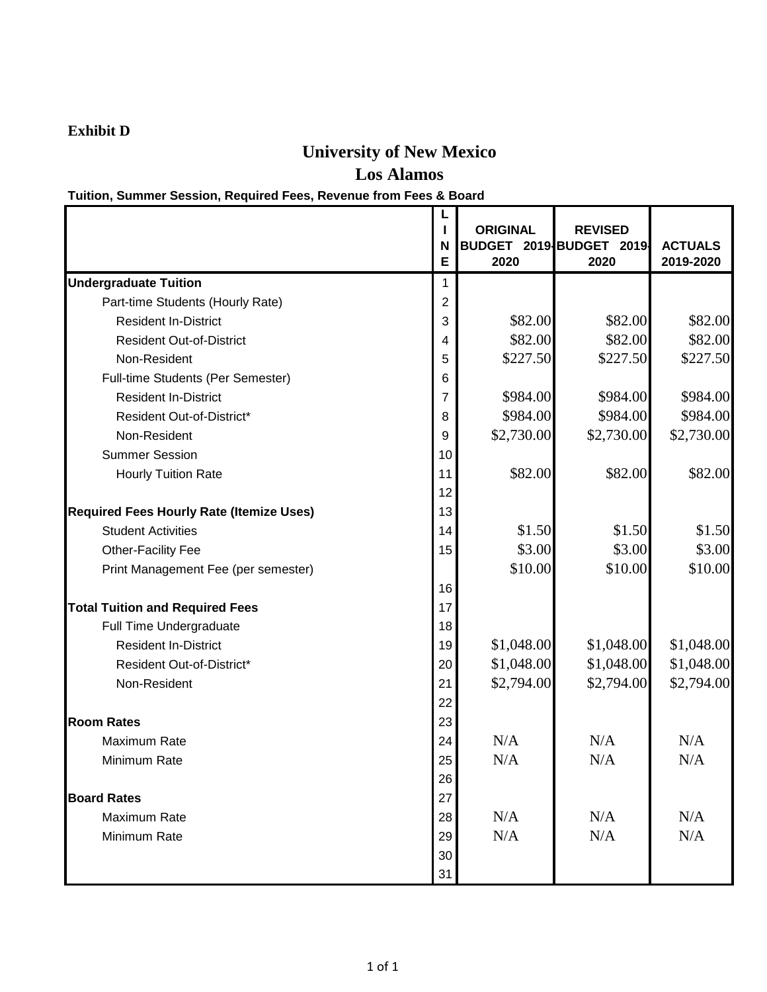# **Exhibit D**

# **University of New Mexico**

**Los Alamos**

# **Tuition, Summer Session, Required Fees, Revenue from Fees & Board**

|                                                 | N<br>E | <b>ORIGINAL</b><br>2020 | <b>REVISED</b><br>BUDGET 2019 BUDGET 2019<br>2020 | <b>ACTUALS</b><br>2019-2020 |
|-------------------------------------------------|--------|-------------------------|---------------------------------------------------|-----------------------------|
| <b>Undergraduate Tuition</b>                    | 1      |                         |                                                   |                             |
| Part-time Students (Hourly Rate)                | 2      |                         |                                                   |                             |
| <b>Resident In-District</b>                     | 3      | \$82.00                 | \$82.00                                           | \$82.00                     |
| <b>Resident Out-of-District</b>                 | 4      | \$82.00                 | \$82.00                                           | \$82.00                     |
| Non-Resident                                    | 5      | \$227.50                | \$227.50                                          | \$227.50                    |
| Full-time Students (Per Semester)               | 6      |                         |                                                   |                             |
| <b>Resident In-District</b>                     | 7      | \$984.00                | \$984.00                                          | \$984.00                    |
| Resident Out-of-District*                       | 8      | \$984.00                | \$984.00                                          | \$984.00                    |
| Non-Resident                                    | 9      | \$2,730.00              | \$2,730.00                                        | \$2,730.00                  |
| <b>Summer Session</b>                           | 10     |                         |                                                   |                             |
| <b>Hourly Tuition Rate</b>                      | 11     | \$82.00                 | \$82.00                                           | \$82.00                     |
|                                                 | 12     |                         |                                                   |                             |
| <b>Required Fees Hourly Rate (Itemize Uses)</b> | 13     |                         |                                                   |                             |
| <b>Student Activities</b>                       | 14     | \$1.50                  | \$1.50                                            | \$1.50                      |
| Other-Facility Fee                              | 15     | \$3.00                  | \$3.00                                            | \$3.00                      |
| Print Management Fee (per semester)             |        | \$10.00                 | \$10.00                                           | \$10.00                     |
|                                                 | 16     |                         |                                                   |                             |
| <b>Total Tuition and Required Fees</b>          | 17     |                         |                                                   |                             |
| Full Time Undergraduate                         | 18     |                         |                                                   |                             |
| <b>Resident In-District</b>                     | 19     | \$1,048.00              | \$1,048.00                                        | \$1,048.00                  |
| Resident Out-of-District*                       | 20     | \$1,048.00              | \$1,048.00                                        | \$1,048.00                  |
| Non-Resident                                    | 21     | \$2,794.00              | \$2,794.00                                        | \$2,794.00                  |
|                                                 | 22     |                         |                                                   |                             |
| <b>Room Rates</b>                               | 23     |                         |                                                   |                             |
| Maximum Rate                                    | 24     | N/A                     | N/A                                               | N/A                         |
| Minimum Rate                                    | 25     | N/A                     | N/A                                               | N/A                         |
|                                                 | 26     |                         |                                                   |                             |
| <b>Board Rates</b>                              | 27     |                         |                                                   |                             |
| Maximum Rate                                    | 28     | N/A                     | N/A                                               | N/A                         |
| Minimum Rate                                    | 29     | N/A                     | N/A                                               | N/A                         |
|                                                 | 30     |                         |                                                   |                             |
|                                                 | 31     |                         |                                                   |                             |